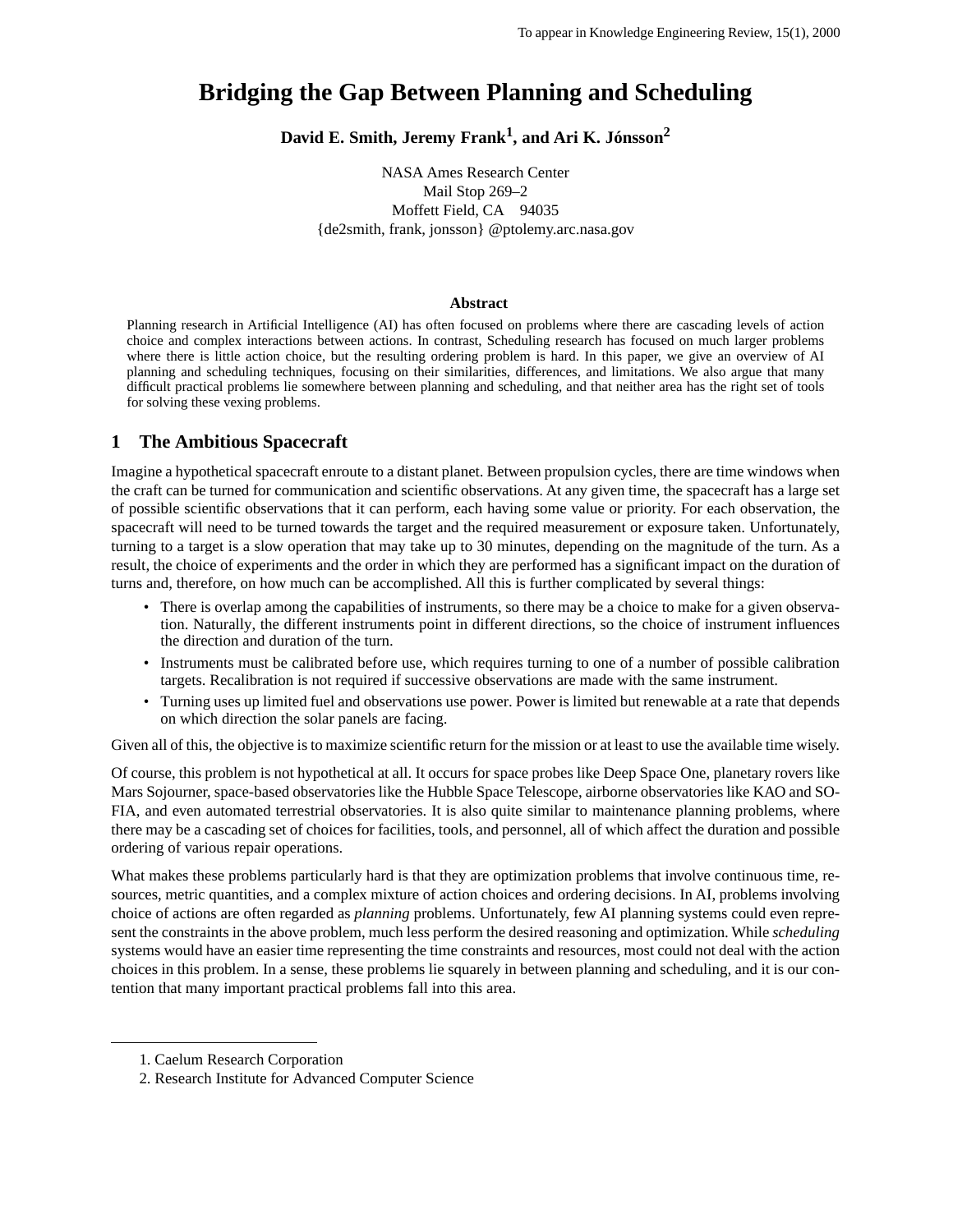# **Bridging the Gap Between Planning and Scheduling**

**David E. Smith, Jeremy Frank<sup>1</sup> , and Ari K. Jónsson<sup>2</sup>**

NASA Ames Research Center Mail Stop 269–2 Moffett Field, CA 94035 {de2smith, frank, jonsson} @ptolemy.arc.nasa.gov

#### **Abstract**

Planning research in Artificial Intelligence (AI) has often focused on problems where there are cascading levels of action choice and complex interactions between actions. In contrast, Scheduling research has focused on much larger problems where there is little action choice, but the resulting ordering problem is hard. In this paper, we give an overview of AI planning and scheduling techniques, focusing on their similarities, differences, and limitations. We also argue that many difficult practical problems lie somewhere between planning and scheduling, and that neither area has the right set of tools for solving these vexing problems.

### **1 The Ambitious Spacecraft**

Imagine a hypothetical spacecraft enroute to a distant planet. Between propulsion cycles, there are time windows when the craft can be turned for communication and scientific observations. At any given time, the spacecraft has a large set of possible scientific observations that it can perform, each having some value or priority. For each observation, the spacecraft will need to be turned towards the target and the required measurement or exposure taken. Unfortunately, turning to a target is a slow operation that may take up to 30 minutes, depending on the magnitude of the turn. As a result, the choice of experiments and the order in which they are performed has a significant impact on the duration of turns and, therefore, on how much can be accomplished. All this is further complicated by several things:

- There is overlap among the capabilities of instruments, so there may be a choice to make for a given observation. Naturally, the different instruments point in different directions, so the choice of instrument influences the direction and duration of the turn.
- Instruments must be calibrated before use, which requires turning to one of a number of possible calibration targets. Recalibration is not required if successive observations are made with the same instrument.
- Turning uses up limited fuel and observations use power. Power is limited but renewable at a rate that depends on which direction the solar panels are facing.

Given all of this, the objective is to maximize scientific return for the mission or at least to use the available time wisely.

Of course, this problem is not hypothetical at all. It occurs for space probes like Deep Space One, planetary rovers like Mars Sojourner, space-based observatories like the Hubble Space Telescope, airborne observatories like KAO and SO-FIA, and even automated terrestrial observatories. It is also quite similar to maintenance planning problems, where there may be a cascading set of choices for facilities, tools, and personnel, all of which affect the duration and possible ordering of various repair operations.

What makes these problems particularly hard is that they are optimization problems that involve continuous time, resources, metric quantities, and a complex mixture of action choices and ordering decisions. In AI, problems involving choice of actions are often regarded as *planning* problems. Unfortunately, few AI planning systems could even represent the constraints in the above problem, much less perform the desired reasoning and optimization. While *scheduling* systems would have an easier time representing the time constraints and resources, most could not deal with the action choices in this problem. In a sense, these problems lie squarely in between planning and scheduling, and it is our contention that many important practical problems fall into this area.

<sup>1.</sup> Caelum Research Corporation

<sup>2.</sup> Research Institute for Advanced Computer Science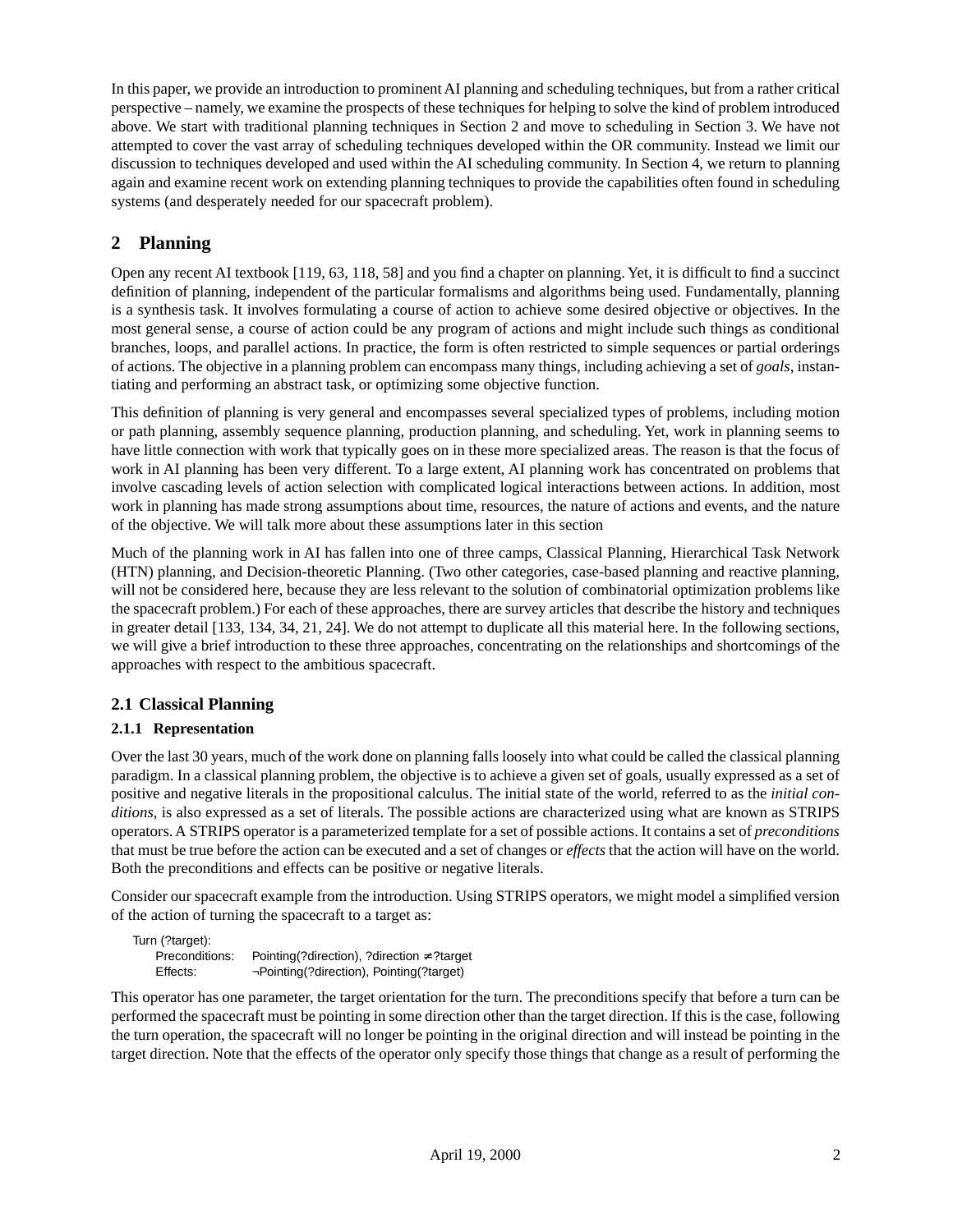In this paper, we provide an introduction to prominent AI planning and scheduling techniques, but from a rather critical perspective – namely, we examine the prospects of these techniques for helping to solve the kind of problem introduced above. We start with traditional planning techniques in Section 2 and move to scheduling in Section 3. We have not attempted to cover the vast array of scheduling techniques developed within the OR community. Instead we limit our discussion to techniques developed and used within the AI scheduling community. In Section 4, we return to planning again and examine recent work on extending planning techniques to provide the capabilities often found in scheduling systems (and desperately needed for our spacecraft problem).

## **2 Planning**

Open any recent AI textbook [119, 63, 118, 58] and you find a chapter on planning. Yet, it is difficult to find a succinct definition of planning, independent of the particular formalisms and algorithms being used. Fundamentally, planning is a synthesis task. It involves formulating a course of action to achieve some desired objective or objectives. In the most general sense, a course of action could be any program of actions and might include such things as conditional branches, loops, and parallel actions. In practice, the form is often restricted to simple sequences or partial orderings of actions. The objective in a planning problem can encompass many things, including achieving a set of *goals*, instantiating and performing an abstract task, or optimizing some objective function.

This definition of planning is very general and encompasses several specialized types of problems, including motion or path planning, assembly sequence planning, production planning, and scheduling. Yet, work in planning seems to have little connection with work that typically goes on in these more specialized areas. The reason is that the focus of work in AI planning has been very different. To a large extent, AI planning work has concentrated on problems that involve cascading levels of action selection with complicated logical interactions between actions. In addition, most work in planning has made strong assumptions about time, resources, the nature of actions and events, and the nature of the objective. We will talk more about these assumptions later in this section

Much of the planning work in AI has fallen into one of three camps, Classical Planning, Hierarchical Task Network (HTN) planning, and Decision-theoretic Planning. (Two other categories, case-based planning and reactive planning, will not be considered here, because they are less relevant to the solution of combinatorial optimization problems like the spacecraft problem.) For each of these approaches, there are survey articles that describe the history and techniques in greater detail [133, 134, 34, 21, 24]. We do not attempt to duplicate all this material here. In the following sections, we will give a brief introduction to these three approaches, concentrating on the relationships and shortcomings of the approaches with respect to the ambitious spacecraft.

### **2.1 Classical Planning**

### **2.1.1 Representation**

Over the last 30 years, much of the work done on planning falls loosely into what could be called the classical planning paradigm. In a classical planning problem, the objective is to achieve a given set of goals, usually expressed as a set of positive and negative literals in the propositional calculus. The initial state of the world, referred to as the *initial conditions*, is also expressed as a set of literals. The possible actions are characterized using what are known as STRIPS operators. A STRIPS operator is a parameterized template for a set of possible actions. It contains a set of *preconditions* that must be true before the action can be executed and a set of changes or *effects* that the action will have on the world. Both the preconditions and effects can be positive or negative literals.

Consider our spacecraft example from the introduction. Using STRIPS operators, we might model a simplified version of the action of turning the spacecraft to a target as:

Turn (?target): Preconditions: Pointing(?direction), ?direction ≠ ?target Effects: ¬Pointing(?direction), Pointing(?target)

This operator has one parameter, the target orientation for the turn. The preconditions specify that before a turn can be performed the spacecraft must be pointing in some direction other than the target direction. If this is the case, following the turn operation, the spacecraft will no longer be pointing in the original direction and will instead be pointing in the target direction. Note that the effects of the operator only specify those things that change as a result of performing the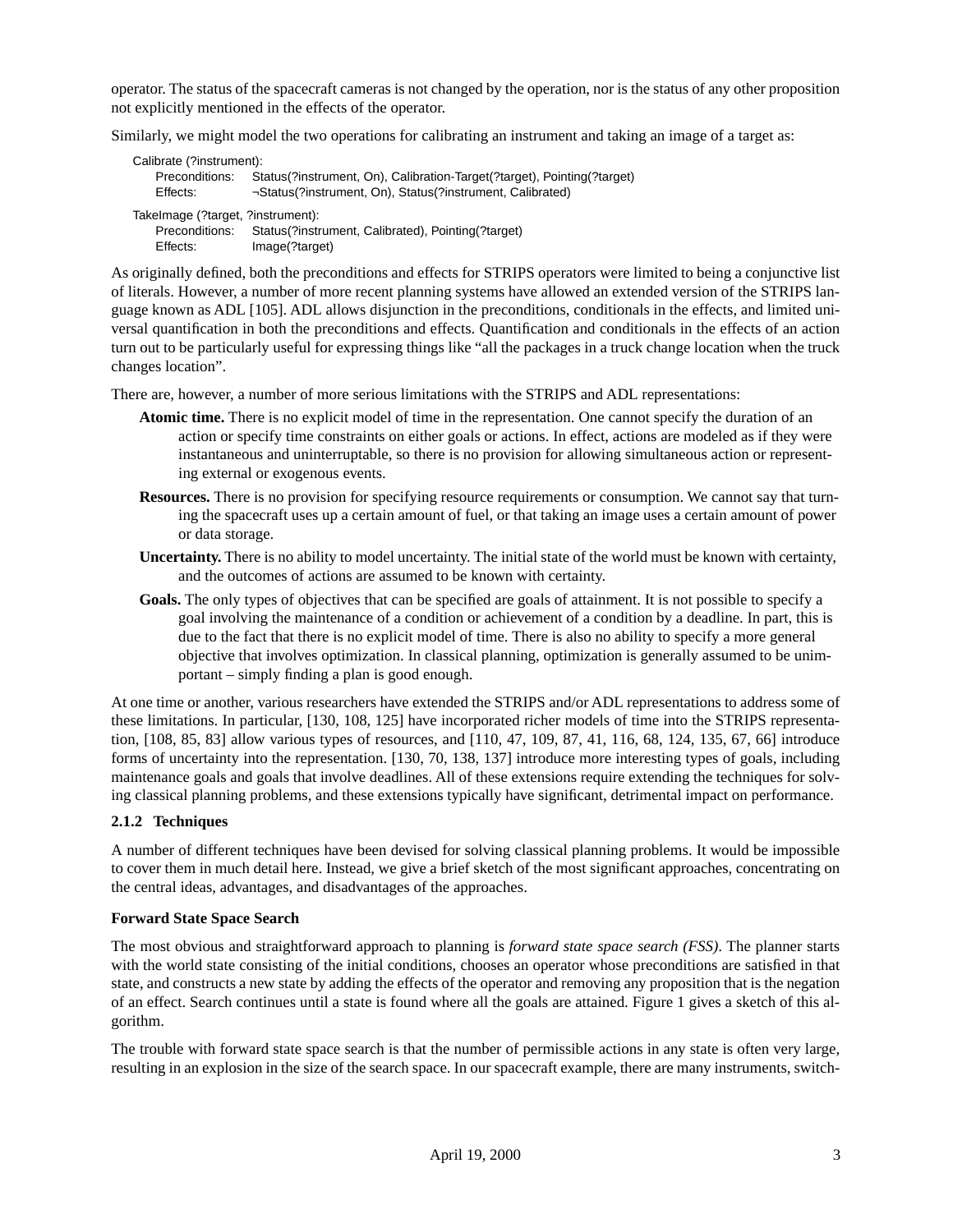operator. The status of the spacecraft cameras is not changed by the operation, nor is the status of any other proposition not explicitly mentioned in the effects of the operator.

Similarly, we might model the two operations for calibrating an instrument and taking an image of a target as:

| Calibrate (?instrument):          |                                                                                                                                      |
|-----------------------------------|--------------------------------------------------------------------------------------------------------------------------------------|
| Preconditions:<br>Effects:        | Status(?instrument, On), Calibration-Target(?target), Pointing(?target)<br>¬Status(?instrument, On), Status(?instrument, Calibrated) |
| Takelmage (?target, ?instrument): |                                                                                                                                      |
| Preconditions:                    | Status(?instrument, Calibrated), Pointing(?target)                                                                                   |
| Effects:                          | Image(?target)                                                                                                                       |

As originally defined, both the preconditions and effects for STRIPS operators were limited to being a conjunctive list of literals. However, a number of more recent planning systems have allowed an extended version of the STRIPS language known as ADL [105]. ADL allows disjunction in the preconditions, conditionals in the effects, and limited universal quantification in both the preconditions and effects. Quantification and conditionals in the effects of an action turn out to be particularly useful for expressing things like "all the packages in a truck change location when the truck changes location".

There are, however, a number of more serious limitations with the STRIPS and ADL representations:

- **Atomic time.** There is no explicit model of time in the representation. One cannot specify the duration of an action or specify time constraints on either goals or actions. In effect, actions are modeled as if they were instantaneous and uninterruptable, so there is no provision for allowing simultaneous action or representing external or exogenous events.
- **Resources.** There is no provision for specifying resource requirements or consumption. We cannot say that turning the spacecraft uses up a certain amount of fuel, or that taking an image uses a certain amount of power or data storage.
- **Uncertainty.** There is no ability to model uncertainty. The initial state of the world must be known with certainty, and the outcomes of actions are assumed to be known with certainty.
- Goals. The only types of objectives that can be specified are goals of attainment. It is not possible to specify a goal involving the maintenance of a condition or achievement of a condition by a deadline. In part, this is due to the fact that there is no explicit model of time. There is also no ability to specify a more general objective that involves optimization. In classical planning, optimization is generally assumed to be unimportant – simply finding a plan is good enough.

At one time or another, various researchers have extended the STRIPS and/or ADL representations to address some of these limitations. In particular, [130, 108, 125] have incorporated richer models of time into the STRIPS representation, [108, 85, 83] allow various types of resources, and [110, 47, 109, 87, 41, 116, 68, 124, 135, 67, 66] introduce forms of uncertainty into the representation. [130, 70, 138, 137] introduce more interesting types of goals, including maintenance goals and goals that involve deadlines. All of these extensions require extending the techniques for solving classical planning problems, and these extensions typically have significant, detrimental impact on performance.

### **2.1.2 Techniques**

A number of different techniques have been devised for solving classical planning problems. It would be impossible to cover them in much detail here. Instead, we give a brief sketch of the most significant approaches, concentrating on the central ideas, advantages, and disadvantages of the approaches.

### **Forward State Space Search**

The most obvious and straightforward approach to planning is *forward state space search (FSS)*. The planner starts with the world state consisting of the initial conditions, chooses an operator whose preconditions are satisfied in that state, and constructs a new state by adding the effects of the operator and removing any proposition that is the negation of an effect. Search continues until a state is found where all the goals are attained. Figure 1 gives a sketch of this algorithm.

The trouble with forward state space search is that the number of permissible actions in any state is often very large, resulting in an explosion in the size of the search space. In our spacecraft example, there are many instruments, switch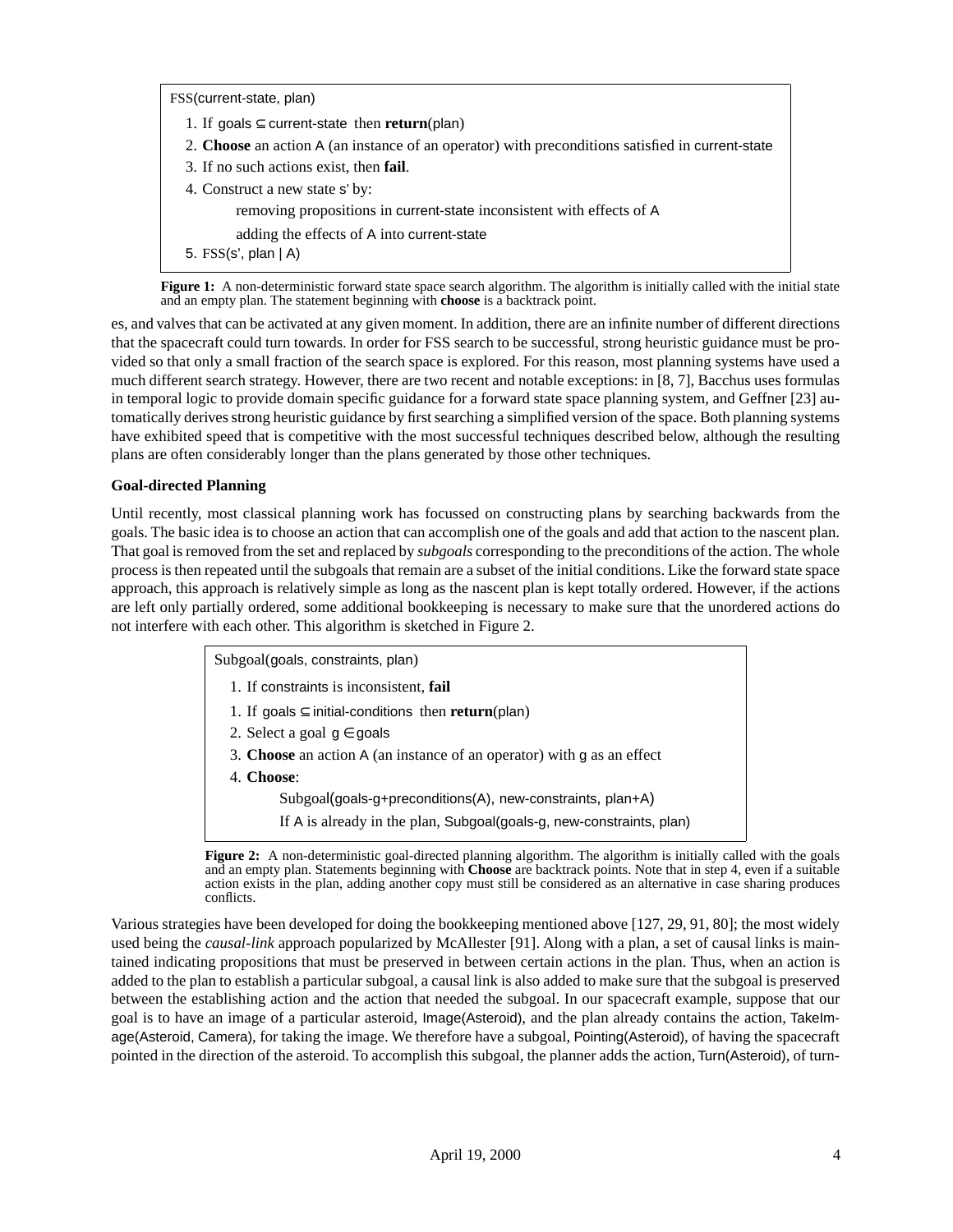FSS(current-state, plan)

1. If goals  $\subseteq$  current-state then **return**(plan)

- 2. **Choose** an action A (an instance of an operator) with preconditions satisfied in current-state
- 3. If no such actions exist, then **fail**.
- 4. Construct a new state s' by:

removing propositions in current-state inconsistent with effects of A

- adding the effects of A into current-state
- 5. FSS(s', plan | A)

**Figure 1:** A non-deterministic forward state space search algorithm. The algorithm is initially called with the initial state and an empty plan. The statement beginning with **choose** is a backtrack point.

es, and valves that can be activated at any given moment. In addition, there are an infinite number of different directions that the spacecraft could turn towards. In order for FSS search to be successful, strong heuristic guidance must be provided so that only a small fraction of the search space is explored. For this reason, most planning systems have used a much different search strategy. However, there are two recent and notable exceptions: in [8, 7], Bacchus uses formulas in temporal logic to provide domain specific guidance for a forward state space planning system, and Geffner [23] automatically derives strong heuristic guidance by first searching a simplified version of the space. Both planning systems have exhibited speed that is competitive with the most successful techniques described below, although the resulting plans are often considerably longer than the plans generated by those other techniques.

### **Goal-directed Planning**

Until recently, most classical planning work has focussed on constructing plans by searching backwards from the goals. The basic idea is to choose an action that can accomplish one of the goals and add that action to the nascent plan. That goal is removed from the set and replaced by *subgoals* corresponding to the preconditions of the action. The whole process is then repeated until the subgoals that remain are a subset of the initial conditions. Like the forward state space approach, this approach is relatively simple as long as the nascent plan is kept totally ordered. However, if the actions are left only partially ordered, some additional bookkeeping is necessary to make sure that the unordered actions do not interfere with each other. This algorithm is sketched in Figure 2.

| Subgoal(goals, constraints, plan)                                      |  |  |  |
|------------------------------------------------------------------------|--|--|--|
| 1. If constraints is inconsistent, fail                                |  |  |  |
| 1. If goals $\subseteq$ initial-conditions then return(plan)           |  |  |  |
| 2. Select a goal $g \in \text{goals}$                                  |  |  |  |
| 3. Choose an action A (an instance of an operator) with g as an effect |  |  |  |
| 4. Choose:                                                             |  |  |  |
| Subgoal(goals-g+preconditions(A), new-constraints, plan+A)             |  |  |  |
| If A is already in the plan, Subgoal (goals-g, new-constraints, plan)  |  |  |  |

**Figure 2:** A non-deterministic goal-directed planning algorithm. The algorithm is initially called with the goals and an empty plan. Statements beginning with **Choose** are backtrack points. Note that in step 4, even if a suitable action exists in the plan, adding another copy must still be considered as an alternative in case sharing produces conflicts.

Various strategies have been developed for doing the bookkeeping mentioned above [127, 29, 91, 80]; the most widely used being the *causal-link* approach popularized by McAllester [91]. Along with a plan, a set of causal links is maintained indicating propositions that must be preserved in between certain actions in the plan. Thus, when an action is added to the plan to establish a particular subgoal, a causal link is also added to make sure that the subgoal is preserved between the establishing action and the action that needed the subgoal. In our spacecraft example, suppose that our goal is to have an image of a particular asteroid, Image(Asteroid), and the plan already contains the action, TakeImage(Asteroid, Camera), for taking the image. We therefore have a subgoal, Pointing(Asteroid), of having the spacecraft pointed in the direction of the asteroid. To accomplish this subgoal, the planner adds the action, Turn(Asteroid), of turn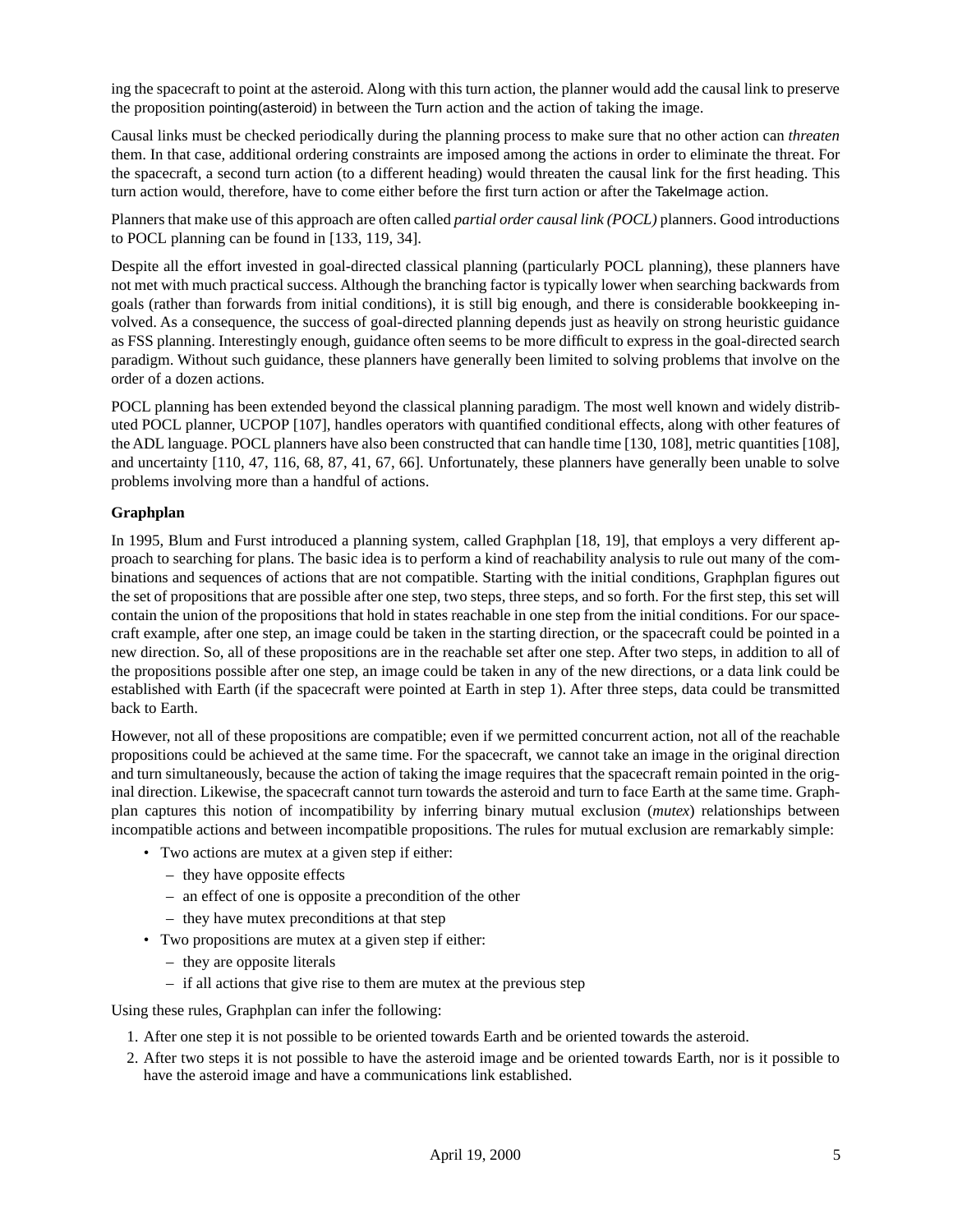ing the spacecraft to point at the asteroid. Along with this turn action, the planner would add the causal link to preserve the proposition pointing(asteroid) in between the Turn action and the action of taking the image.

Causal links must be checked periodically during the planning process to make sure that no other action can *threaten* them. In that case, additional ordering constraints are imposed among the actions in order to eliminate the threat. For the spacecraft, a second turn action (to a different heading) would threaten the causal link for the first heading. This turn action would, therefore, have to come either before the first turn action or after the TakeImage action.

Planners that make use of this approach are often called *partial order causal link (POCL)* planners. Good introductions to POCL planning can be found in [133, 119, 34].

Despite all the effort invested in goal-directed classical planning (particularly POCL planning), these planners have not met with much practical success. Although the branching factor is typically lower when searching backwards from goals (rather than forwards from initial conditions), it is still big enough, and there is considerable bookkeeping involved. As a consequence, the success of goal-directed planning depends just as heavily on strong heuristic guidance as FSS planning. Interestingly enough, guidance often seems to be more difficult to express in the goal-directed search paradigm. Without such guidance, these planners have generally been limited to solving problems that involve on the order of a dozen actions.

POCL planning has been extended beyond the classical planning paradigm. The most well known and widely distributed POCL planner, UCPOP [107], handles operators with quantified conditional effects, along with other features of the ADL language. POCL planners have also been constructed that can handle time [130, 108], metric quantities [108], and uncertainty [110, 47, 116, 68, 87, 41, 67, 66]. Unfortunately, these planners have generally been unable to solve problems involving more than a handful of actions.

### **Graphplan**

In 1995, Blum and Furst introduced a planning system, called Graphplan [18, 19], that employs a very different approach to searching for plans. The basic idea is to perform a kind of reachability analysis to rule out many of the combinations and sequences of actions that are not compatible. Starting with the initial conditions, Graphplan figures out the set of propositions that are possible after one step, two steps, three steps, and so forth. For the first step, this set will contain the union of the propositions that hold in states reachable in one step from the initial conditions. For our spacecraft example, after one step, an image could be taken in the starting direction, or the spacecraft could be pointed in a new direction. So, all of these propositions are in the reachable set after one step. After two steps, in addition to all of the propositions possible after one step, an image could be taken in any of the new directions, or a data link could be established with Earth (if the spacecraft were pointed at Earth in step 1). After three steps, data could be transmitted back to Earth.

However, not all of these propositions are compatible; even if we permitted concurrent action, not all of the reachable propositions could be achieved at the same time. For the spacecraft, we cannot take an image in the original direction and turn simultaneously, because the action of taking the image requires that the spacecraft remain pointed in the original direction. Likewise, the spacecraft cannot turn towards the asteroid and turn to face Earth at the same time. Graphplan captures this notion of incompatibility by inferring binary mutual exclusion (*mutex*) relationships between incompatible actions and between incompatible propositions. The rules for mutual exclusion are remarkably simple:

- Two actions are mutex at a given step if either:
	- they have opposite effects
	- an effect of one is opposite a precondition of the other
	- they have mutex preconditions at that step
- Two propositions are mutex at a given step if either:
	- they are opposite literals
	- if all actions that give rise to them are mutex at the previous step

Using these rules, Graphplan can infer the following:

- 1. After one step it is not possible to be oriented towards Earth and be oriented towards the asteroid.
- 2. After two steps it is not possible to have the asteroid image and be oriented towards Earth, nor is it possible to have the asteroid image and have a communications link established.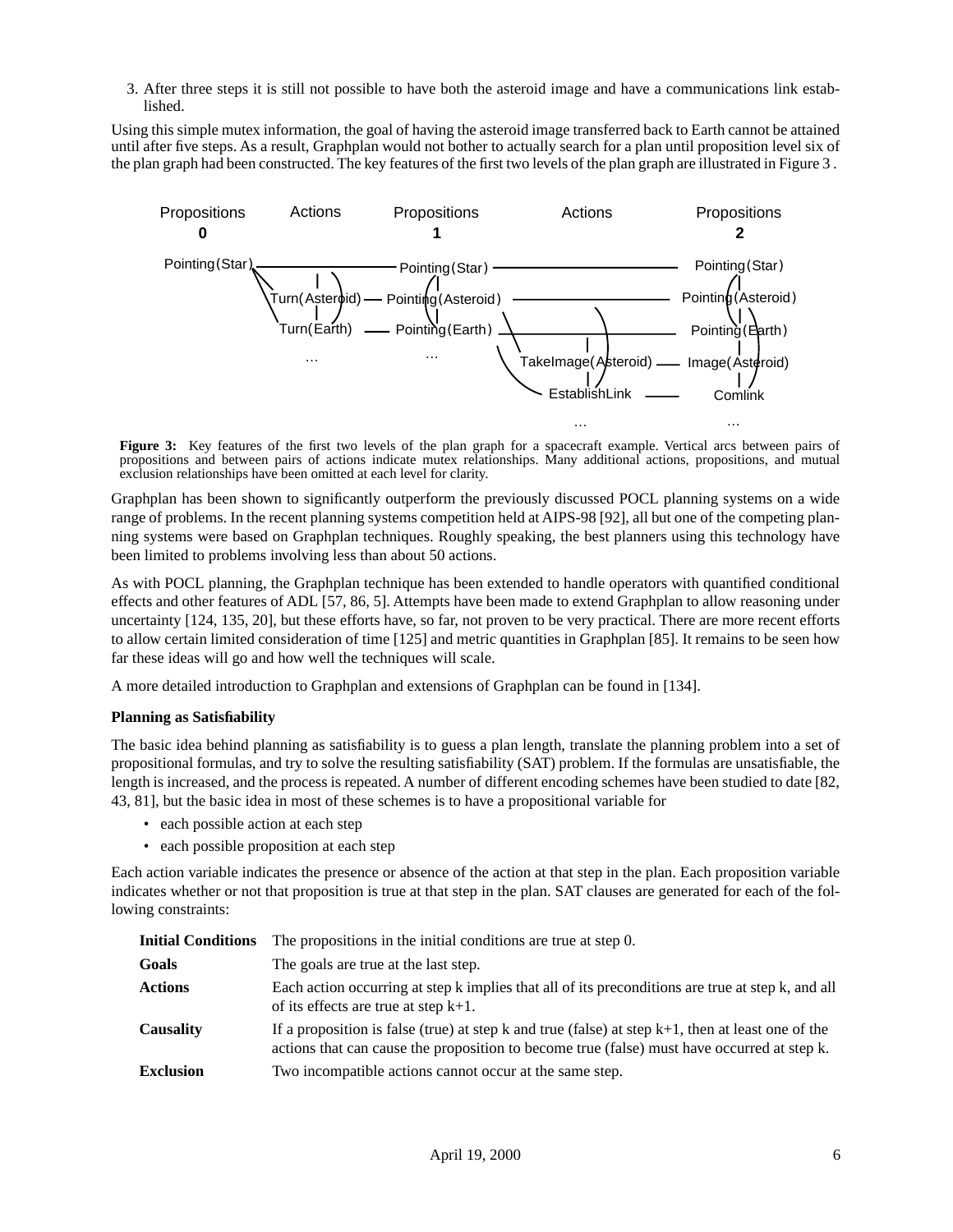3. After three steps it is still not possible to have both the asteroid image and have a communications link established.

Using this simple mutex information, the goal of having the asteroid image transferred back to Earth cannot be attained until after five steps. As a result, Graphplan would not bother to actually search for a plan until proposition level six of the plan graph had been constructed. The key features of the first two levels of the plan graph are illustrated in Figure 3 .



Figure 3: Key features of the first two levels of the plan graph for a spacecraft example. Vertical arcs between pairs of propositions and between pairs of actions indicate mutex relationships. Many additional actions, propositions, and mutual exclusion relationships have been omitted at each level for clarity.

Graphplan has been shown to significantly outperform the previously discussed POCL planning systems on a wide range of problems. In the recent planning systems competition held at AIPS-98 [92], all but one of the competing planning systems were based on Graphplan techniques. Roughly speaking, the best planners using this technology have been limited to problems involving less than about 50 actions.

As with POCL planning, the Graphplan technique has been extended to handle operators with quantified conditional effects and other features of ADL [57, 86, 5]. Attempts have been made to extend Graphplan to allow reasoning under uncertainty [124, 135, 20], but these efforts have, so far, not proven to be very practical. There are more recent efforts to allow certain limited consideration of time [125] and metric quantities in Graphplan [85]. It remains to be seen how far these ideas will go and how well the techniques will scale.

A more detailed introduction to Graphplan and extensions of Graphplan can be found in [134].

### **Planning as Satisfiability**

The basic idea behind planning as satisfiability is to guess a plan length, translate the planning problem into a set of propositional formulas, and try to solve the resulting satisfiability (SAT) problem. If the formulas are unsatisfiable, the length is increased, and the process is repeated. A number of different encoding schemes have been studied to date [82, 43, 81], but the basic idea in most of these schemes is to have a propositional variable for

- each possible action at each step
- each possible proposition at each step

Each action variable indicates the presence or absence of the action at that step in the plan. Each proposition variable indicates whether or not that proposition is true at that step in the plan. SAT clauses are generated for each of the following constraints:

| <b>Initial Conditions</b> | The propositions in the initial conditions are true at step 0.                                                                                                                                        |  |
|---------------------------|-------------------------------------------------------------------------------------------------------------------------------------------------------------------------------------------------------|--|
| Goals                     | The goals are true at the last step.                                                                                                                                                                  |  |
| <b>Actions</b>            | Each action occurring at step k implies that all of its preconditions are true at step k, and all<br>of its effects are true at step $k+1$ .                                                          |  |
| <b>Causality</b>          | If a proposition is false (true) at step $k$ and true (false) at step $k+1$ , then at least one of the<br>actions that can cause the proposition to become true (false) must have occurred at step k. |  |
| <b>Exclusion</b>          | Two incompatible actions cannot occur at the same step.                                                                                                                                               |  |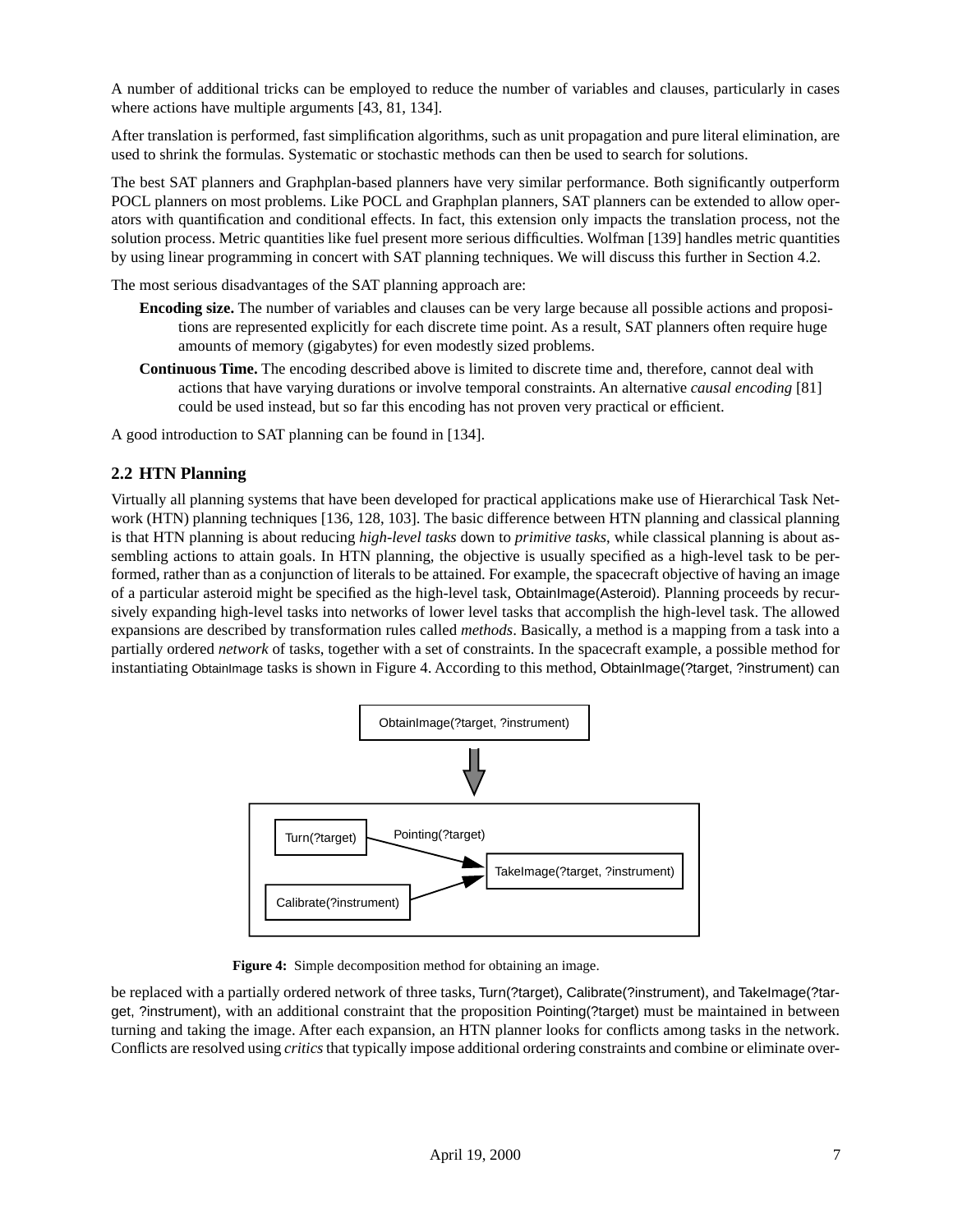A number of additional tricks can be employed to reduce the number of variables and clauses, particularly in cases where actions have multiple arguments [43, 81, 134].

After translation is performed, fast simplification algorithms, such as unit propagation and pure literal elimination, are used to shrink the formulas. Systematic or stochastic methods can then be used to search for solutions.

The best SAT planners and Graphplan-based planners have very similar performance. Both significantly outperform POCL planners on most problems. Like POCL and Graphplan planners, SAT planners can be extended to allow operators with quantification and conditional effects. In fact, this extension only impacts the translation process, not the solution process. Metric quantities like fuel present more serious difficulties. Wolfman [139] handles metric quantities by using linear programming in concert with SAT planning techniques. We will discuss this further in Section 4.2.

The most serious disadvantages of the SAT planning approach are:

- **Encoding size.** The number of variables and clauses can be very large because all possible actions and propositions are represented explicitly for each discrete time point. As a result, SAT planners often require huge amounts of memory (gigabytes) for even modestly sized problems.
- **Continuous Time.** The encoding described above is limited to discrete time and, therefore, cannot deal with actions that have varying durations or involve temporal constraints. An alternative *causal encoding* [81] could be used instead, but so far this encoding has not proven very practical or efficient.

A good introduction to SAT planning can be found in [134].

### **2.2 HTN Planning**

Virtually all planning systems that have been developed for practical applications make use of Hierarchical Task Network (HTN) planning techniques [136, 128, 103]. The basic difference between HTN planning and classical planning is that HTN planning is about reducing *high-level tasks* down to *primitive tasks*, while classical planning is about assembling actions to attain goals. In HTN planning, the objective is usually specified as a high-level task to be performed, rather than as a conjunction of literals to be attained. For example, the spacecraft objective of having an image of a particular asteroid might be specified as the high-level task, ObtainImage(Asteroid). Planning proceeds by recursively expanding high-level tasks into networks of lower level tasks that accomplish the high-level task. The allowed expansions are described by transformation rules called *methods*. Basically, a method is a mapping from a task into a partially ordered *network* of tasks, together with a set of constraints. In the spacecraft example, a possible method for instantiating ObtainImage tasks is shown in Figure 4. According to this method, ObtainImage(?target, ?instrument) can



**Figure 4:** Simple decomposition method for obtaining an image.

be replaced with a partially ordered network of three tasks, Turn(?target), Calibrate(?instrument), and TakeImage(?target, ?instrument), with an additional constraint that the proposition Pointing(?target) must be maintained in between turning and taking the image. After each expansion, an HTN planner looks for conflicts among tasks in the network. Conflicts are resolved using *critics* that typically impose additional ordering constraints and combine or eliminate over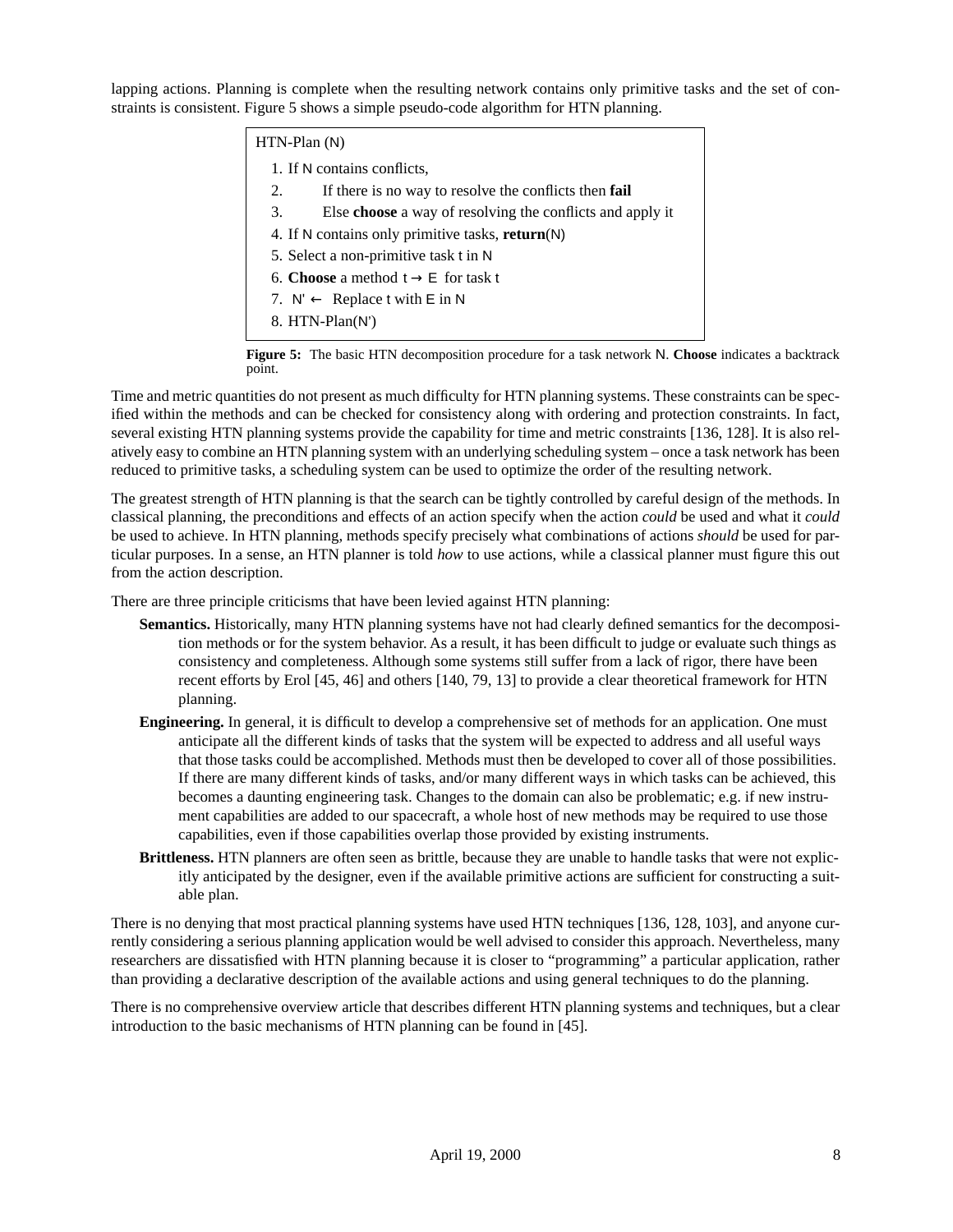lapping actions. Planning is complete when the resulting network contains only primitive tasks and the set of constraints is consistent. Figure 5 shows a simple pseudo-code algorithm for HTN planning.

| $HTN-Plan(N)$                                                      |  |  |
|--------------------------------------------------------------------|--|--|
| 1. If N contains conflicts,                                        |  |  |
| 2.<br>If there is no way to resolve the conflicts then <b>fail</b> |  |  |
| 3.<br>Else choose a way of resolving the conflicts and apply it    |  |  |
| 4. If N contains only primitive tasks, return(N)                   |  |  |
| 5. Select a non-primitive task t in N                              |  |  |
| 6. Choose a method $t \rightarrow E$ for task t                    |  |  |
| 7. $N' \leftarrow$ Replace t with E in N                           |  |  |
| 8. $HTN-Plan(N')$                                                  |  |  |
|                                                                    |  |  |

**Figure 5:** The basic HTN decomposition procedure for a task network N. **Choose** indicates a backtrack point.

Time and metric quantities do not present as much difficulty for HTN planning systems. These constraints can be specified within the methods and can be checked for consistency along with ordering and protection constraints. In fact, several existing HTN planning systems provide the capability for time and metric constraints [136, 128]. It is also relatively easy to combine an HTN planning system with an underlying scheduling system – once a task network has been reduced to primitive tasks, a scheduling system can be used to optimize the order of the resulting network.

The greatest strength of HTN planning is that the search can be tightly controlled by careful design of the methods. In classical planning, the preconditions and effects of an action specify when the action *could* be used and what it *could* be used to achieve. In HTN planning, methods specify precisely what combinations of actions *should* be used for particular purposes. In a sense, an HTN planner is told *how* to use actions, while a classical planner must figure this out from the action description.

There are three principle criticisms that have been levied against HTN planning:

- **Semantics.** Historically, many HTN planning systems have not had clearly defined semantics for the decomposition methods or for the system behavior. As a result, it has been difficult to judge or evaluate such things as consistency and completeness. Although some systems still suffer from a lack of rigor, there have been recent efforts by Erol [45, 46] and others [140, 79, 13] to provide a clear theoretical framework for HTN planning.
- **Engineering.** In general, it is difficult to develop a comprehensive set of methods for an application. One must anticipate all the different kinds of tasks that the system will be expected to address and all useful ways that those tasks could be accomplished. Methods must then be developed to cover all of those possibilities. If there are many different kinds of tasks, and/or many different ways in which tasks can be achieved, this becomes a daunting engineering task. Changes to the domain can also be problematic; e.g. if new instrument capabilities are added to our spacecraft, a whole host of new methods may be required to use those capabilities, even if those capabilities overlap those provided by existing instruments.
- **Brittleness.** HTN planners are often seen as brittle, because they are unable to handle tasks that were not explicitly anticipated by the designer, even if the available primitive actions are sufficient for constructing a suitable plan.

There is no denying that most practical planning systems have used HTN techniques [136, 128, 103], and anyone currently considering a serious planning application would be well advised to consider this approach. Nevertheless, many researchers are dissatisfied with HTN planning because it is closer to "programming" a particular application, rather than providing a declarative description of the available actions and using general techniques to do the planning.

There is no comprehensive overview article that describes different HTN planning systems and techniques, but a clear introduction to the basic mechanisms of HTN planning can be found in [45].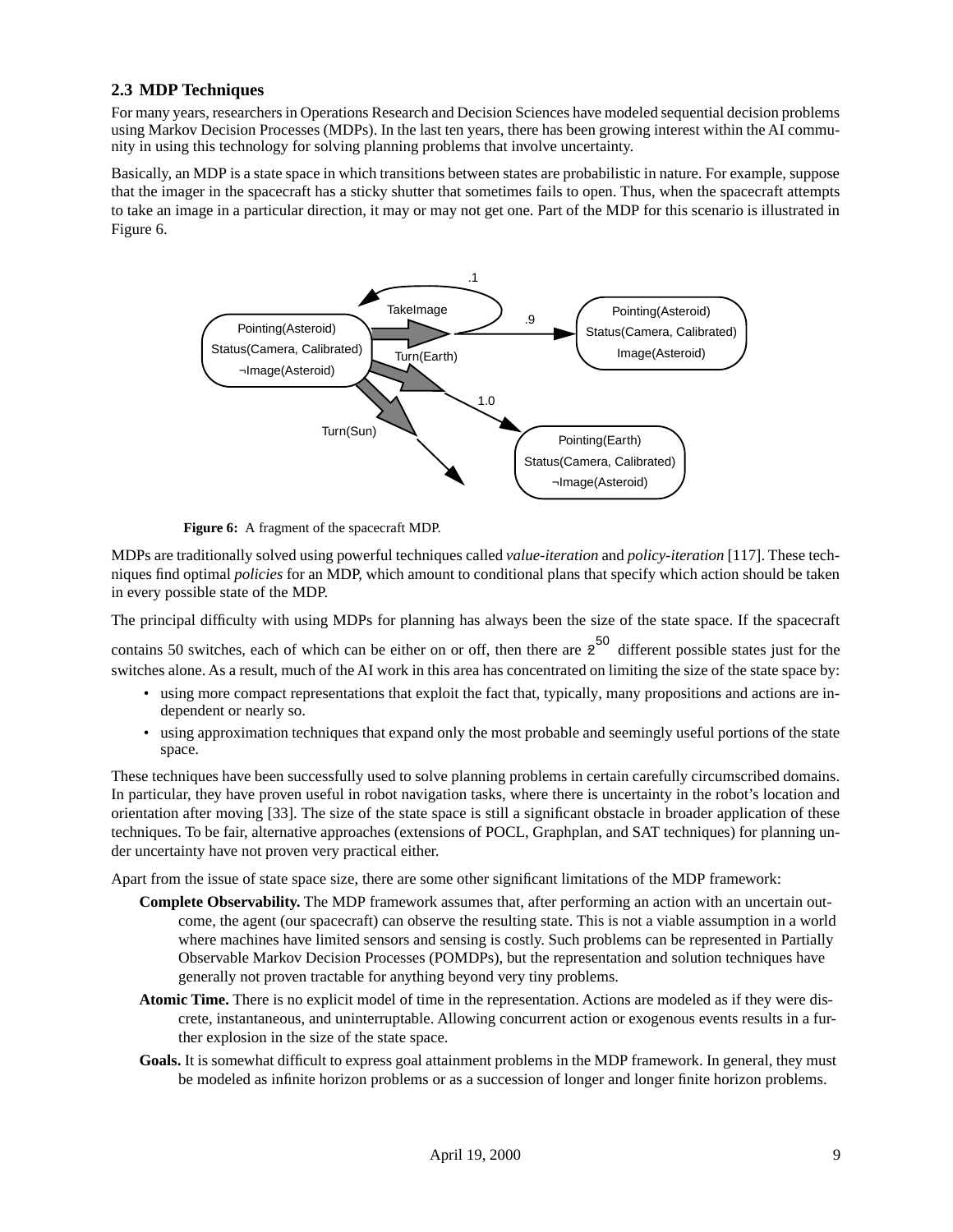### **2.3 MDP Techniques**

For many years, researchers in Operations Research and Decision Sciences have modeled sequential decision problems using Markov Decision Processes (MDPs). In the last ten years, there has been growing interest within the AI community in using this technology for solving planning problems that involve uncertainty.

Basically, an MDP is a state space in which transitions between states are probabilistic in nature. For example, suppose that the imager in the spacecraft has a sticky shutter that sometimes fails to open. Thus, when the spacecraft attempts to take an image in a particular direction, it may or may not get one. Part of the MDP for this scenario is illustrated in Figure 6.



**Figure 6:** A fragment of the spacecraft MDP.

MDPs are traditionally solved using powerful techniques called *value-iteration* and *policy-iteration* [117]. These techniques find optimal *policies* for an MDP, which amount to conditional plans that specify which action should be taken in every possible state of the MDP.

The principal difficulty with using MDPs for planning has always been the size of the state space. If the spacecraft

contains 50 switches, each of which can be either on or off, then there are  $2^{50}$  different possible states just for the switches alone. As a result, much of the AI work in this area has concentrated on limiting the size of the state space by:

- using more compact representations that exploit the fact that, typically, many propositions and actions are independent or nearly so.
- using approximation techniques that expand only the most probable and seemingly useful portions of the state space.

These techniques have been successfully used to solve planning problems in certain carefully circumscribed domains. In particular, they have proven useful in robot navigation tasks, where there is uncertainty in the robot's location and orientation after moving [33]. The size of the state space is still a significant obstacle in broader application of these techniques. To be fair, alternative approaches (extensions of POCL, Graphplan, and SAT techniques) for planning under uncertainty have not proven very practical either.

Apart from the issue of state space size, there are some other significant limitations of the MDP framework:

- **Complete Observability.** The MDP framework assumes that, after performing an action with an uncertain outcome, the agent (our spacecraft) can observe the resulting state. This is not a viable assumption in a world where machines have limited sensors and sensing is costly. Such problems can be represented in Partially Observable Markov Decision Processes (POMDPs), but the representation and solution techniques have generally not proven tractable for anything beyond very tiny problems.
- **Atomic Time.** There is no explicit model of time in the representation. Actions are modeled as if they were discrete, instantaneous, and uninterruptable. Allowing concurrent action or exogenous events results in a further explosion in the size of the state space.
- **Goals.** It is somewhat difficult to express goal attainment problems in the MDP framework. In general, they must be modeled as infinite horizon problems or as a succession of longer and longer finite horizon problems.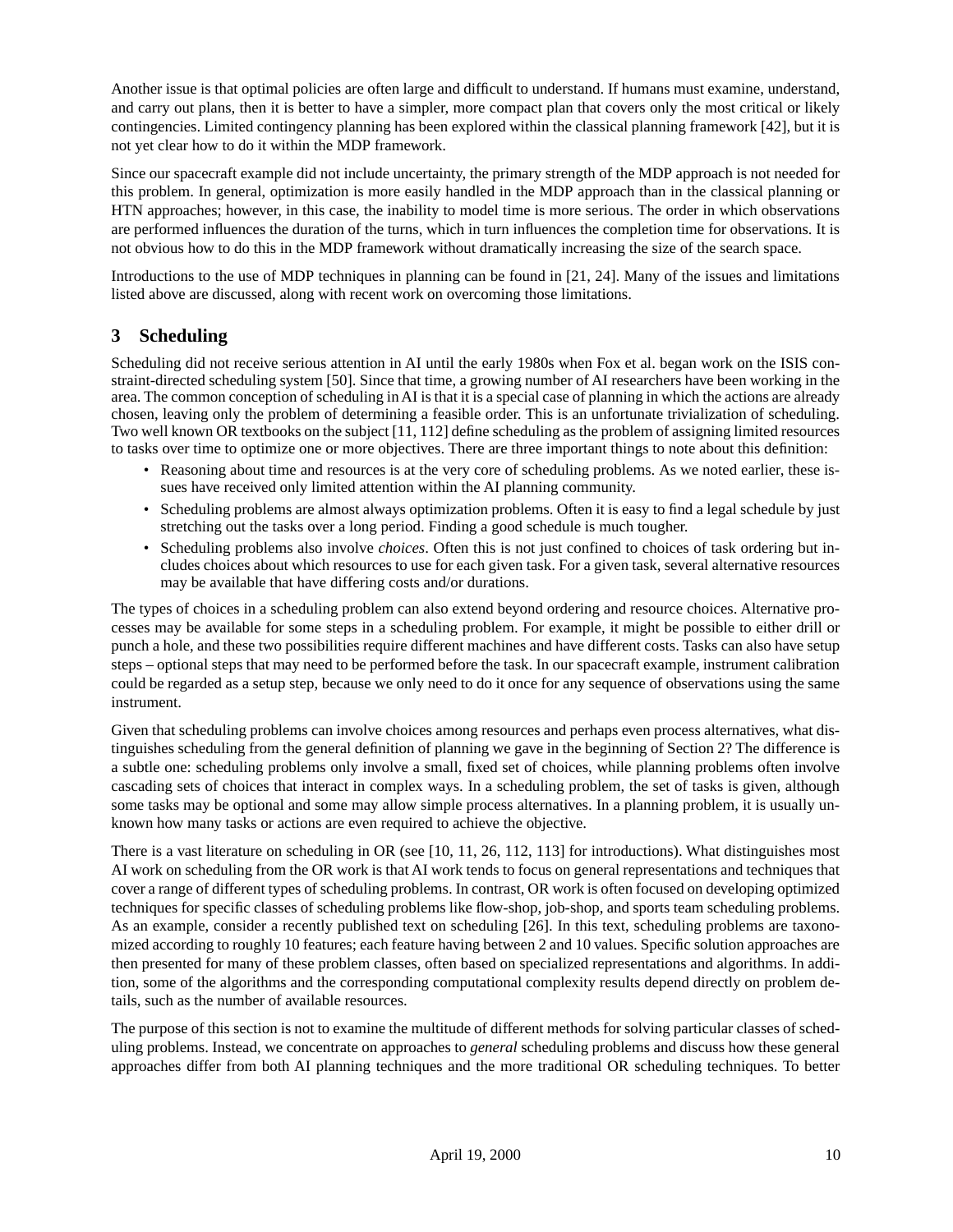Another issue is that optimal policies are often large and difficult to understand. If humans must examine, understand, and carry out plans, then it is better to have a simpler, more compact plan that covers only the most critical or likely contingencies. Limited contingency planning has been explored within the classical planning framework [42], but it is not yet clear how to do it within the MDP framework.

Since our spacecraft example did not include uncertainty, the primary strength of the MDP approach is not needed for this problem. In general, optimization is more easily handled in the MDP approach than in the classical planning or HTN approaches; however, in this case, the inability to model time is more serious. The order in which observations are performed influences the duration of the turns, which in turn influences the completion time for observations. It is not obvious how to do this in the MDP framework without dramatically increasing the size of the search space.

Introductions to the use of MDP techniques in planning can be found in [21, 24]. Many of the issues and limitations listed above are discussed, along with recent work on overcoming those limitations.

## **3 Scheduling**

Scheduling did not receive serious attention in AI until the early 1980s when Fox et al. began work on the ISIS constraint-directed scheduling system [50]. Since that time, a growing number of AI researchers have been working in the area. The common conception of scheduling in AI is that it is a special case of planning in which the actions are already chosen, leaving only the problem of determining a feasible order. This is an unfortunate trivialization of scheduling. Two well known OR textbooks on the subject [11, 112] define scheduling as the problem of assigning limited resources to tasks over time to optimize one or more objectives. There are three important things to note about this definition:

- Reasoning about time and resources is at the very core of scheduling problems. As we noted earlier, these issues have received only limited attention within the AI planning community.
- Scheduling problems are almost always optimization problems. Often it is easy to find a legal schedule by just stretching out the tasks over a long period. Finding a good schedule is much tougher.
- Scheduling problems also involve *choices*. Often this is not just confined to choices of task ordering but includes choices about which resources to use for each given task. For a given task, several alternative resources may be available that have differing costs and/or durations.

The types of choices in a scheduling problem can also extend beyond ordering and resource choices. Alternative processes may be available for some steps in a scheduling problem. For example, it might be possible to either drill or punch a hole, and these two possibilities require different machines and have different costs. Tasks can also have setup steps – optional steps that may need to be performed before the task. In our spacecraft example, instrument calibration could be regarded as a setup step, because we only need to do it once for any sequence of observations using the same instrument.

Given that scheduling problems can involve choices among resources and perhaps even process alternatives, what distinguishes scheduling from the general definition of planning we gave in the beginning of Section 2? The difference is a subtle one: scheduling problems only involve a small, fixed set of choices, while planning problems often involve cascading sets of choices that interact in complex ways. In a scheduling problem, the set of tasks is given, although some tasks may be optional and some may allow simple process alternatives. In a planning problem, it is usually unknown how many tasks or actions are even required to achieve the objective.

There is a vast literature on scheduling in OR (see [10, 11, 26, 112, 113] for introductions). What distinguishes most AI work on scheduling from the OR work is that AI work tends to focus on general representations and techniques that cover a range of different types of scheduling problems. In contrast, OR work is often focused on developing optimized techniques for specific classes of scheduling problems like flow-shop, job-shop, and sports team scheduling problems. As an example, consider a recently published text on scheduling [26]. In this text, scheduling problems are taxonomized according to roughly 10 features; each feature having between 2 and 10 values. Specific solution approaches are then presented for many of these problem classes, often based on specialized representations and algorithms. In addition, some of the algorithms and the corresponding computational complexity results depend directly on problem details, such as the number of available resources.

The purpose of this section is not to examine the multitude of different methods for solving particular classes of scheduling problems. Instead, we concentrate on approaches to *general* scheduling problems and discuss how these general approaches differ from both AI planning techniques and the more traditional OR scheduling techniques. To better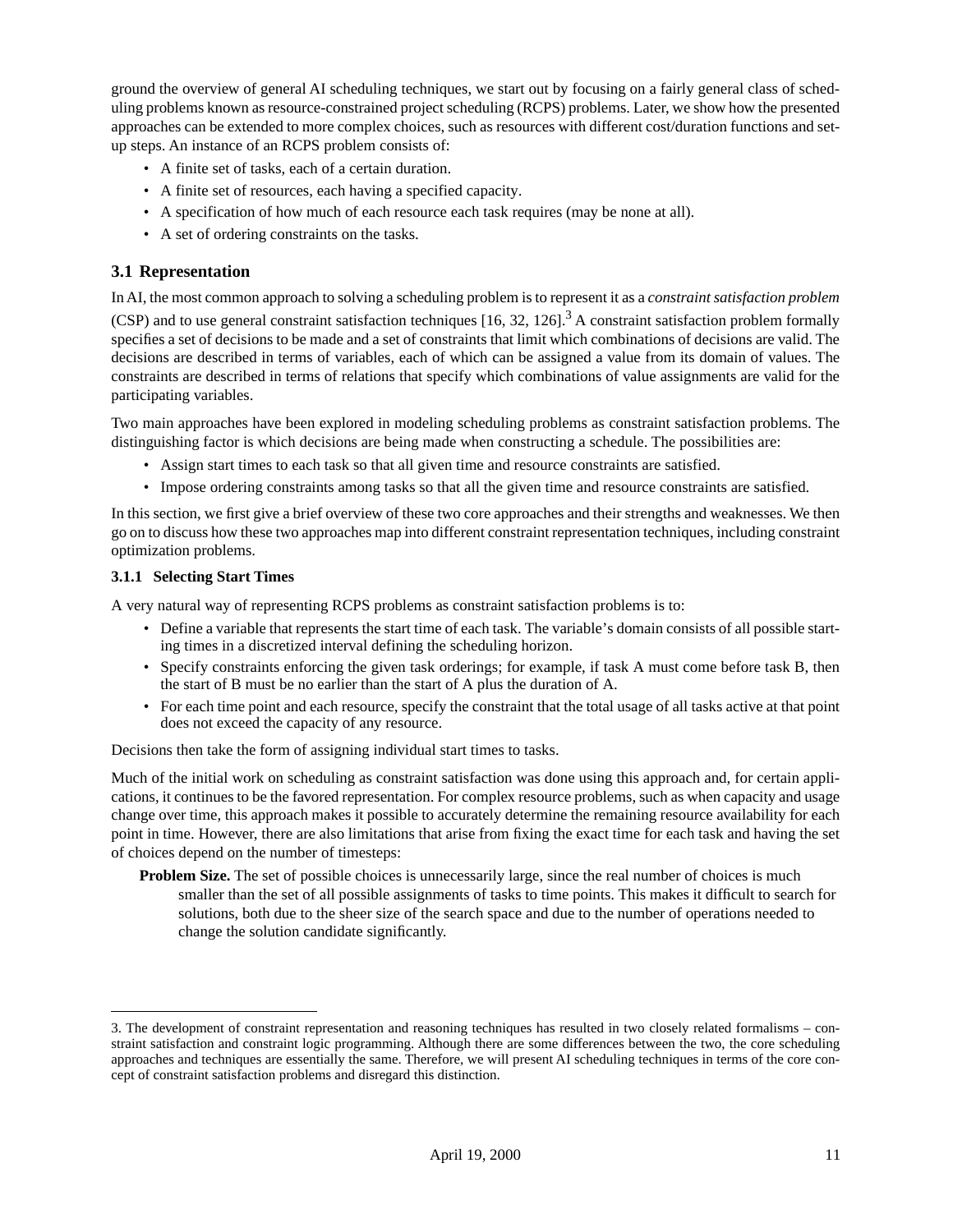ground the overview of general AI scheduling techniques, we start out by focusing on a fairly general class of scheduling problems known as resource-constrained project scheduling (RCPS) problems. Later, we show how the presented approaches can be extended to more complex choices, such as resources with different cost/duration functions and setup steps. An instance of an RCPS problem consists of:

- A finite set of tasks, each of a certain duration.
- A finite set of resources, each having a specified capacity.
- A specification of how much of each resource each task requires (may be none at all).
- A set of ordering constraints on the tasks.

### **3.1 Representation**

In AI, the most common approach to solving a scheduling problem is to represent it as a *constraint satisfaction problem* (CSP) and to use general constraint satisfaction techniques  $[16, 32, 126]$ .<sup>3</sup> A constraint satisfaction problem formally specifies a set of decisions to be made and a set of constraints that limit which combinations of decisions are valid. The decisions are described in terms of variables, each of which can be assigned a value from its domain of values. The constraints are described in terms of relations that specify which combinations of value assignments are valid for the participating variables.

Two main approaches have been explored in modeling scheduling problems as constraint satisfaction problems. The distinguishing factor is which decisions are being made when constructing a schedule. The possibilities are:

- Assign start times to each task so that all given time and resource constraints are satisfied.
- Impose ordering constraints among tasks so that all the given time and resource constraints are satisfied.

In this section, we first give a brief overview of these two core approaches and their strengths and weaknesses. We then go on to discuss how these two approaches map into different constraint representation techniques, including constraint optimization problems.

#### **3.1.1 Selecting Start Times**

A very natural way of representing RCPS problems as constraint satisfaction problems is to:

- Define a variable that represents the start time of each task. The variable's domain consists of all possible starting times in a discretized interval defining the scheduling horizon.
- Specify constraints enforcing the given task orderings; for example, if task A must come before task B, then the start of B must be no earlier than the start of A plus the duration of A.
- For each time point and each resource, specify the constraint that the total usage of all tasks active at that point does not exceed the capacity of any resource.

Decisions then take the form of assigning individual start times to tasks.

Much of the initial work on scheduling as constraint satisfaction was done using this approach and, for certain applications, it continues to be the favored representation. For complex resource problems, such as when capacity and usage change over time, this approach makes it possible to accurately determine the remaining resource availability for each point in time. However, there are also limitations that arise from fixing the exact time for each task and having the set of choices depend on the number of timesteps:

**Problem Size.** The set of possible choices is unnecessarily large, since the real number of choices is much smaller than the set of all possible assignments of tasks to time points. This makes it difficult to search for solutions, both due to the sheer size of the search space and due to the number of operations needed to change the solution candidate significantly.

<sup>3.</sup> The development of constraint representation and reasoning techniques has resulted in two closely related formalisms – constraint satisfaction and constraint logic programming. Although there are some differences between the two, the core scheduling approaches and techniques are essentially the same. Therefore, we will present AI scheduling techniques in terms of the core concept of constraint satisfaction problems and disregard this distinction.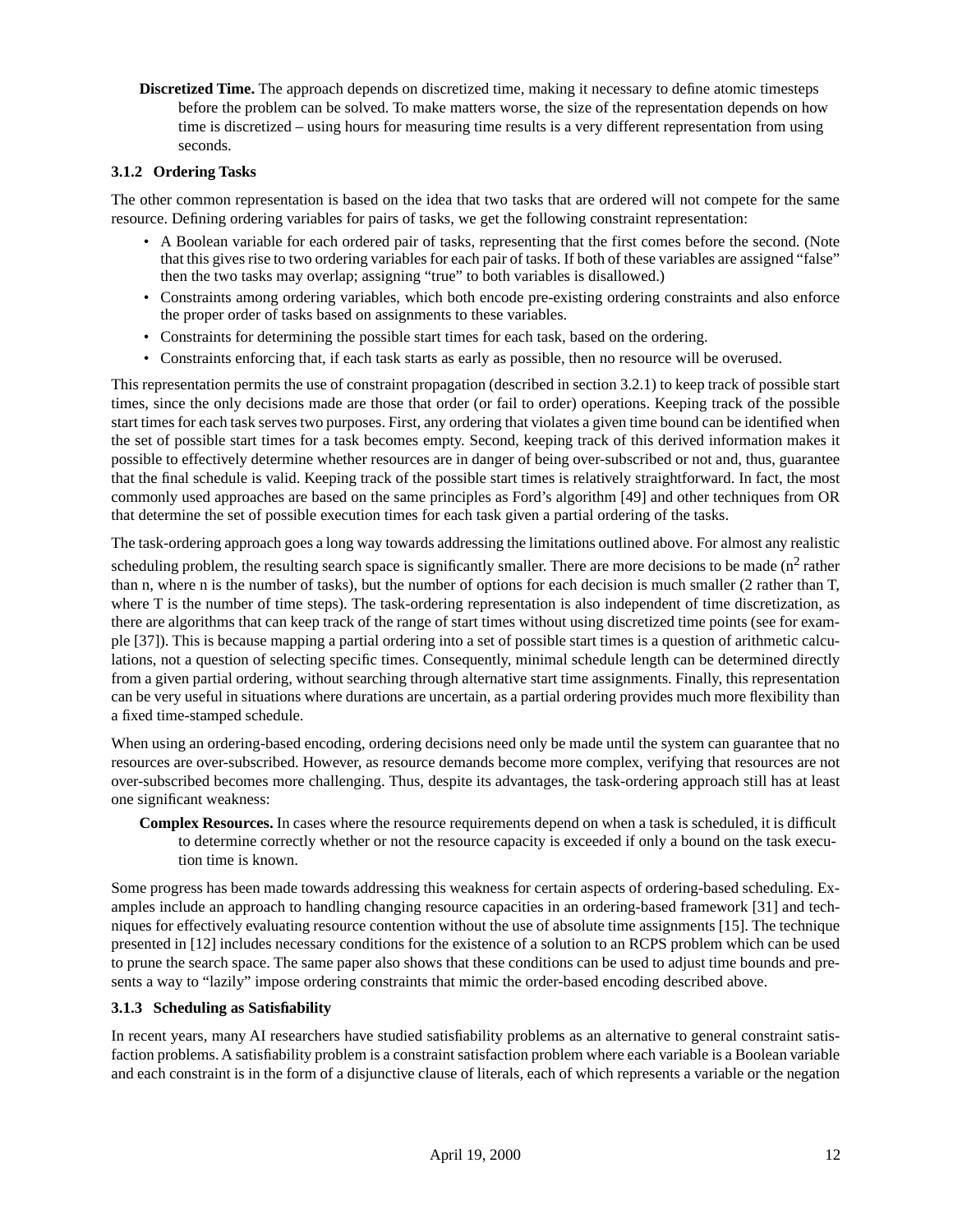**Discretized Time.** The approach depends on discretized time, making it necessary to define atomic timesteps before the problem can be solved. To make matters worse, the size of the representation depends on how time is discretized – using hours for measuring time results is a very different representation from using seconds.

### **3.1.2 Ordering Tasks**

The other common representation is based on the idea that two tasks that are ordered will not compete for the same resource. Defining ordering variables for pairs of tasks, we get the following constraint representation:

- A Boolean variable for each ordered pair of tasks, representing that the first comes before the second. (Note that this gives rise to two ordering variables for each pair of tasks. If both of these variables are assigned "false" then the two tasks may overlap; assigning "true" to both variables is disallowed.)
- Constraints among ordering variables, which both encode pre-existing ordering constraints and also enforce the proper order of tasks based on assignments to these variables.
- Constraints for determining the possible start times for each task, based on the ordering.
- Constraints enforcing that, if each task starts as early as possible, then no resource will be overused.

This representation permits the use of constraint propagation (described in section 3.2.1) to keep track of possible start times, since the only decisions made are those that order (or fail to order) operations. Keeping track of the possible start times for each task serves two purposes. First, any ordering that violates a given time bound can be identified when the set of possible start times for a task becomes empty. Second, keeping track of this derived information makes it possible to effectively determine whether resources are in danger of being over-subscribed or not and, thus, guarantee that the final schedule is valid. Keeping track of the possible start times is relatively straightforward. In fact, the most commonly used approaches are based on the same principles as Ford's algorithm [49] and other techniques from OR that determine the set of possible execution times for each task given a partial ordering of the tasks.

The task-ordering approach goes a long way towards addressing the limitations outlined above. For almost any realistic scheduling problem, the resulting search space is significantly smaller. There are more decisions to be made  $(n^2 \text{ rather})$ than n, where n is the number of tasks), but the number of options for each decision is much smaller (2 rather than T, where T is the number of time steps). The task-ordering representation is also independent of time discretization, as there are algorithms that can keep track of the range of start times without using discretized time points (see for example [37]). This is because mapping a partial ordering into a set of possible start times is a question of arithmetic calculations, not a question of selecting specific times. Consequently, minimal schedule length can be determined directly from a given partial ordering, without searching through alternative start time assignments. Finally, this representation can be very useful in situations where durations are uncertain, as a partial ordering provides much more flexibility than a fixed time-stamped schedule.

When using an ordering-based encoding, ordering decisions need only be made until the system can guarantee that no resources are over-subscribed. However, as resource demands become more complex, verifying that resources are not over-subscribed becomes more challenging. Thus, despite its advantages, the task-ordering approach still has at least one significant weakness:

**Complex Resources.** In cases where the resource requirements depend on when a task is scheduled, it is difficult to determine correctly whether or not the resource capacity is exceeded if only a bound on the task execution time is known.

Some progress has been made towards addressing this weakness for certain aspects of ordering-based scheduling. Examples include an approach to handling changing resource capacities in an ordering-based framework [31] and techniques for effectively evaluating resource contention without the use of absolute time assignments [15]. The technique presented in [12] includes necessary conditions for the existence of a solution to an RCPS problem which can be used to prune the search space. The same paper also shows that these conditions can be used to adjust time bounds and presents a way to "lazily" impose ordering constraints that mimic the order-based encoding described above.

### **3.1.3 Scheduling as Satisfiability**

In recent years, many AI researchers have studied satisfiability problems as an alternative to general constraint satisfaction problems. A satisfiability problem is a constraint satisfaction problem where each variable is a Boolean variable and each constraint is in the form of a disjunctive clause of literals, each of which represents a variable or the negation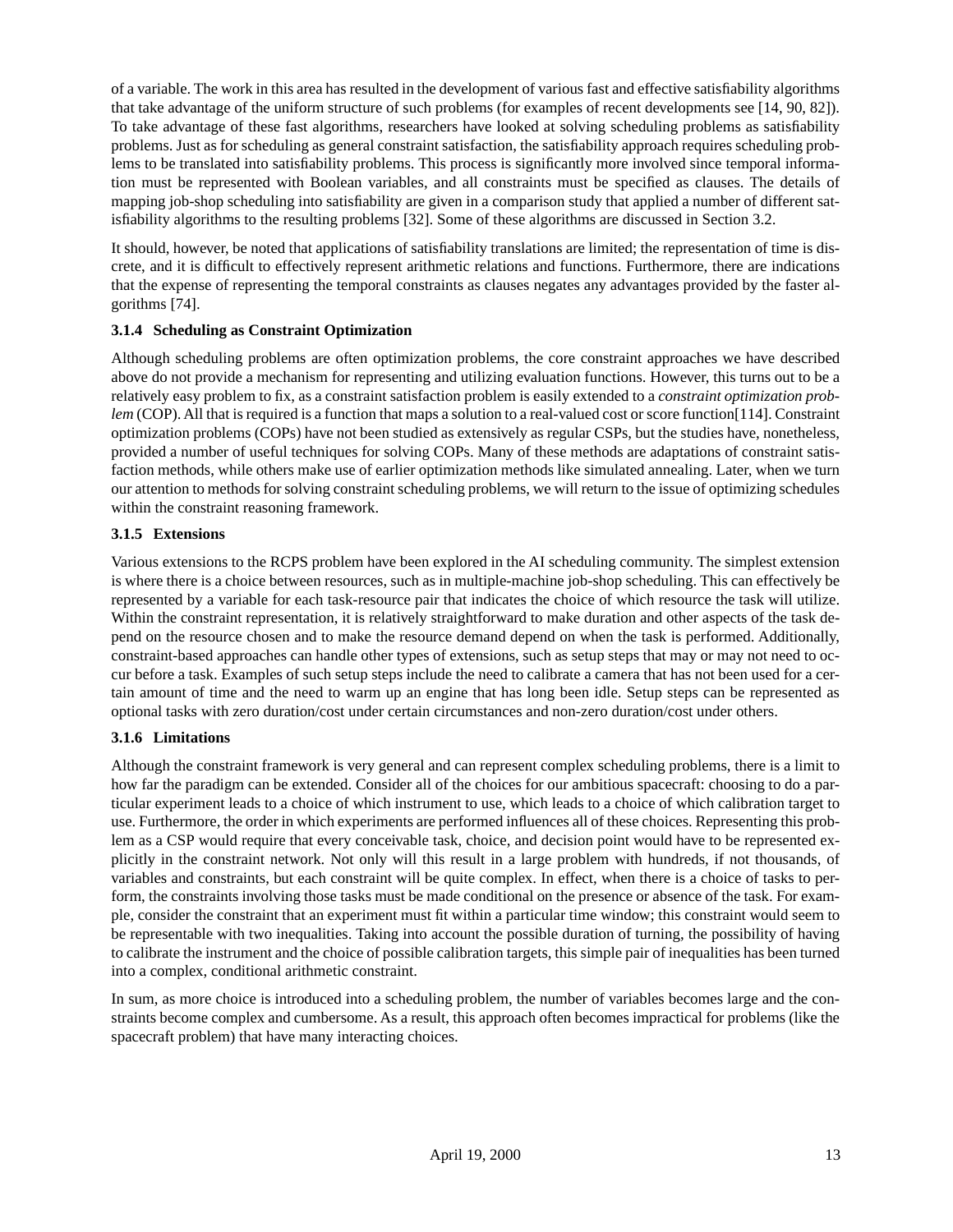of a variable. The work in this area has resulted in the development of various fast and effective satisfiability algorithms that take advantage of the uniform structure of such problems (for examples of recent developments see [14, 90, 82]). To take advantage of these fast algorithms, researchers have looked at solving scheduling problems as satisfiability problems. Just as for scheduling as general constraint satisfaction, the satisfiability approach requires scheduling problems to be translated into satisfiability problems. This process is significantly more involved since temporal information must be represented with Boolean variables, and all constraints must be specified as clauses. The details of mapping job-shop scheduling into satisfiability are given in a comparison study that applied a number of different satisfiability algorithms to the resulting problems [32]. Some of these algorithms are discussed in Section 3.2.

It should, however, be noted that applications of satisfiability translations are limited; the representation of time is discrete, and it is difficult to effectively represent arithmetic relations and functions. Furthermore, there are indications that the expense of representing the temporal constraints as clauses negates any advantages provided by the faster algorithms [74].

### **3.1.4 Scheduling as Constraint Optimization**

Although scheduling problems are often optimization problems, the core constraint approaches we have described above do not provide a mechanism for representing and utilizing evaluation functions. However, this turns out to be a relatively easy problem to fix, as a constraint satisfaction problem is easily extended to a *constraint optimization problem* (COP). All that is required is a function that maps a solution to a real-valued cost or score function[114]. Constraint optimization problems (COPs) have not been studied as extensively as regular CSPs, but the studies have, nonetheless, provided a number of useful techniques for solving COPs. Many of these methods are adaptations of constraint satisfaction methods, while others make use of earlier optimization methods like simulated annealing. Later, when we turn our attention to methods for solving constraint scheduling problems, we will return to the issue of optimizing schedules within the constraint reasoning framework.

### **3.1.5 Extensions**

Various extensions to the RCPS problem have been explored in the AI scheduling community. The simplest extension is where there is a choice between resources, such as in multiple-machine job-shop scheduling. This can effectively be represented by a variable for each task-resource pair that indicates the choice of which resource the task will utilize. Within the constraint representation, it is relatively straightforward to make duration and other aspects of the task depend on the resource chosen and to make the resource demand depend on when the task is performed. Additionally, constraint-based approaches can handle other types of extensions, such as setup steps that may or may not need to occur before a task. Examples of such setup steps include the need to calibrate a camera that has not been used for a certain amount of time and the need to warm up an engine that has long been idle. Setup steps can be represented as optional tasks with zero duration/cost under certain circumstances and non-zero duration/cost under others.

### **3.1.6 Limitations**

Although the constraint framework is very general and can represent complex scheduling problems, there is a limit to how far the paradigm can be extended. Consider all of the choices for our ambitious spacecraft: choosing to do a particular experiment leads to a choice of which instrument to use, which leads to a choice of which calibration target to use. Furthermore, the order in which experiments are performed influences all of these choices. Representing this problem as a CSP would require that every conceivable task, choice, and decision point would have to be represented explicitly in the constraint network. Not only will this result in a large problem with hundreds, if not thousands, of variables and constraints, but each constraint will be quite complex. In effect, when there is a choice of tasks to perform, the constraints involving those tasks must be made conditional on the presence or absence of the task. For example, consider the constraint that an experiment must fit within a particular time window; this constraint would seem to be representable with two inequalities. Taking into account the possible duration of turning, the possibility of having to calibrate the instrument and the choice of possible calibration targets, this simple pair of inequalities has been turned into a complex, conditional arithmetic constraint.

In sum, as more choice is introduced into a scheduling problem, the number of variables becomes large and the constraints become complex and cumbersome. As a result, this approach often becomes impractical for problems (like the spacecraft problem) that have many interacting choices.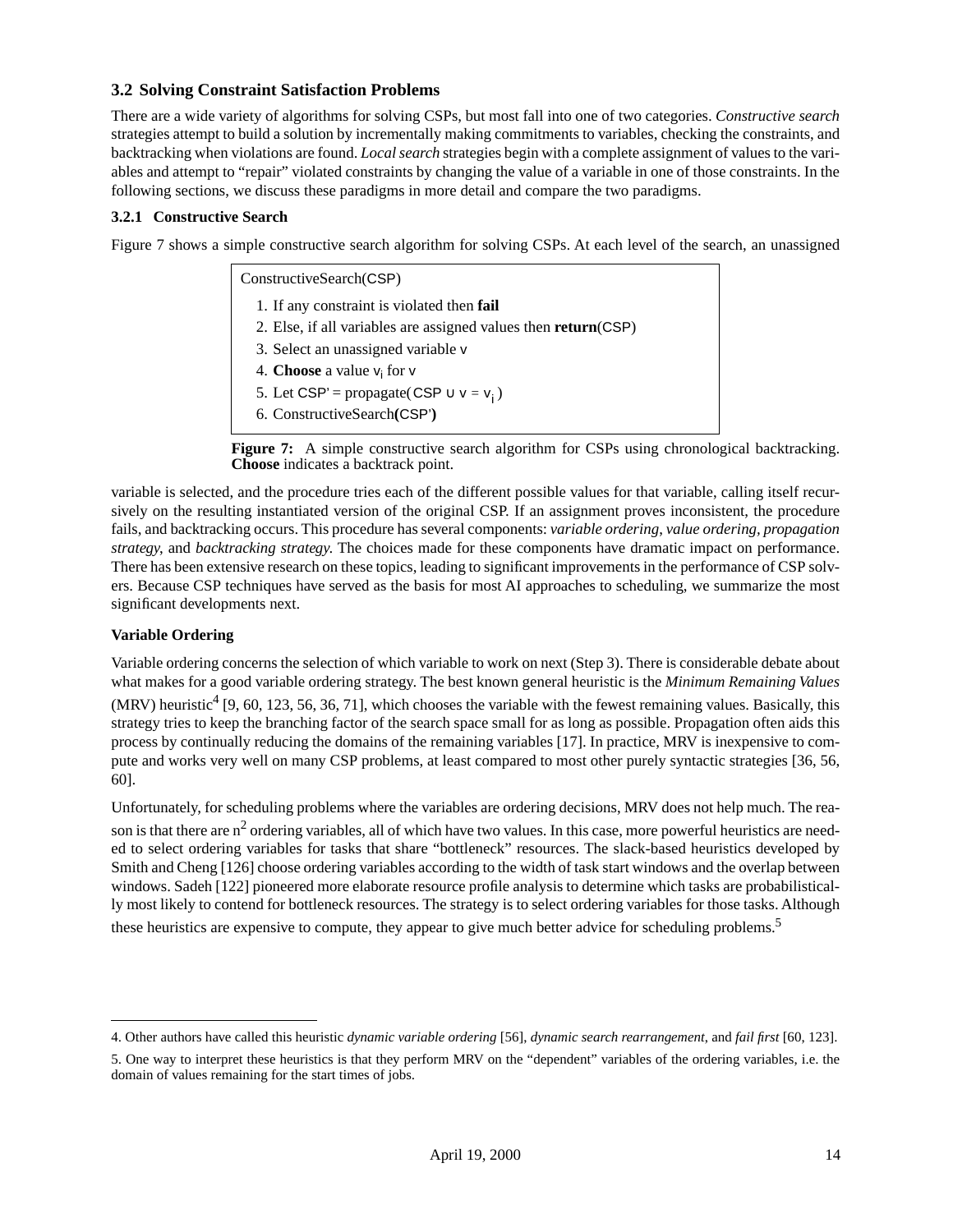### **3.2 Solving Constraint Satisfaction Problems**

There are a wide variety of algorithms for solving CSPs, but most fall into one of two categories. *Constructive search* strategies attempt to build a solution by incrementally making commitments to variables, checking the constraints, and backtracking when violations are found. *Local search* strategies begin with a complete assignment of values to the variables and attempt to "repair" violated constraints by changing the value of a variable in one of those constraints. In the following sections, we discuss these paradigms in more detail and compare the two paradigms.

### **3.2.1 Constructive Search**

Figure 7 shows a simple constructive search algorithm for solving CSPs. At each level of the search, an unassigned

| ConstructiveSearch(CSP)                                         |
|-----------------------------------------------------------------|
| 1. If any constraint is violated then <b>fail</b>               |
| 2. Else, if all variables are assigned values then return (CSP) |
| 3. Select an unassigned variable v                              |
| 4. Choose a value $v_i$ for v                                   |
| 5. Let CSP' = propagate(CSP $\cup$ v = v <sub>i</sub> )         |
| 6. ConstructiveSearch(CSP')                                     |
|                                                                 |

**Figure 7:** A simple constructive search algorithm for CSPs using chronological backtracking. **Choose** indicates a backtrack point.

variable is selected, and the procedure tries each of the different possible values for that variable, calling itself recursively on the resulting instantiated version of the original CSP. If an assignment proves inconsistent, the procedure fails, and backtracking occurs. This procedure has several components: *variable ordering*, *value ordering, propagation strategy*, and *backtracking strategy*. The choices made for these components have dramatic impact on performance. There has been extensive research on these topics, leading to significant improvements in the performance of CSP solvers. Because CSP techniques have served as the basis for most AI approaches to scheduling, we summarize the most significant developments next.

### **Variable Ordering**

Variable ordering concerns the selection of which variable to work on next (Step 3). There is considerable debate about what makes for a good variable ordering strategy. The best known general heuristic is the *Minimum Remaining Values*  $(MRV)$  heuristic<sup>4</sup> [9, 60, 123, 56, 36, 71], which chooses the variable with the fewest remaining values. Basically, this strategy tries to keep the branching factor of the search space small for as long as possible. Propagation often aids this process by continually reducing the domains of the remaining variables [17]. In practice, MRV is inexpensive to compute and works very well on many CSP problems, at least compared to most other purely syntactic strategies [36, 56, 60].

Unfortunately, for scheduling problems where the variables are ordering decisions, MRV does not help much. The reason is that there are  $n^2$  ordering variables, all of which have two values. In this case, more powerful heuristics are needed to select ordering variables for tasks that share "bottleneck" resources. The slack-based heuristics developed by Smith and Cheng [126] choose ordering variables according to the width of task start windows and the overlap between windows. Sadeh [122] pioneered more elaborate resource profile analysis to determine which tasks are probabilistically most likely to contend for bottleneck resources. The strategy is to select ordering variables for those tasks. Although these heuristics are expensive to compute, they appear to give much better advice for scheduling problems.<sup>5</sup>

<sup>4.</sup> Other authors have called this heuristic *dynamic variable ordering* [56], *dynamic search rearrangement*, and *fail first* [60, 123].

<sup>5.</sup> One way to interpret these heuristics is that they perform MRV on the "dependent" variables of the ordering variables, i.e. the domain of values remaining for the start times of jobs.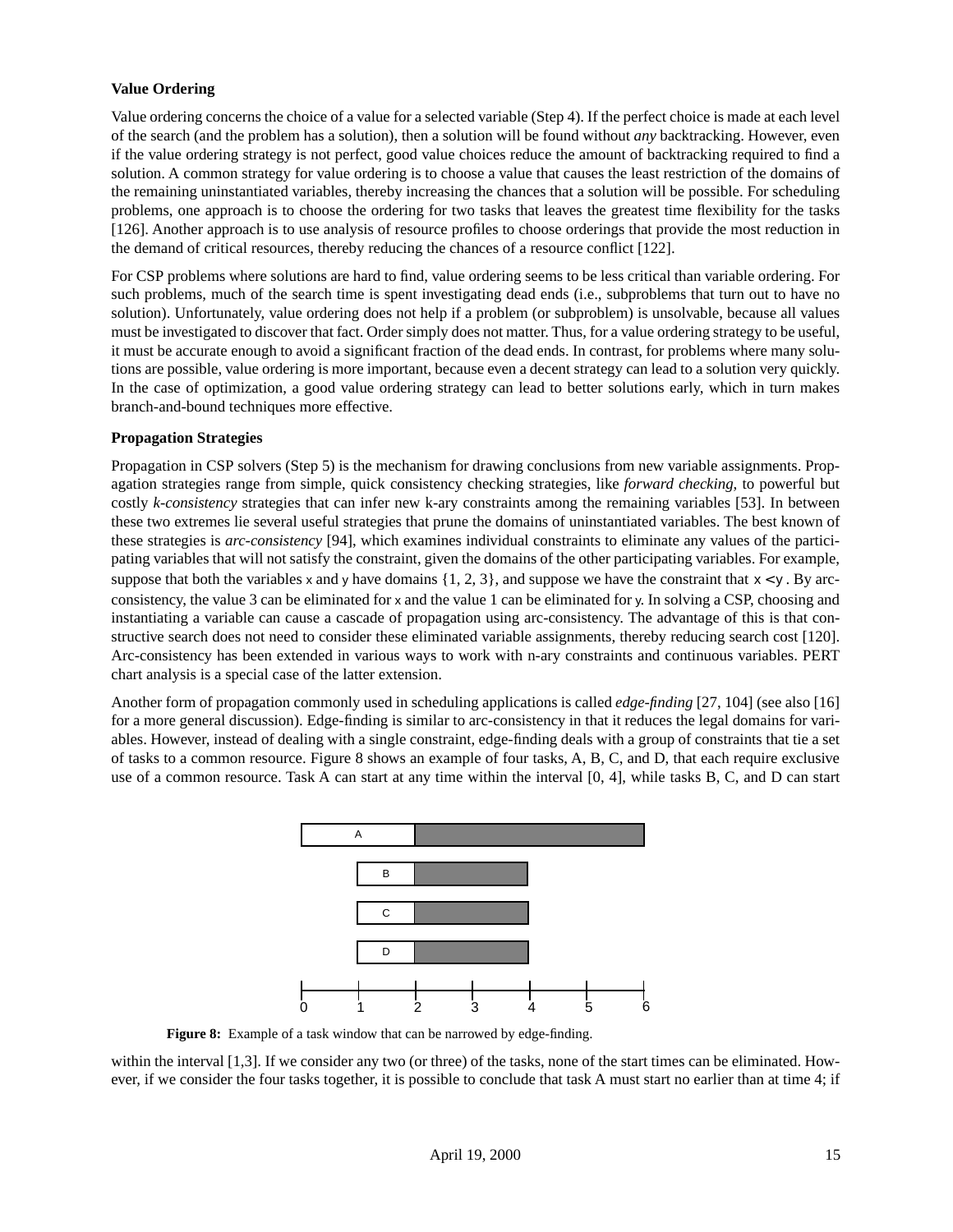### **Value Ordering**

Value ordering concerns the choice of a value for a selected variable (Step 4). If the perfect choice is made at each level of the search (and the problem has a solution), then a solution will be found without *any* backtracking. However, even if the value ordering strategy is not perfect, good value choices reduce the amount of backtracking required to find a solution. A common strategy for value ordering is to choose a value that causes the least restriction of the domains of the remaining uninstantiated variables, thereby increasing the chances that a solution will be possible. For scheduling problems, one approach is to choose the ordering for two tasks that leaves the greatest time flexibility for the tasks [126]. Another approach is to use analysis of resource profiles to choose orderings that provide the most reduction in the demand of critical resources, thereby reducing the chances of a resource conflict [122].

For CSP problems where solutions are hard to find, value ordering seems to be less critical than variable ordering. For such problems, much of the search time is spent investigating dead ends (i.e., subproblems that turn out to have no solution). Unfortunately, value ordering does not help if a problem (or subproblem) is unsolvable, because all values must be investigated to discover that fact. Order simply does not matter. Thus, for a value ordering strategy to be useful, it must be accurate enough to avoid a significant fraction of the dead ends. In contrast, for problems where many solutions are possible, value ordering is more important, because even a decent strategy can lead to a solution very quickly. In the case of optimization, a good value ordering strategy can lead to better solutions early, which in turn makes branch-and-bound techniques more effective.

#### **Propagation Strategies**

Propagation in CSP solvers (Step 5) is the mechanism for drawing conclusions from new variable assignments. Propagation strategies range from simple, quick consistency checking strategies, like *forward checking*, to powerful but costly *k-consistency* strategies that can infer new k-ary constraints among the remaining variables [53]. In between these two extremes lie several useful strategies that prune the domains of uninstantiated variables. The best known of these strategies is *arc-consistency* [94], which examines individual constraints to eliminate any values of the participating variables that will not satisfy the constraint, given the domains of the other participating variables. For example, suppose that both the variables x and y have domains  $\{1, 2, 3\}$ , and suppose we have the constraint that  $x < y$ . By arcconsistency, the value 3 can be eliminated for x and the value 1 can be eliminated for y. In solving a CSP, choosing and instantiating a variable can cause a cascade of propagation using arc-consistency. The advantage of this is that constructive search does not need to consider these eliminated variable assignments, thereby reducing search cost [120]. Arc-consistency has been extended in various ways to work with n-ary constraints and continuous variables. PERT chart analysis is a special case of the latter extension.

Another form of propagation commonly used in scheduling applications is called *edge-finding* [27, 104] (see also [16] for a more general discussion). Edge-finding is similar to arc-consistency in that it reduces the legal domains for variables. However, instead of dealing with a single constraint, edge-finding deals with a group of constraints that tie a set of tasks to a common resource. Figure 8 shows an example of four tasks, A, B, C, and D, that each require exclusive use of a common resource. Task A can start at any time within the interval [0, 4], while tasks B, C, and D can start



Figure 8: Example of a task window that can be narrowed by edge-finding.

within the interval [1,3]. If we consider any two (or three) of the tasks, none of the start times can be eliminated. However, if we consider the four tasks together, it is possible to conclude that task A must start no earlier than at time 4; if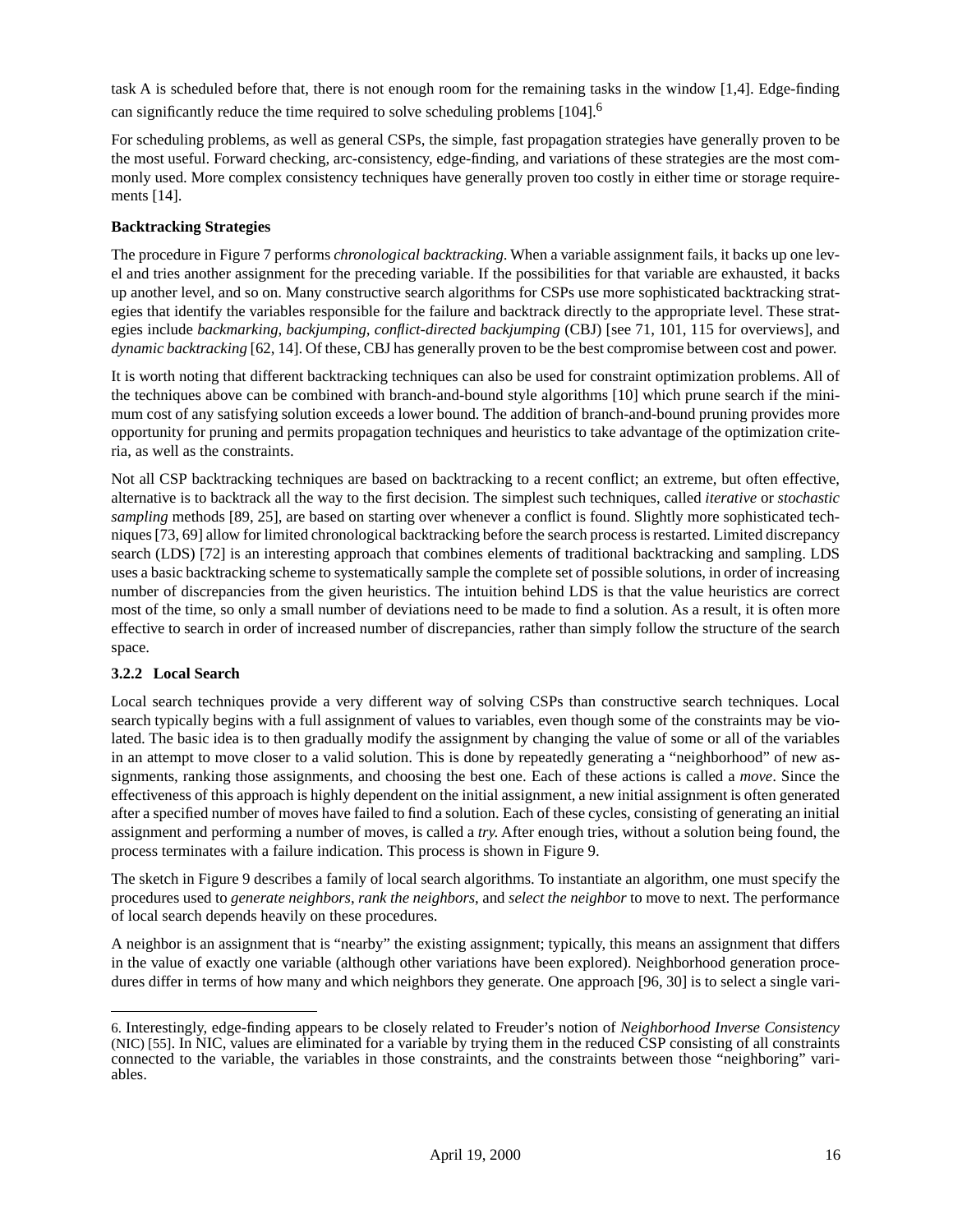task A is scheduled before that, there is not enough room for the remaining tasks in the window [1,4]. Edge-finding can significantly reduce the time required to solve scheduling problems  $[104]$ <sup>6</sup>

For scheduling problems, as well as general CSPs, the simple, fast propagation strategies have generally proven to be the most useful. Forward checking, arc-consistency, edge-finding, and variations of these strategies are the most commonly used. More complex consistency techniques have generally proven too costly in either time or storage requirements [14].

### **Backtracking Strategies**

The procedure in Figure 7 performs *chronological backtracking*. When a variable assignment fails, it backs up one level and tries another assignment for the preceding variable. If the possibilities for that variable are exhausted, it backs up another level, and so on. Many constructive search algorithms for CSPs use more sophisticated backtracking strategies that identify the variables responsible for the failure and backtrack directly to the appropriate level. These strategies include *backmarking*, *backjumping, conflict-directed backjumping* (CBJ) [see 71, 101, 115 for overviews], and *dynamic backtracking* [62, 14]. Of these, CBJ has generally proven to be the best compromise between cost and power.

It is worth noting that different backtracking techniques can also be used for constraint optimization problems. All of the techniques above can be combined with branch-and-bound style algorithms [10] which prune search if the minimum cost of any satisfying solution exceeds a lower bound. The addition of branch-and-bound pruning provides more opportunity for pruning and permits propagation techniques and heuristics to take advantage of the optimization criteria, as well as the constraints.

Not all CSP backtracking techniques are based on backtracking to a recent conflict; an extreme, but often effective, alternative is to backtrack all the way to the first decision. The simplest such techniques, called *iterative* or *stochastic sampling* methods [89, 25], are based on starting over whenever a conflict is found. Slightly more sophisticated techniques [73, 69] allow for limited chronological backtracking before the search process is restarted. Limited discrepancy search (LDS) [72] is an interesting approach that combines elements of traditional backtracking and sampling. LDS uses a basic backtracking scheme to systematically sample the complete set of possible solutions, in order of increasing number of discrepancies from the given heuristics. The intuition behind LDS is that the value heuristics are correct most of the time, so only a small number of deviations need to be made to find a solution. As a result, it is often more effective to search in order of increased number of discrepancies, rather than simply follow the structure of the search space.

### **3.2.2 Local Search**

Local search techniques provide a very different way of solving CSPs than constructive search techniques. Local search typically begins with a full assignment of values to variables, even though some of the constraints may be violated. The basic idea is to then gradually modify the assignment by changing the value of some or all of the variables in an attempt to move closer to a valid solution. This is done by repeatedly generating a "neighborhood" of new assignments, ranking those assignments, and choosing the best one. Each of these actions is called a *move*. Since the effectiveness of this approach is highly dependent on the initial assignment, a new initial assignment is often generated after a specified number of moves have failed to find a solution. Each of these cycles, consisting of generating an initial assignment and performing a number of moves, is called a *try*. After enough tries, without a solution being found, the process terminates with a failure indication. This process is shown in Figure 9.

The sketch in Figure 9 describes a family of local search algorithms. To instantiate an algorithm, one must specify the procedures used to *generate neighbors*, *rank the neighbors*, and *select the neighbor* to move to next. The performance of local search depends heavily on these procedures.

A neighbor is an assignment that is "nearby" the existing assignment; typically, this means an assignment that differs in the value of exactly one variable (although other variations have been explored). Neighborhood generation procedures differ in terms of how many and which neighbors they generate. One approach [96, 30] is to select a single vari-

<sup>6.</sup> Interestingly, edge-finding appears to be closely related to Freuder's notion of *Neighborhood Inverse Consistency* (NIC) [55]. In NIC, values are eliminated for a variable by trying them in the reduced CSP consisting of all constraints connected to the variable, the variables in those constraints, and the constraints between those "neighboring" variables.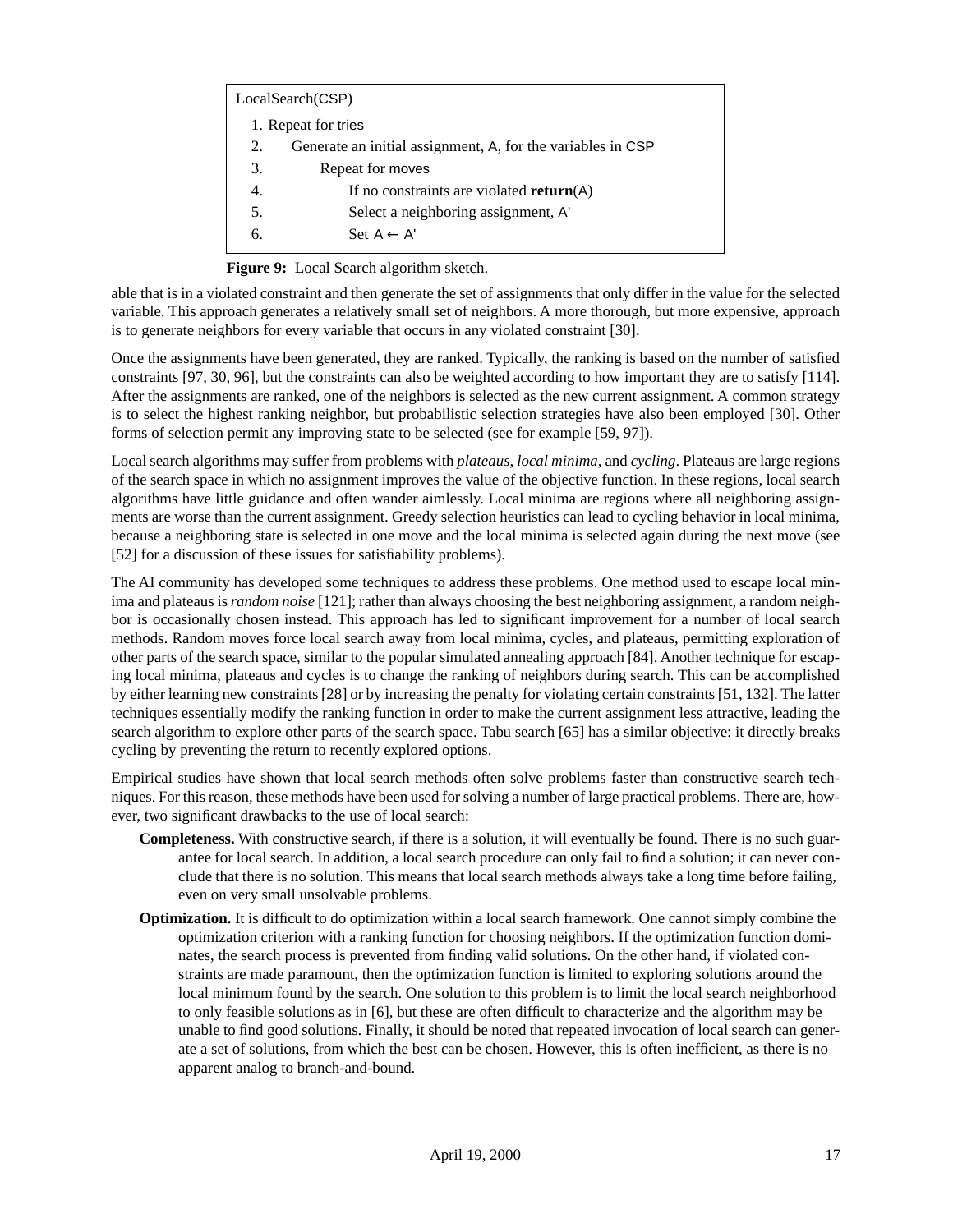| LocalSearch(CSP) |                                                             |  |
|------------------|-------------------------------------------------------------|--|
|                  | 1. Repeat for tries                                         |  |
| 2.               | Generate an initial assignment, A, for the variables in CSP |  |
| 3.               | Repeat for moves                                            |  |
| 4.               | If no constraints are violated return(A)                    |  |
| 5.               | Select a neighboring assignment, A'                         |  |
| 6.               | Set $A \leftarrow A'$                                       |  |
|                  |                                                             |  |

**Figure 9:** Local Search algorithm sketch.

able that is in a violated constraint and then generate the set of assignments that only differ in the value for the selected variable. This approach generates a relatively small set of neighbors. A more thorough, but more expensive, approach is to generate neighbors for every variable that occurs in any violated constraint [30].

Once the assignments have been generated, they are ranked. Typically, the ranking is based on the number of satisfied constraints [97, 30, 96], but the constraints can also be weighted according to how important they are to satisfy [114]. After the assignments are ranked, one of the neighbors is selected as the new current assignment. A common strategy is to select the highest ranking neighbor, but probabilistic selection strategies have also been employed [30]. Other forms of selection permit any improving state to be selected (see for example [59, 97]).

Local search algorithms may suffer from problems with *plateaus*, *local minima*, and *cycling*. Plateaus are large regions of the search space in which no assignment improves the value of the objective function. In these regions, local search algorithms have little guidance and often wander aimlessly. Local minima are regions where all neighboring assignments are worse than the current assignment. Greedy selection heuristics can lead to cycling behavior in local minima, because a neighboring state is selected in one move and the local minima is selected again during the next move (see [52] for a discussion of these issues for satisfiability problems).

The AI community has developed some techniques to address these problems. One method used to escape local minima and plateaus is *random noise* [121]; rather than always choosing the best neighboring assignment, a random neighbor is occasionally chosen instead. This approach has led to significant improvement for a number of local search methods. Random moves force local search away from local minima, cycles, and plateaus, permitting exploration of other parts of the search space, similar to the popular simulated annealing approach [84]. Another technique for escaping local minima, plateaus and cycles is to change the ranking of neighbors during search. This can be accomplished by either learning new constraints [28] or by increasing the penalty for violating certain constraints [51, 132]. The latter techniques essentially modify the ranking function in order to make the current assignment less attractive, leading the search algorithm to explore other parts of the search space. Tabu search [65] has a similar objective: it directly breaks cycling by preventing the return to recently explored options.

Empirical studies have shown that local search methods often solve problems faster than constructive search techniques. For this reason, these methods have been used for solving a number of large practical problems. There are, however, two significant drawbacks to the use of local search:

- **Completeness.** With constructive search, if there is a solution, it will eventually be found. There is no such guarantee for local search. In addition, a local search procedure can only fail to find a solution; it can never conclude that there is no solution. This means that local search methods always take a long time before failing, even on very small unsolvable problems.
- **Optimization.** It is difficult to do optimization within a local search framework. One cannot simply combine the optimization criterion with a ranking function for choosing neighbors. If the optimization function dominates, the search process is prevented from finding valid solutions. On the other hand, if violated constraints are made paramount, then the optimization function is limited to exploring solutions around the local minimum found by the search. One solution to this problem is to limit the local search neighborhood to only feasible solutions as in [6], but these are often difficult to characterize and the algorithm may be unable to find good solutions. Finally, it should be noted that repeated invocation of local search can generate a set of solutions, from which the best can be chosen. However, this is often inefficient, as there is no apparent analog to branch-and-bound.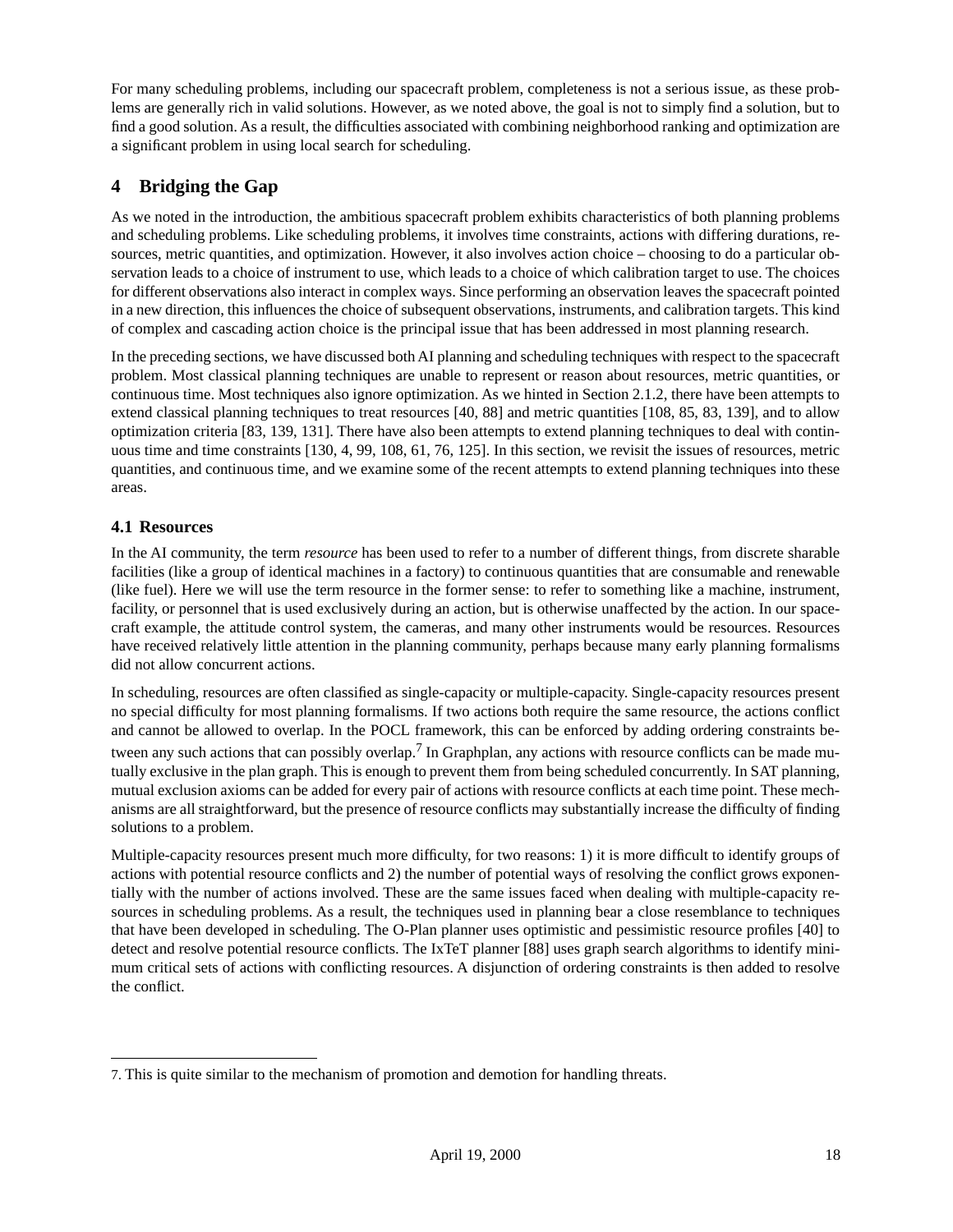For many scheduling problems, including our spacecraft problem, completeness is not a serious issue, as these problems are generally rich in valid solutions. However, as we noted above, the goal is not to simply find a solution, but to find a good solution. As a result, the difficulties associated with combining neighborhood ranking and optimization are a significant problem in using local search for scheduling.

## **4 Bridging the Gap**

As we noted in the introduction, the ambitious spacecraft problem exhibits characteristics of both planning problems and scheduling problems. Like scheduling problems, it involves time constraints, actions with differing durations, resources, metric quantities, and optimization. However, it also involves action choice – choosing to do a particular observation leads to a choice of instrument to use, which leads to a choice of which calibration target to use. The choices for different observations also interact in complex ways. Since performing an observation leaves the spacecraft pointed in a new direction, this influences the choice of subsequent observations, instruments, and calibration targets. This kind of complex and cascading action choice is the principal issue that has been addressed in most planning research.

In the preceding sections, we have discussed both AI planning and scheduling techniques with respect to the spacecraft problem. Most classical planning techniques are unable to represent or reason about resources, metric quantities, or continuous time. Most techniques also ignore optimization. As we hinted in Section 2.1.2, there have been attempts to extend classical planning techniques to treat resources [40, 88] and metric quantities [108, 85, 83, 139], and to allow optimization criteria [83, 139, 131]. There have also been attempts to extend planning techniques to deal with continuous time and time constraints [130, 4, 99, 108, 61, 76, 125]. In this section, we revisit the issues of resources, metric quantities, and continuous time, and we examine some of the recent attempts to extend planning techniques into these areas.

### **4.1 Resources**

In the AI community, the term *resource* has been used to refer to a number of different things, from discrete sharable facilities (like a group of identical machines in a factory) to continuous quantities that are consumable and renewable (like fuel). Here we will use the term resource in the former sense: to refer to something like a machine, instrument, facility, or personnel that is used exclusively during an action, but is otherwise unaffected by the action. In our spacecraft example, the attitude control system, the cameras, and many other instruments would be resources. Resources have received relatively little attention in the planning community, perhaps because many early planning formalisms did not allow concurrent actions.

In scheduling, resources are often classified as single-capacity or multiple-capacity. Single-capacity resources present no special difficulty for most planning formalisms. If two actions both require the same resource, the actions conflict and cannot be allowed to overlap. In the POCL framework, this can be enforced by adding ordering constraints be-

tween any such actions that can possibly overlap.<sup>7</sup> In Graphplan, any actions with resource conflicts can be made mutually exclusive in the plan graph. This is enough to prevent them from being scheduled concurrently. In SAT planning, mutual exclusion axioms can be added for every pair of actions with resource conflicts at each time point. These mechanisms are all straightforward, but the presence of resource conflicts may substantially increase the difficulty of finding solutions to a problem.

Multiple-capacity resources present much more difficulty, for two reasons: 1) it is more difficult to identify groups of actions with potential resource conflicts and 2) the number of potential ways of resolving the conflict grows exponentially with the number of actions involved. These are the same issues faced when dealing with multiple-capacity resources in scheduling problems. As a result, the techniques used in planning bear a close resemblance to techniques that have been developed in scheduling. The O-Plan planner uses optimistic and pessimistic resource profiles [40] to detect and resolve potential resource conflicts. The IxTeT planner [88] uses graph search algorithms to identify minimum critical sets of actions with conflicting resources. A disjunction of ordering constraints is then added to resolve the conflict.

<sup>7.</sup> This is quite similar to the mechanism of promotion and demotion for handling threats.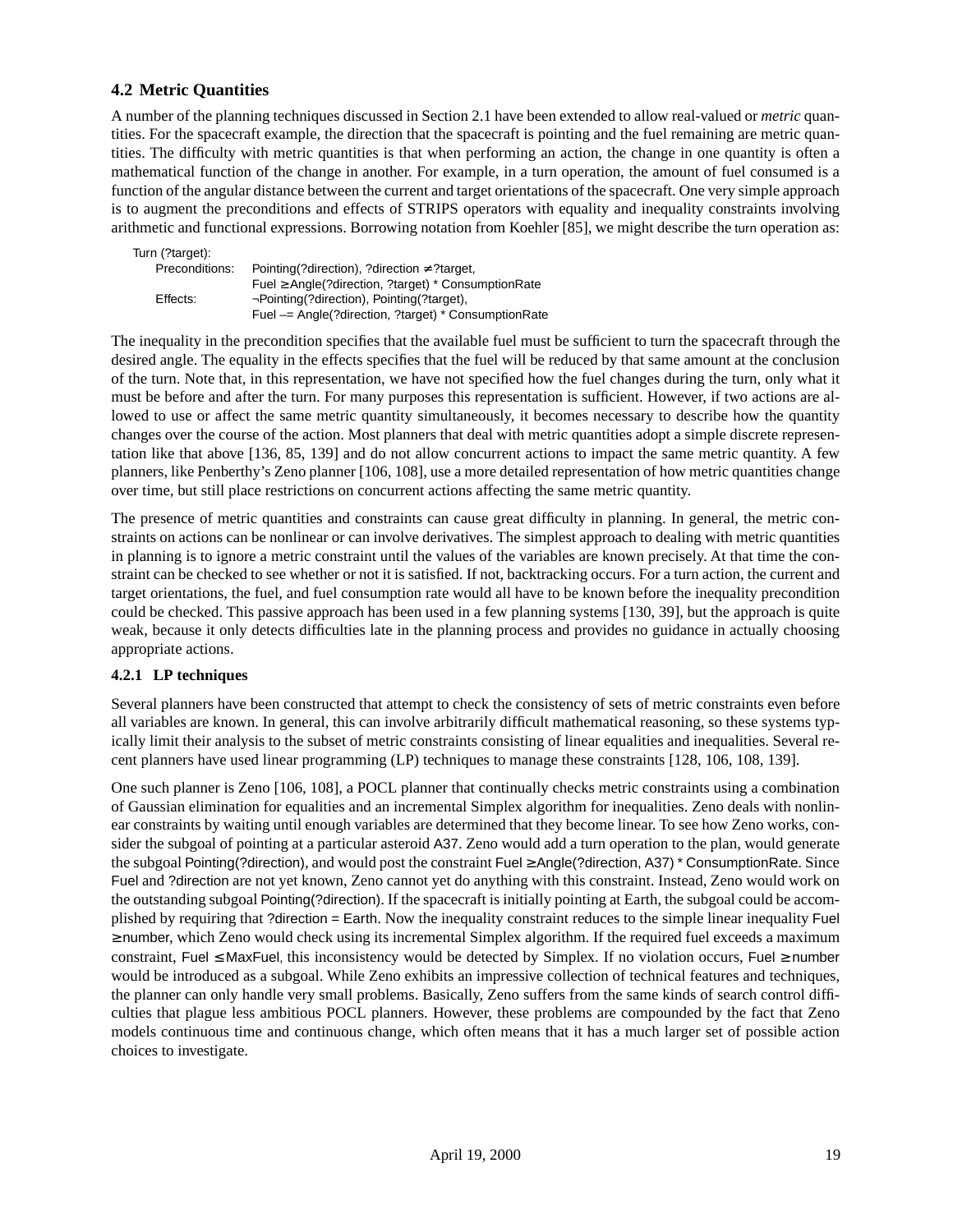### **4.2 Metric Quantities**

A number of the planning techniques discussed in Section 2.1 have been extended to allow real-valued or *metric* quantities. For the spacecraft example, the direction that the spacecraft is pointing and the fuel remaining are metric quantities. The difficulty with metric quantities is that when performing an action, the change in one quantity is often a mathematical function of the change in another. For example, in a turn operation, the amount of fuel consumed is a function of the angular distance between the current and target orientations of the spacecraft. One very simple approach is to augment the preconditions and effects of STRIPS operators with equality and inequality constraints involving arithmetic and functional expressions. Borrowing notation from Koehler [85], we might describe the turn operation as:

| Turn (?target): |                                                           |
|-----------------|-----------------------------------------------------------|
| Preconditions:  | Pointing (?direction), ?direction $\neq$ ?target,         |
|                 | Fuel $\geq$ Angle(?direction, ?target) * Consumption Rate |
| Effects:        | ¬Pointing(?direction), Pointing(?target),                 |
|                 | Fuel -= Angle(?direction, ?target) * ConsumptionRate      |

The inequality in the precondition specifies that the available fuel must be sufficient to turn the spacecraft through the desired angle. The equality in the effects specifies that the fuel will be reduced by that same amount at the conclusion of the turn. Note that, in this representation, we have not specified how the fuel changes during the turn, only what it must be before and after the turn. For many purposes this representation is sufficient. However, if two actions are allowed to use or affect the same metric quantity simultaneously, it becomes necessary to describe how the quantity changes over the course of the action. Most planners that deal with metric quantities adopt a simple discrete representation like that above [136, 85, 139] and do not allow concurrent actions to impact the same metric quantity. A few planners, like Penberthy's Zeno planner [106, 108], use a more detailed representation of how metric quantities change over time, but still place restrictions on concurrent actions affecting the same metric quantity.

The presence of metric quantities and constraints can cause great difficulty in planning. In general, the metric constraints on actions can be nonlinear or can involve derivatives. The simplest approach to dealing with metric quantities in planning is to ignore a metric constraint until the values of the variables are known precisely. At that time the constraint can be checked to see whether or not it is satisfied. If not, backtracking occurs. For a turn action, the current and target orientations, the fuel, and fuel consumption rate would all have to be known before the inequality precondition could be checked. This passive approach has been used in a few planning systems [130, 39], but the approach is quite weak, because it only detects difficulties late in the planning process and provides no guidance in actually choosing appropriate actions.

### **4.2.1 LP techniques**

Several planners have been constructed that attempt to check the consistency of sets of metric constraints even before all variables are known. In general, this can involve arbitrarily difficult mathematical reasoning, so these systems typically limit their analysis to the subset of metric constraints consisting of linear equalities and inequalities. Several recent planners have used linear programming (LP) techniques to manage these constraints [128, 106, 108, 139].

One such planner is Zeno [106, 108], a POCL planner that continually checks metric constraints using a combination of Gaussian elimination for equalities and an incremental Simplex algorithm for inequalities. Zeno deals with nonlinear constraints by waiting until enough variables are determined that they become linear. To see how Zeno works, consider the subgoal of pointing at a particular asteroid A37. Zeno would add a turn operation to the plan, would generate the subgoal Pointing(?direction), and would post the constraint Fuel ≥ Angle(?direction, A37) \* ConsumptionRate. Since Fuel and ?direction are not yet known, Zeno cannot yet do anything with this constraint. Instead, Zeno would work on the outstanding subgoal Pointing(?direction). If the spacecraft is initially pointing at Earth, the subgoal could be accomplished by requiring that ?direction = Earth. Now the inequality constraint reduces to the simple linear inequality Fuel ≥ number, which Zeno would check using its incremental Simplex algorithm. If the required fuel exceeds a maximum constraint, Fuel ≤ MaxFuel, this inconsistency would be detected by Simplex. If no violation occurs, Fuel ≥ number would be introduced as a subgoal. While Zeno exhibits an impressive collection of technical features and techniques, the planner can only handle very small problems. Basically, Zeno suffers from the same kinds of search control difficulties that plague less ambitious POCL planners. However, these problems are compounded by the fact that Zeno models continuous time and continuous change, which often means that it has a much larger set of possible action choices to investigate.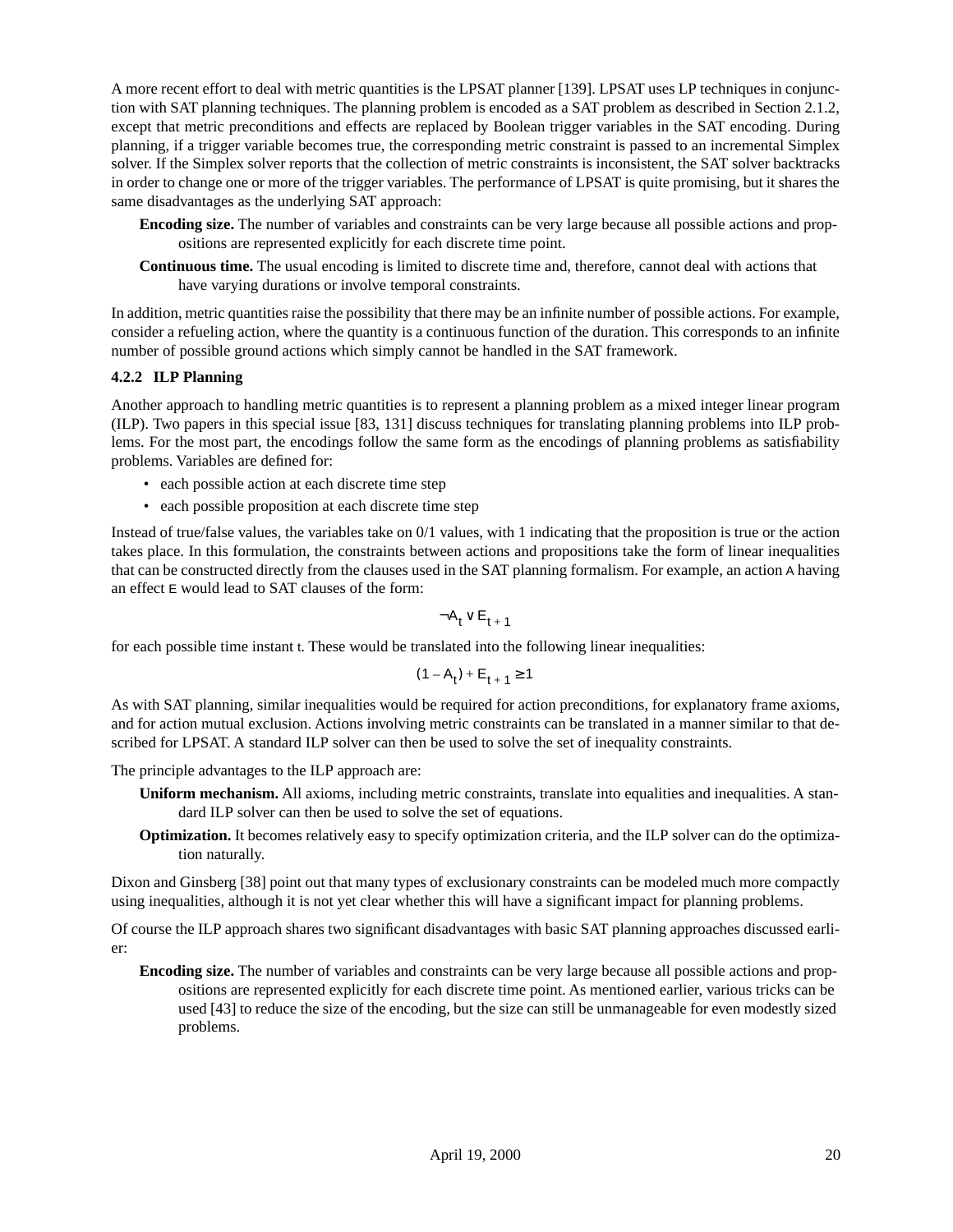A more recent effort to deal with metric quantities is the LPSAT planner [139]. LPSAT uses LP techniques in conjunction with SAT planning techniques. The planning problem is encoded as a SAT problem as described in Section 2.1.2, except that metric preconditions and effects are replaced by Boolean trigger variables in the SAT encoding. During planning, if a trigger variable becomes true, the corresponding metric constraint is passed to an incremental Simplex solver. If the Simplex solver reports that the collection of metric constraints is inconsistent, the SAT solver backtracks in order to change one or more of the trigger variables. The performance of LPSAT is quite promising, but it shares the same disadvantages as the underlying SAT approach:

- **Encoding size.** The number of variables and constraints can be very large because all possible actions and propositions are represented explicitly for each discrete time point.
- **Continuous time.** The usual encoding is limited to discrete time and, therefore, cannot deal with actions that have varying durations or involve temporal constraints.

In addition, metric quantities raise the possibility that there may be an infinite number of possible actions. For example, consider a refueling action, where the quantity is a continuous function of the duration. This corresponds to an infinite number of possible ground actions which simply cannot be handled in the SAT framework.

### **4.2.2 ILP Planning**

Another approach to handling metric quantities is to represent a planning problem as a mixed integer linear program (ILP). Two papers in this special issue [83, 131] discuss techniques for translating planning problems into ILP problems. For the most part, the encodings follow the same form as the encodings of planning problems as satisfiability problems. Variables are defined for:

- each possible action at each discrete time step
- each possible proposition at each discrete time step

Instead of true/false values, the variables take on 0/1 values, with 1 indicating that the proposition is true or the action takes place. In this formulation, the constraints between actions and propositions take the form of linear inequalities that can be constructed directly from the clauses used in the SAT planning formalism. For example, an action A having an effect E would lead to SAT clauses of the form:

$$
\neg A_t \vee E_{t+1}
$$

for each possible time instant t. These would be translated into the following linear inequalities:

$$
(1-A_t)+E_{t+1}\geq 1
$$

As with SAT planning, similar inequalities would be required for action preconditions, for explanatory frame axioms, and for action mutual exclusion. Actions involving metric constraints can be translated in a manner similar to that described for LPSAT. A standard ILP solver can then be used to solve the set of inequality constraints.

The principle advantages to the ILP approach are:

- **Uniform mechanism.** All axioms, including metric constraints, translate into equalities and inequalities. A standard ILP solver can then be used to solve the set of equations.
- **Optimization.** It becomes relatively easy to specify optimization criteria, and the ILP solver can do the optimization naturally.

Dixon and Ginsberg [38] point out that many types of exclusionary constraints can be modeled much more compactly using inequalities, although it is not yet clear whether this will have a significant impact for planning problems.

Of course the ILP approach shares two significant disadvantages with basic SAT planning approaches discussed earlier:

**Encoding size.** The number of variables and constraints can be very large because all possible actions and propositions are represented explicitly for each discrete time point. As mentioned earlier, various tricks can be used [43] to reduce the size of the encoding, but the size can still be unmanageable for even modestly sized problems.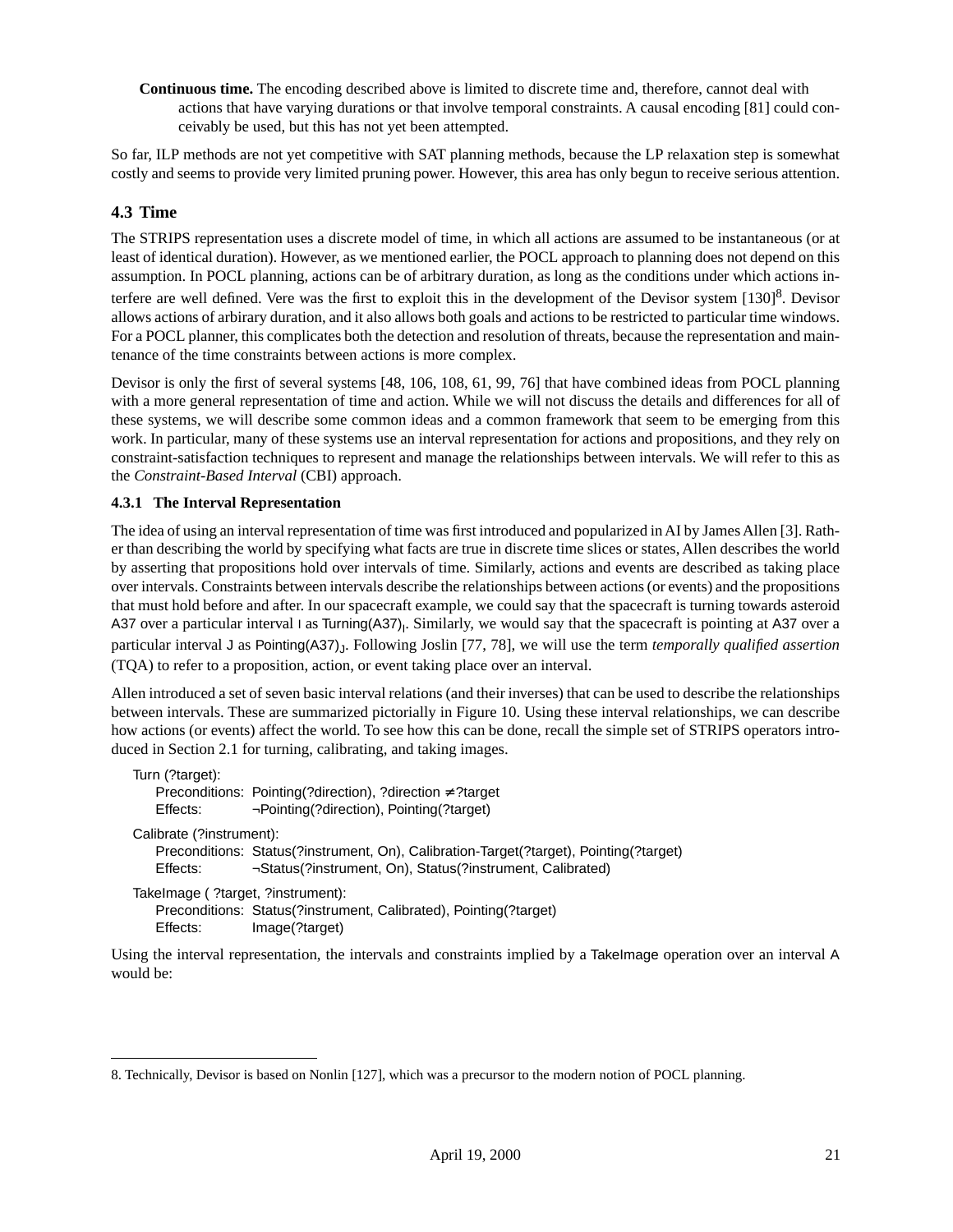**Continuous time.** The encoding described above is limited to discrete time and, therefore, cannot deal with actions that have varying durations or that involve temporal constraints. A causal encoding [81] could conceivably be used, but this has not yet been attempted.

So far, ILP methods are not yet competitive with SAT planning methods, because the LP relaxation step is somewhat costly and seems to provide very limited pruning power. However, this area has only begun to receive serious attention.

### **4.3 Time**

The STRIPS representation uses a discrete model of time, in which all actions are assumed to be instantaneous (or at least of identical duration). However, as we mentioned earlier, the POCL approach to planning does not depend on this assumption. In POCL planning, actions can be of arbitrary duration, as long as the conditions under which actions interfere are well defined. Vere was the first to exploit this in the development of the Devisor system  $[130]^{8}$ . Devisor allows actions of arbirary duration, and it also allows both goals and actions to be restricted to particular time windows. For a POCL planner, this complicates both the detection and resolution of threats, because the representation and maintenance of the time constraints between actions is more complex.

Devisor is only the first of several systems [48, 106, 108, 61, 99, 76] that have combined ideas from POCL planning with a more general representation of time and action. While we will not discuss the details and differences for all of these systems, we will describe some common ideas and a common framework that seem to be emerging from this work. In particular, many of these systems use an interval representation for actions and propositions, and they rely on constraint-satisfaction techniques to represent and manage the relationships between intervals. We will refer to this as the *Constraint-Based Interval* (CBI) approach.

### **4.3.1 The Interval Representation**

The idea of using an interval representation of time was first introduced and popularized in AI by James Allen [3]. Rather than describing the world by specifying what facts are true in discrete time slices or states, Allen describes the world by asserting that propositions hold over intervals of time. Similarly, actions and events are described as taking place over intervals. Constraints between intervals describe the relationships between actions (or events) and the propositions that must hold before and after. In our spacecraft example, we could say that the spacecraft is turning towards asteroid A37 over a particular interval I as Turning(A37)<sub>1</sub>. Similarly, we would say that the spacecraft is pointing at A37 over a particular interval J as Pointing(A37)<sub>J</sub>. Following Joslin [77, 78], we will use the term *temporally qualified assertion* (TQA) to refer to a proposition, action, or event taking place over an interval.

Allen introduced a set of seven basic interval relations (and their inverses) that can be used to describe the relationships between intervals. These are summarized pictorially in Figure 10. Using these interval relationships, we can describe how actions (or events) affect the world. To see how this can be done, recall the simple set of STRIPS operators introduced in Section 2.1 for turning, calibrating, and taking images.

```
Turn (?target):
   Preconditions: Pointing(?direction), ?direction ≠ ?target 
   Effects: ¬Pointing(?direction), Pointing(?target)
Calibrate (?instrument):
   Preconditions: Status(?instrument, On), Calibration-Target(?target), Pointing(?target)
   Effects: ¬Status(?instrument, On), Status(?instrument, Calibrated)
TakeImage ( ?target, ?instrument):
   Preconditions: Status(?instrument, Calibrated), Pointing(?target)
   Effects: Image(?target)
```
Using the interval representation, the intervals and constraints implied by a TakeImage operation over an interval A would be:

<sup>8.</sup> Technically, Devisor is based on Nonlin [127], which was a precursor to the modern notion of POCL planning.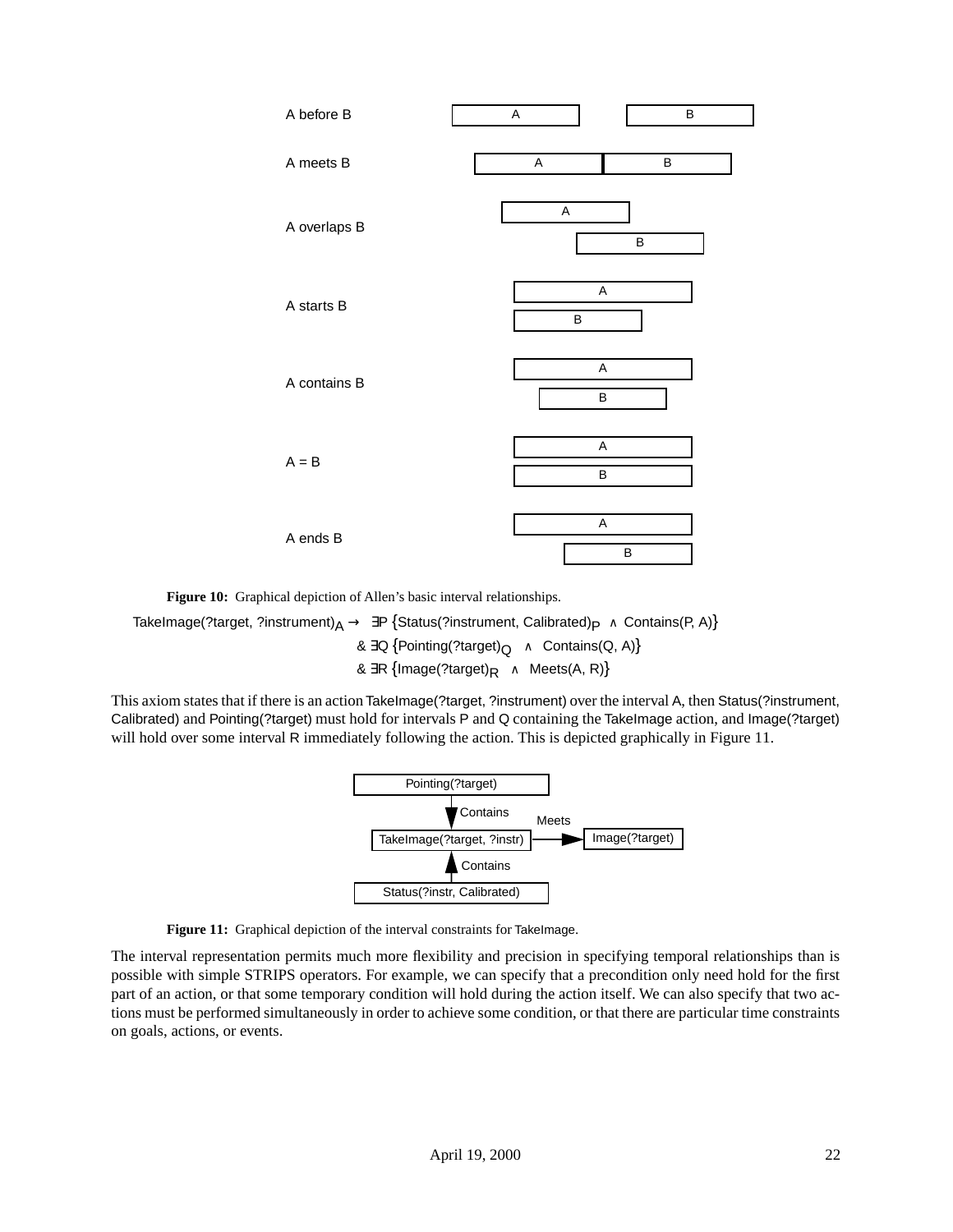

**Figure 10:** Graphical depiction of Allen's basic interval relationships.

TakeImage(?target, ?instrument)<sub>A</sub>  $\rightarrow \ \exists P$  {Status(?instrument, Calibrated)<sub>P</sub>  $\land$  Contains(P, A)} &  $\exists Q \{\text{Pointing}(? \text{target})_{Q} \land \text{contains}(Q, A)\}$ & ∃R {Image(?target)<sub>R</sub>  $\land$  Meets(A, R)}

This axiom states that if there is an action TakeImage(?target, ?instrument) over the interval A, then Status(?instrument, Calibrated) and Pointing(?target) must hold for intervals P and Q containing the TakeImage action, and Image(?target) will hold over some interval R immediately following the action. This is depicted graphically in Figure 11.



Figure 11: Graphical depiction of the interval constraints for TakeImage.

The interval representation permits much more flexibility and precision in specifying temporal relationships than is possible with simple STRIPS operators. For example, we can specify that a precondition only need hold for the first part of an action, or that some temporary condition will hold during the action itself. We can also specify that two actions must be performed simultaneously in order to achieve some condition, or that there are particular time constraints on goals, actions, or events.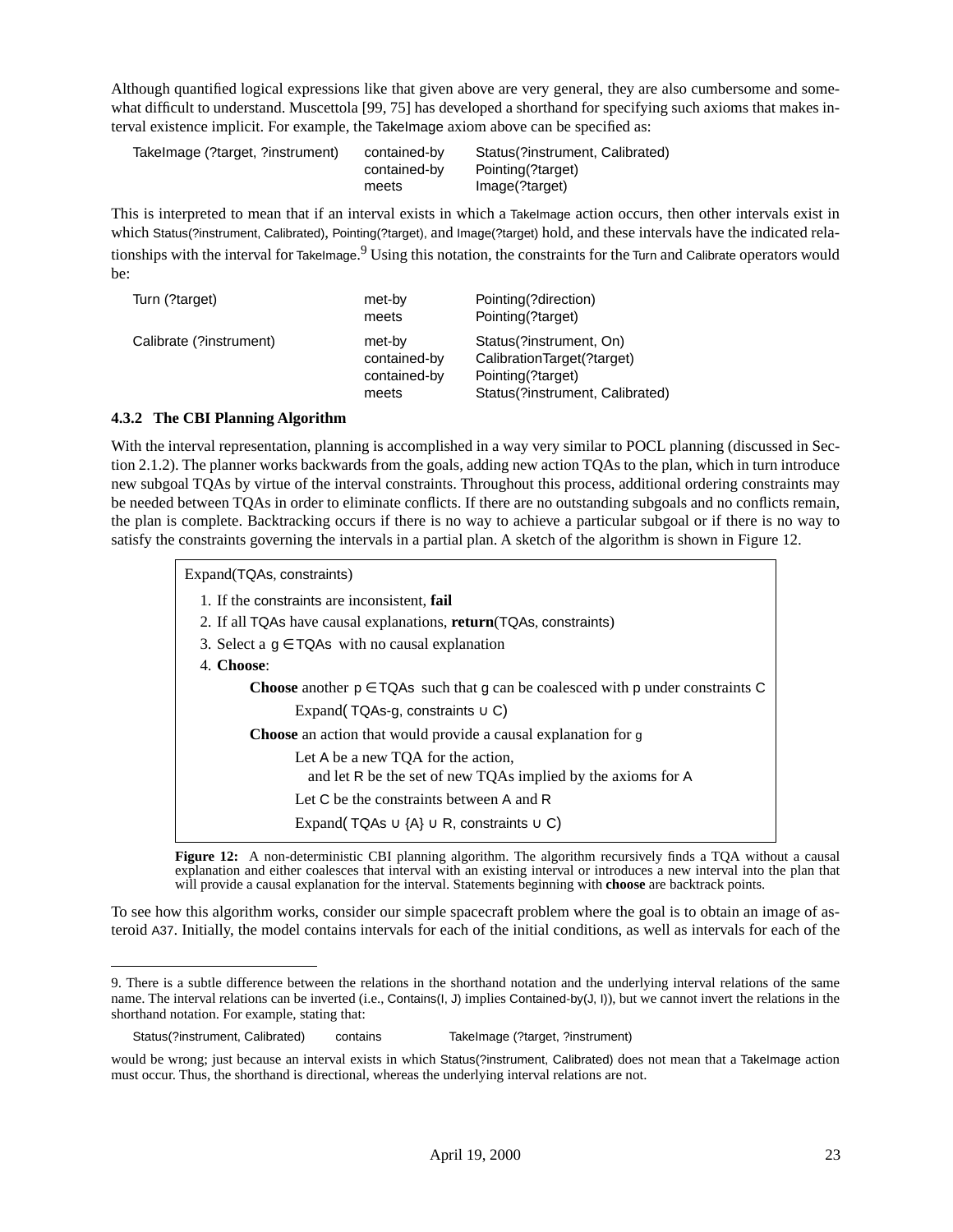Although quantified logical expressions like that given above are very general, they are also cumbersome and somewhat difficult to understand. Muscettola [99, 75] has developed a shorthand for specifying such axioms that makes interval existence implicit. For example, the TakeImage axiom above can be specified as:

| Takelmage (?target, ?instrument) | contained-by | Status(?instrument, Calibrated) |
|----------------------------------|--------------|---------------------------------|
|                                  | contained-by | Pointing(?target)               |
|                                  | meets        | Image(?target)                  |

This is interpreted to mean that if an interval exists in which a TakeImage action occurs, then other intervals exist in which Status(?instrument, Calibrated), Pointing(?target), and Image(?target) hold, and these intervals have the indicated relationships with the interval for TakeImage.<sup>9</sup> Using this notation, the constraints for the Turn and Calibrate operators would be:

| Turn (?target)          | met-by<br>meets                                 | Pointing(?direction)<br>Pointing(?target)                                                                     |
|-------------------------|-------------------------------------------------|---------------------------------------------------------------------------------------------------------------|
| Calibrate (?instrument) | met-by<br>contained-by<br>contained-by<br>meets | Status(?instrument, On)<br>CalibrationTarget(?target)<br>Pointing(?target)<br>Status(?instrument, Calibrated) |

### **4.3.2 The CBI Planning Algorithm**

With the interval representation, planning is accomplished in a way very similar to POCL planning (discussed in Section 2.1.2). The planner works backwards from the goals, adding new action TQAs to the plan, which in turn introduce new subgoal TQAs by virtue of the interval constraints. Throughout this process, additional ordering constraints may be needed between TQAs in order to eliminate conflicts. If there are no outstanding subgoals and no conflicts remain, the plan is complete. Backtracking occurs if there is no way to achieve a particular subgoal or if there is no way to satisfy the constraints governing the intervals in a partial plan. A sketch of the algorithm is shown in Figure 12.

| Expand (TQAs, constraints)                                                                         |
|----------------------------------------------------------------------------------------------------|
| 1. If the constraints are inconsistent, fail                                                       |
| 2. If all TQAs have causal explanations, return (TQAs, constraints)                                |
| 3. Select a $q \in TQAs$ with no causal explanation                                                |
| 4. Choose:                                                                                         |
| <b>Choose</b> another $p \in TQAs$ such that g can be coalesced with p under constraints C         |
| Expand (TQAs-q, constraints $\cup$ C)                                                              |
| Choose an action that would provide a causal explanation for g                                     |
| Let A be a new TQA for the action,<br>and let R be the set of new TQAs implied by the axioms for A |
| Let C be the constraints between A and R                                                           |
| Expand(TQAs $\cup$ {A} $\cup$ R, constraints $\cup$ C)                                             |

**Figure 12:** A non-deterministic CBI planning algorithm. The algorithm recursively finds a TQA without a causal explanation and either coalesces that interval with an existing interval or introduces a new interval into the plan that will provide a causal explanation for the interval. Statements beginning with **choose** are backtrack points.

To see how this algorithm works, consider our simple spacecraft problem where the goal is to obtain an image of asteroid A37. Initially, the model contains intervals for each of the initial conditions, as well as intervals for each of the

<sup>9.</sup> There is a subtle difference between the relations in the shorthand notation and the underlying interval relations of the same name. The interval relations can be inverted (i.e., Contains(I, J) implies Contained-by(J, I)), but we cannot invert the relations in the shorthand notation. For example, stating that:

Status(?instrument, Calibrated) contains TakeImage (?target, ?instrument)

would be wrong; just because an interval exists in which Status(?instrument, Calibrated) does not mean that a TakeImage action must occur. Thus, the shorthand is directional, whereas the underlying interval relations are not.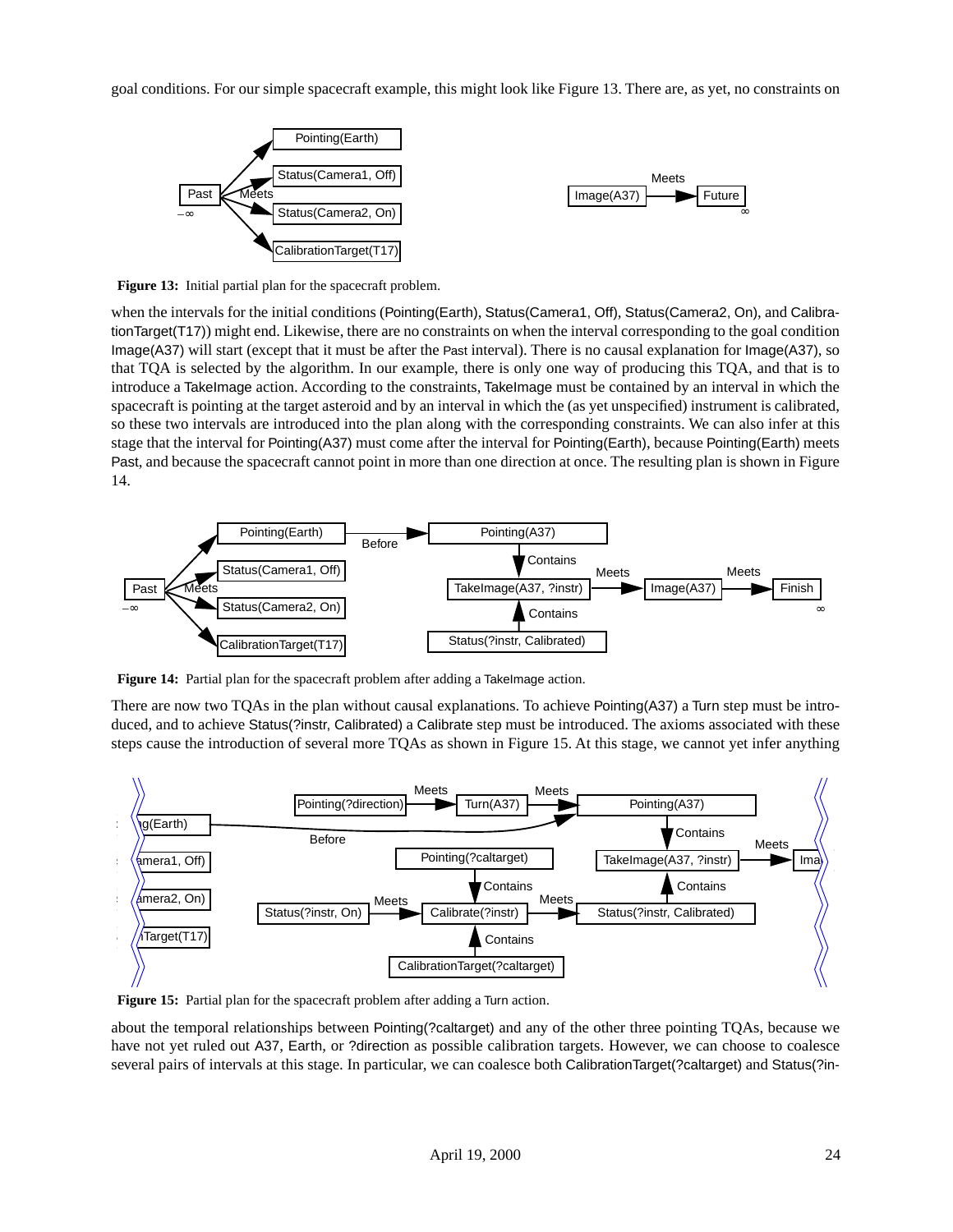goal conditions. For our simple spacecraft example, this might look like Figure 13. There are, as yet, no constraints on



**Figure 13:** Initial partial plan for the spacecraft problem.

when the intervals for the initial conditions (Pointing(Earth), Status(Camera1, Off), Status(Camera2, On), and CalibrationTarget(T17)) might end. Likewise, there are no constraints on when the interval corresponding to the goal condition Image(A37) will start (except that it must be after the Past interval). There is no causal explanation for Image(A37), so that TQA is selected by the algorithm. In our example, there is only one way of producing this TQA, and that is to introduce a TakeImage action. According to the constraints, TakeImage must be contained by an interval in which the spacecraft is pointing at the target asteroid and by an interval in which the (as yet unspecified) instrument is calibrated, so these two intervals are introduced into the plan along with the corresponding constraints. We can also infer at this stage that the interval for Pointing(A37) must come after the interval for Pointing(Earth), because Pointing(Earth) meets Past, and because the spacecraft cannot point in more than one direction at once. The resulting plan is shown in Figure 14.



Figure 14: Partial plan for the spacecraft problem after adding a TakeImage action.

There are now two TQAs in the plan without causal explanations. To achieve Pointing(A37) a Turn step must be introduced, and to achieve Status(?instr, Calibrated) a Calibrate step must be introduced. The axioms associated with these steps cause the introduction of several more TQAs as shown in Figure 15. At this stage, we cannot yet infer anything



**Figure 15:** Partial plan for the spacecraft problem after adding a Turn action.

about the temporal relationships between Pointing(?caltarget) and any of the other three pointing TQAs, because we have not yet ruled out A37, Earth, or ?direction as possible calibration targets. However, we can choose to coalesce several pairs of intervals at this stage. In particular, we can coalesce both CalibrationTarget(?caltarget) and Status(?in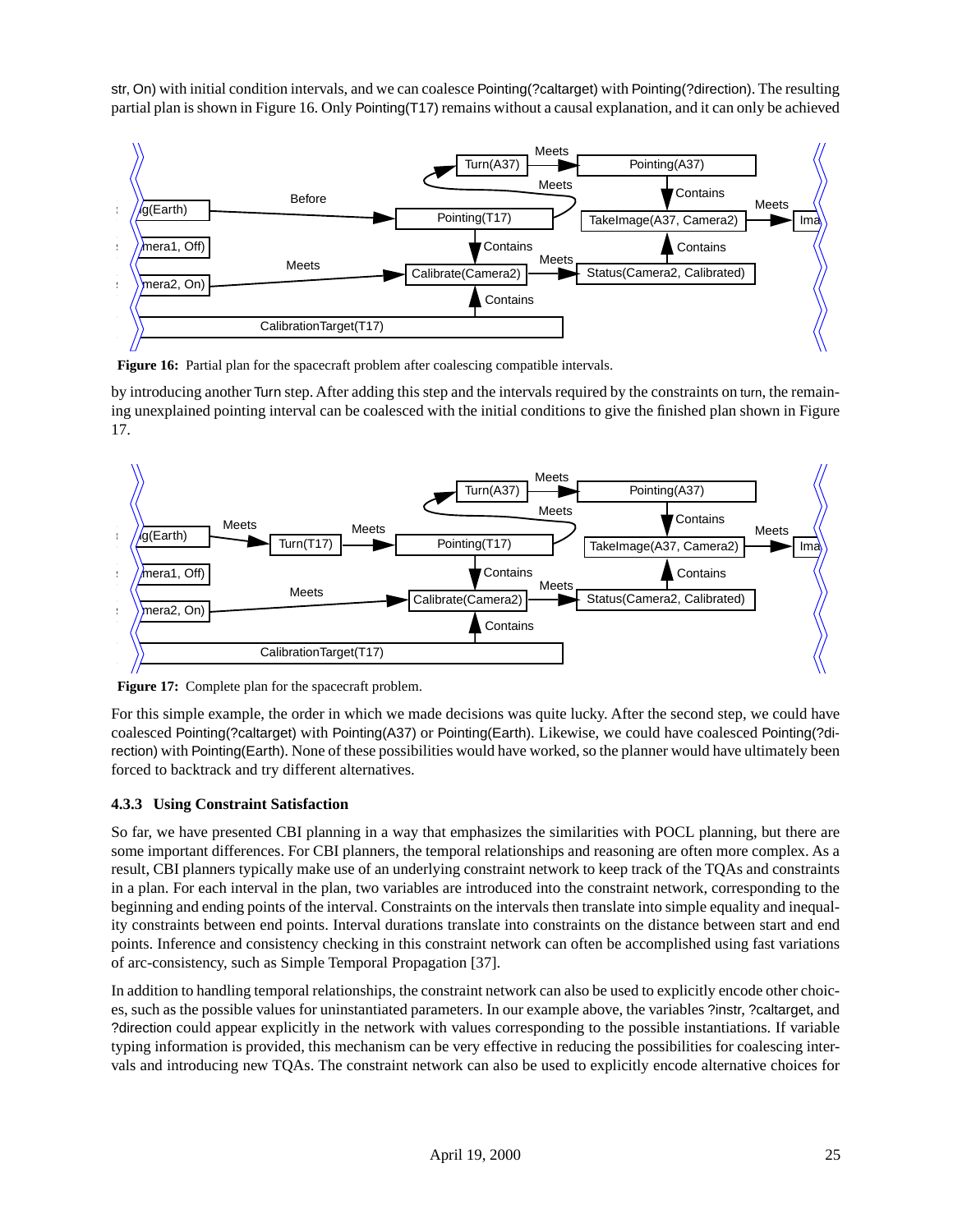str, On) with initial condition intervals, and we can coalesce Pointing(?caltarget) with Pointing(?direction). The resulting partial plan is shown in Figure 16. Only Pointing(T17) remains without a causal explanation, and it can only be achieved



**Figure 16:** Partial plan for the spacecraft problem after coalescing compatible intervals.

by introducing another Turn step. After adding this step and the intervals required by the constraints on turn, the remaining unexplained pointing interval can be coalesced with the initial conditions to give the finished plan shown in Figure 17.



**Figure 17:** Complete plan for the spacecraft problem.

For this simple example, the order in which we made decisions was quite lucky. After the second step, we could have coalesced Pointing(?caltarget) with Pointing(A37) or Pointing(Earth). Likewise, we could have coalesced Pointing(?direction) with Pointing(Earth). None of these possibilities would have worked, so the planner would have ultimately been forced to backtrack and try different alternatives.

### **4.3.3 Using Constraint Satisfaction**

So far, we have presented CBI planning in a way that emphasizes the similarities with POCL planning, but there are some important differences. For CBI planners, the temporal relationships and reasoning are often more complex. As a result, CBI planners typically make use of an underlying constraint network to keep track of the TQAs and constraints in a plan. For each interval in the plan, two variables are introduced into the constraint network, corresponding to the beginning and ending points of the interval. Constraints on the intervals then translate into simple equality and inequality constraints between end points. Interval durations translate into constraints on the distance between start and end points. Inference and consistency checking in this constraint network can often be accomplished using fast variations of arc-consistency, such as Simple Temporal Propagation [37].

In addition to handling temporal relationships, the constraint network can also be used to explicitly encode other choices, such as the possible values for uninstantiated parameters. In our example above, the variables ?instr, ?caltarget, and ?direction could appear explicitly in the network with values corresponding to the possible instantiations. If variable typing information is provided, this mechanism can be very effective in reducing the possibilities for coalescing intervals and introducing new TQAs. The constraint network can also be used to explicitly encode alternative choices for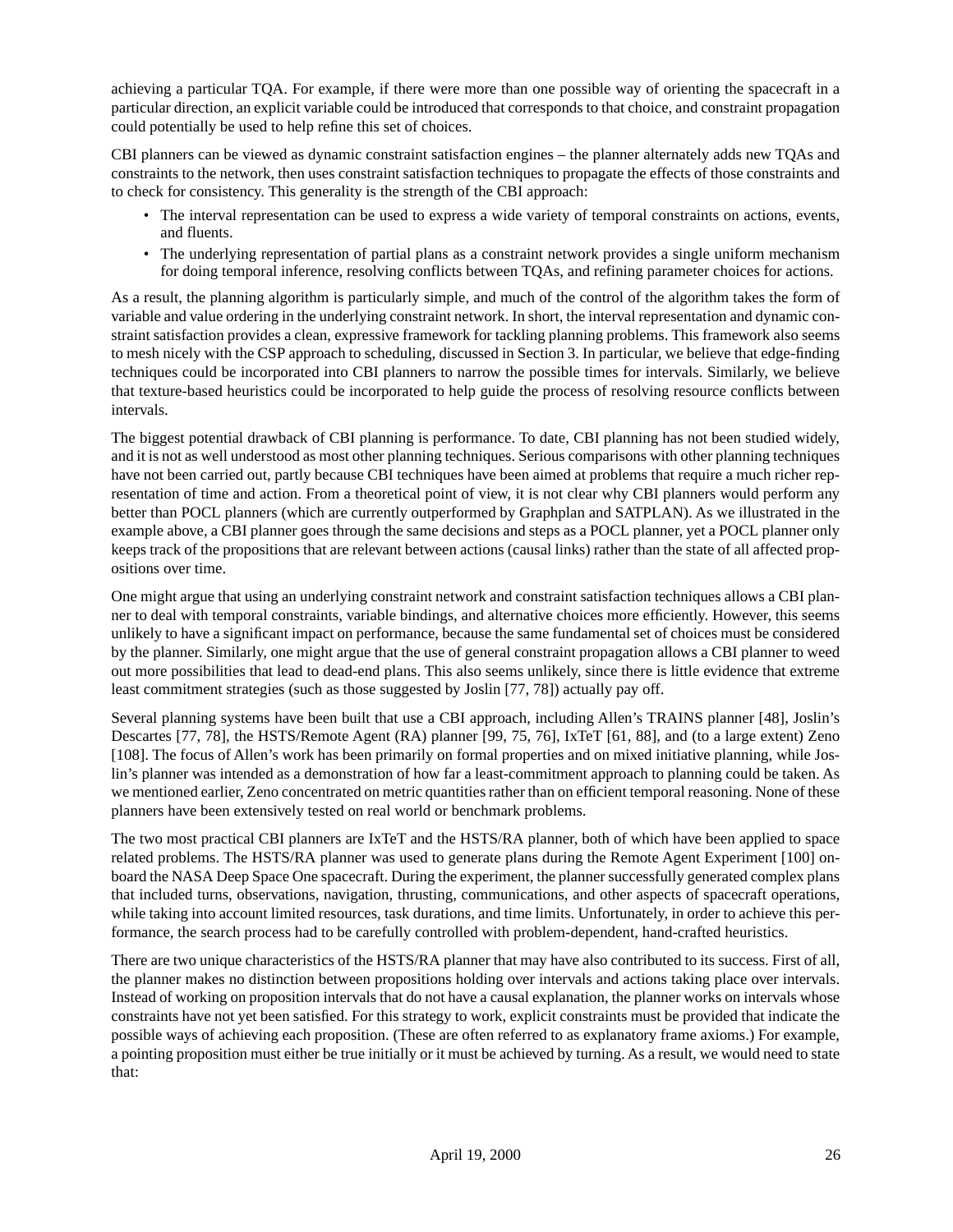achieving a particular TQA. For example, if there were more than one possible way of orienting the spacecraft in a particular direction, an explicit variable could be introduced that corresponds to that choice, and constraint propagation could potentially be used to help refine this set of choices.

CBI planners can be viewed as dynamic constraint satisfaction engines – the planner alternately adds new TQAs and constraints to the network, then uses constraint satisfaction techniques to propagate the effects of those constraints and to check for consistency. This generality is the strength of the CBI approach:

- The interval representation can be used to express a wide variety of temporal constraints on actions, events, and fluents.
- The underlying representation of partial plans as a constraint network provides a single uniform mechanism for doing temporal inference, resolving conflicts between TQAs, and refining parameter choices for actions.

As a result, the planning algorithm is particularly simple, and much of the control of the algorithm takes the form of variable and value ordering in the underlying constraint network. In short, the interval representation and dynamic constraint satisfaction provides a clean, expressive framework for tackling planning problems. This framework also seems to mesh nicely with the CSP approach to scheduling, discussed in Section 3. In particular, we believe that edge-finding techniques could be incorporated into CBI planners to narrow the possible times for intervals. Similarly, we believe that texture-based heuristics could be incorporated to help guide the process of resolving resource conflicts between intervals.

The biggest potential drawback of CBI planning is performance. To date, CBI planning has not been studied widely, and it is not as well understood as most other planning techniques. Serious comparisons with other planning techniques have not been carried out, partly because CBI techniques have been aimed at problems that require a much richer representation of time and action. From a theoretical point of view, it is not clear why CBI planners would perform any better than POCL planners (which are currently outperformed by Graphplan and SATPLAN). As we illustrated in the example above, a CBI planner goes through the same decisions and steps as a POCL planner, yet a POCL planner only keeps track of the propositions that are relevant between actions (causal links) rather than the state of all affected propositions over time.

One might argue that using an underlying constraint network and constraint satisfaction techniques allows a CBI planner to deal with temporal constraints, variable bindings, and alternative choices more efficiently. However, this seems unlikely to have a significant impact on performance, because the same fundamental set of choices must be considered by the planner. Similarly, one might argue that the use of general constraint propagation allows a CBI planner to weed out more possibilities that lead to dead-end plans. This also seems unlikely, since there is little evidence that extreme least commitment strategies (such as those suggested by Joslin [77, 78]) actually pay off.

Several planning systems have been built that use a CBI approach, including Allen's TRAINS planner [48], Joslin's Descartes [77, 78], the HSTS/Remote Agent (RA) planner [99, 75, 76], IxTeT [61, 88], and (to a large extent) Zeno [108]. The focus of Allen's work has been primarily on formal properties and on mixed initiative planning, while Joslin's planner was intended as a demonstration of how far a least-commitment approach to planning could be taken. As we mentioned earlier, Zeno concentrated on metric quantities rather than on efficient temporal reasoning. None of these planners have been extensively tested on real world or benchmark problems.

The two most practical CBI planners are IxTeT and the HSTS/RA planner, both of which have been applied to space related problems. The HSTS/RA planner was used to generate plans during the Remote Agent Experiment [100] onboard the NASA Deep Space One spacecraft. During the experiment, the planner successfully generated complex plans that included turns, observations, navigation, thrusting, communications, and other aspects of spacecraft operations, while taking into account limited resources, task durations, and time limits. Unfortunately, in order to achieve this performance, the search process had to be carefully controlled with problem-dependent, hand-crafted heuristics.

There are two unique characteristics of the HSTS/RA planner that may have also contributed to its success. First of all, the planner makes no distinction between propositions holding over intervals and actions taking place over intervals. Instead of working on proposition intervals that do not have a causal explanation, the planner works on intervals whose constraints have not yet been satisfied. For this strategy to work, explicit constraints must be provided that indicate the possible ways of achieving each proposition. (These are often referred to as explanatory frame axioms.) For example, a pointing proposition must either be true initially or it must be achieved by turning. As a result, we would need to state that: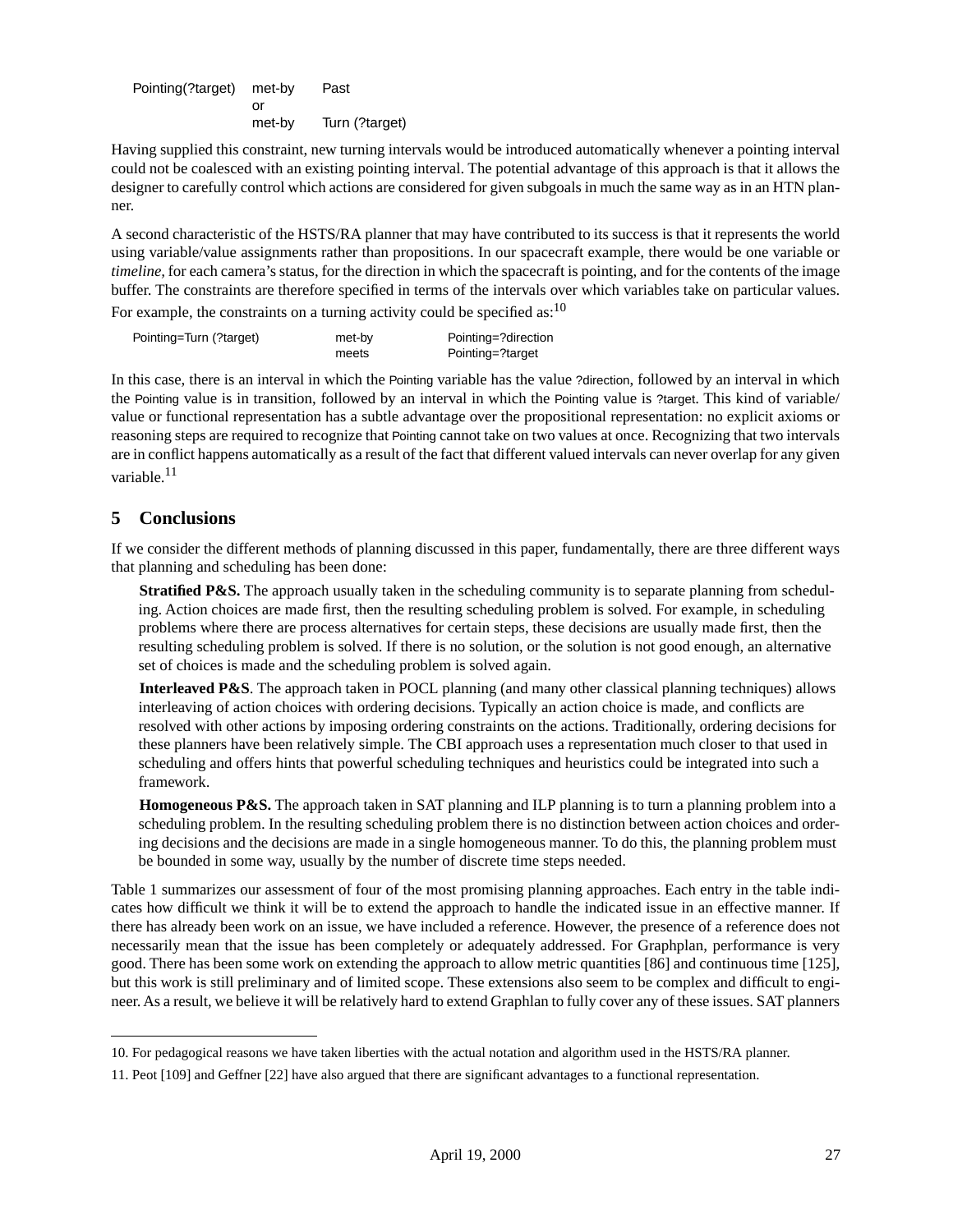| Pointing(?target) met-by |        | Past           |
|--------------------------|--------|----------------|
|                          | Ωr     |                |
|                          | met-by | Turn (?target) |

Having supplied this constraint, new turning intervals would be introduced automatically whenever a pointing interval could not be coalesced with an existing pointing interval. The potential advantage of this approach is that it allows the designer to carefully control which actions are considered for given subgoals in much the same way as in an HTN planner.

A second characteristic of the HSTS/RA planner that may have contributed to its success is that it represents the world using variable/value assignments rather than propositions. In our spacecraft example, there would be one variable or *timeline*, for each camera's status, for the direction in which the spacecraft is pointing, and for the contents of the image buffer. The constraints are therefore specified in terms of the intervals over which variables take on particular values. For example, the constraints on a turning activity could be specified as:  $10$ 

| Pointing=Turn (?target) | met-by | Pointing=?direction |
|-------------------------|--------|---------------------|
|                         | meets  | Pointing=?target    |

In this case, there is an interval in which the Pointing variable has the value ?direction, followed by an interval in which the Pointing value is in transition, followed by an interval in which the Pointing value is ?target. This kind of variable/ value or functional representation has a subtle advantage over the propositional representation: no explicit axioms or reasoning steps are required to recognize that Pointing cannot take on two values at once. Recognizing that two intervals are in conflict happens automatically as a result of the fact that different valued intervals can never overlap for any given variable  $11$ 

## **5 Conclusions**

If we consider the different methods of planning discussed in this paper, fundamentally, there are three different ways that planning and scheduling has been done:

**Stratified P&S.** The approach usually taken in the scheduling community is to separate planning from scheduling. Action choices are made first, then the resulting scheduling problem is solved. For example, in scheduling problems where there are process alternatives for certain steps, these decisions are usually made first, then the resulting scheduling problem is solved. If there is no solution, or the solution is not good enough, an alternative set of choices is made and the scheduling problem is solved again.

**Interleaved P&S**. The approach taken in POCL planning (and many other classical planning techniques) allows interleaving of action choices with ordering decisions. Typically an action choice is made, and conflicts are resolved with other actions by imposing ordering constraints on the actions. Traditionally, ordering decisions for these planners have been relatively simple. The CBI approach uses a representation much closer to that used in scheduling and offers hints that powerful scheduling techniques and heuristics could be integrated into such a framework.

**Homogeneous P&S.** The approach taken in SAT planning and ILP planning is to turn a planning problem into a scheduling problem. In the resulting scheduling problem there is no distinction between action choices and ordering decisions and the decisions are made in a single homogeneous manner. To do this, the planning problem must be bounded in some way, usually by the number of discrete time steps needed.

Table 1 summarizes our assessment of four of the most promising planning approaches. Each entry in the table indicates how difficult we think it will be to extend the approach to handle the indicated issue in an effective manner. If there has already been work on an issue, we have included a reference. However, the presence of a reference does not necessarily mean that the issue has been completely or adequately addressed. For Graphplan, performance is very good. There has been some work on extending the approach to allow metric quantities [86] and continuous time [125], but this work is still preliminary and of limited scope. These extensions also seem to be complex and difficult to engineer. As a result, we believe it will be relatively hard to extend Graphlan to fully cover any of these issues. SAT planners

<sup>10.</sup> For pedagogical reasons we have taken liberties with the actual notation and algorithm used in the HSTS/RA planner.

<sup>11.</sup> Peot [109] and Geffner [22] have also argued that there are significant advantages to a functional representation.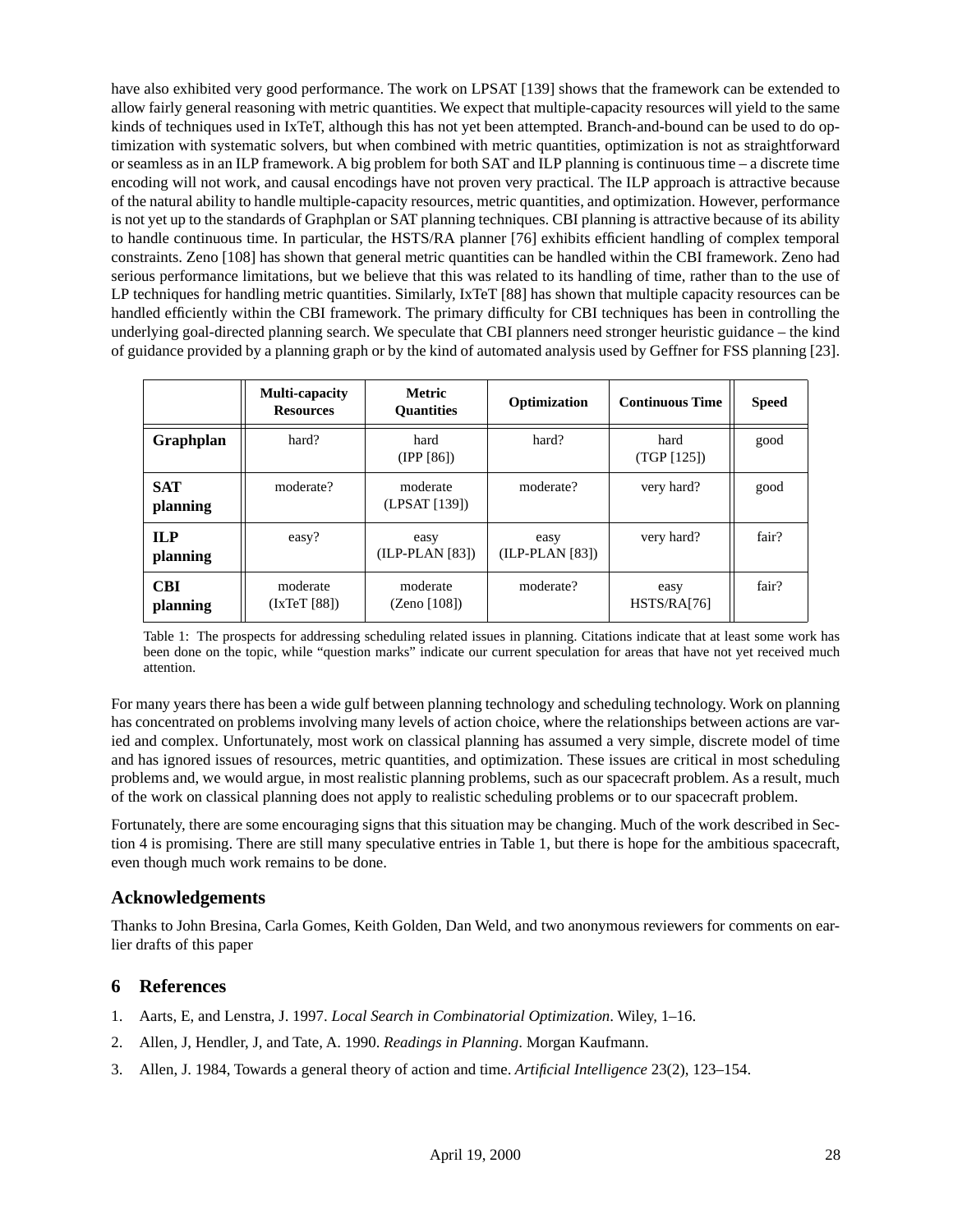have also exhibited very good performance. The work on LPSAT [139] shows that the framework can be extended to allow fairly general reasoning with metric quantities. We expect that multiple-capacity resources will yield to the same kinds of techniques used in IxTeT, although this has not yet been attempted. Branch-and-bound can be used to do optimization with systematic solvers, but when combined with metric quantities, optimization is not as straightforward or seamless as in an ILP framework. A big problem for both SAT and ILP planning is continuous time – a discrete time encoding will not work, and causal encodings have not proven very practical. The ILP approach is attractive because of the natural ability to handle multiple-capacity resources, metric quantities, and optimization. However, performance is not yet up to the standards of Graphplan or SAT planning techniques. CBI planning is attractive because of its ability to handle continuous time. In particular, the HSTS/RA planner [76] exhibits efficient handling of complex temporal constraints. Zeno [108] has shown that general metric quantities can be handled within the CBI framework. Zeno had serious performance limitations, but we believe that this was related to its handling of time, rather than to the use of LP techniques for handling metric quantities. Similarly, IxTeT [88] has shown that multiple capacity resources can be handled efficiently within the CBI framework. The primary difficulty for CBI techniques has been in controlling the underlying goal-directed planning search. We speculate that CBI planners need stronger heuristic guidance – the kind of guidance provided by a planning graph or by the kind of automated analysis used by Geffner for FSS planning [23].

|                        | <b>Multi-capacity</b><br><b>Resources</b> | <b>Metric</b><br><b>Ouantities</b> | Optimization              | <b>Continuous Time</b> | <b>Speed</b> |
|------------------------|-------------------------------------------|------------------------------------|---------------------------|------------------------|--------------|
| Graphplan              | hard?                                     | hard<br>(IPP [86])                 | hard?                     | hard<br>(TGP [125])    | good         |
| <b>SAT</b><br>planning | moderate?                                 | moderate<br>(LPSAT [139])          | moderate?                 | very hard?             | good         |
| <b>ILP</b><br>planning | easy?                                     | easy<br>$(ILP-PLAN [83])$          | easy<br>$(ILP-PLAN [83])$ | very hard?             | fair?        |
| <b>CBI</b><br>planning | moderate<br>(LxTeT [88])                  | moderate<br>(Zeno [108])           | moderate?                 | easy<br>HSTS/RA[76]    | fair?        |

Table 1: The prospects for addressing scheduling related issues in planning. Citations indicate that at least some work has been done on the topic, while "question marks" indicate our current speculation for areas that have not yet received much attention.

For many years there has been a wide gulf between planning technology and scheduling technology. Work on planning has concentrated on problems involving many levels of action choice, where the relationships between actions are varied and complex. Unfortunately, most work on classical planning has assumed a very simple, discrete model of time and has ignored issues of resources, metric quantities, and optimization. These issues are critical in most scheduling problems and, we would argue, in most realistic planning problems, such as our spacecraft problem. As a result, much of the work on classical planning does not apply to realistic scheduling problems or to our spacecraft problem.

Fortunately, there are some encouraging signs that this situation may be changing. Much of the work described in Section 4 is promising. There are still many speculative entries in Table 1, but there is hope for the ambitious spacecraft, even though much work remains to be done.

### **Acknowledgements**

Thanks to John Bresina, Carla Gomes, Keith Golden, Dan Weld, and two anonymous reviewers for comments on earlier drafts of this paper

### **6 References**

- 1. Aarts, E, and Lenstra, J. 1997. *Local Search in Combinatorial Optimization*. Wiley, 1–16.
- 2. Allen, J, Hendler, J, and Tate, A. 1990. *Readings in Planning*. Morgan Kaufmann.
- 3. Allen, J. 1984, Towards a general theory of action and time. *Artificial Intelligence* 23(2), 123–154.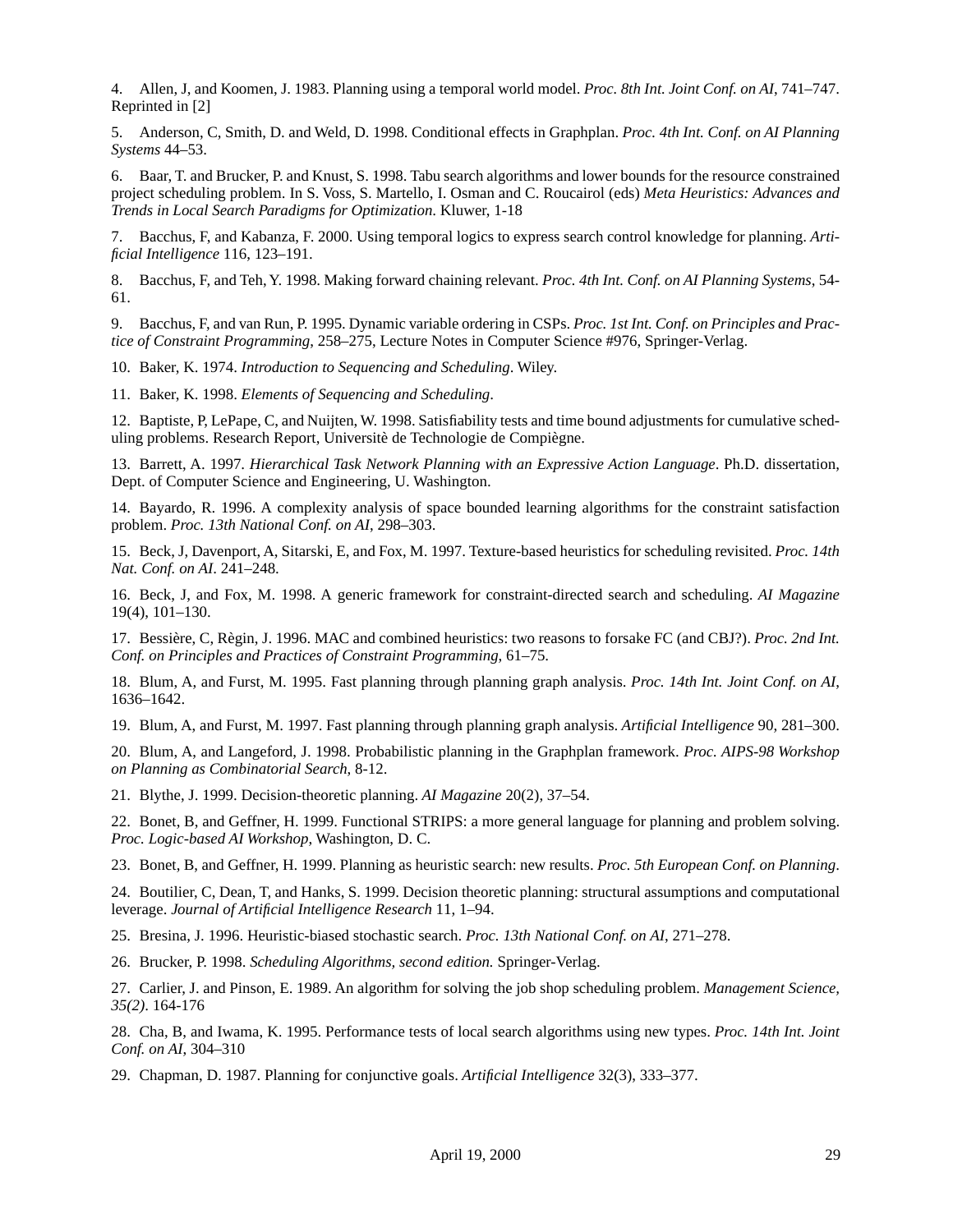4. Allen, J, and Koomen, J. 1983. Planning using a temporal world model. *Proc. 8th Int. Joint Conf. on AI*, 741–747. Reprinted in [2]

5. Anderson, C, Smith, D. and Weld, D. 1998. Conditional effects in Graphplan. *Proc. 4th Int. Conf. on AI Planning Systems* 44–53.

6. Baar, T. and Brucker, P. and Knust, S. 1998. Tabu search algorithms and lower bounds for the resource constrained project scheduling problem. In S. Voss, S. Martello, I. Osman and C. Roucairol (eds) *Meta Heuristics: Advances and Trends in Local Search Paradigms for Optimization*. Kluwer, 1-18

7. Bacchus, F, and Kabanza, F. 2000. Using temporal logics to express search control knowledge for planning. *Artificial Intelligence* 116, 123–191.

8. Bacchus, F, and Teh, Y. 1998. Making forward chaining relevant. *Proc. 4th Int. Conf. on AI Planning Systems*, 54- 61.

9. Bacchus, F, and van Run, P. 1995. Dynamic variable ordering in CSPs. *Proc. 1st Int. Conf. on Principles and Practice of Constraint Programming*, 258–275, Lecture Notes in Computer Science #976, Springer-Verlag.

10. Baker, K. 1974. *Introduction to Sequencing and Scheduling*. Wiley.

11. Baker, K. 1998. *Elements of Sequencing and Scheduling*.

12. Baptiste, P, LePape, C, and Nuijten, W. 1998. Satisfiability tests and time bound adjustments for cumulative scheduling problems. Research Report, Universitè de Technologie de Compiègne.

13. Barrett, A. 1997. *Hierarchical Task Network Planning with an Expressive Action Language*. Ph.D. dissertation, Dept. of Computer Science and Engineering, U. Washington.

14. Bayardo, R. 1996. A complexity analysis of space bounded learning algorithms for the constraint satisfaction problem. *Proc. 13th National Conf. on AI*, 298–303.

15. Beck, J, Davenport, A, Sitarski, E, and Fox, M. 1997. Texture-based heuristics for scheduling revisited. *Proc. 14th Nat. Conf. on AI*. 241–248.

16. Beck, J, and Fox, M. 1998. A generic framework for constraint-directed search and scheduling. *AI Magazine* 19(4), 101–130.

17. Bessière, C, Règin, J. 1996. MAC and combined heuristics: two reasons to forsake FC (and CBJ?). *Proc. 2nd Int. Conf. on Principles and Practices of Constraint Programming*, 61–75.

18. Blum, A, and Furst, M. 1995. Fast planning through planning graph analysis. *Proc. 14th Int. Joint Conf. on AI*, 1636–1642.

19. Blum, A, and Furst, M. 1997. Fast planning through planning graph analysis. *Artificial Intelligence* 90, 281–300.

20. Blum, A, and Langeford, J. 1998. Probabilistic planning in the Graphplan framework. *Proc. AIPS-98 Workshop on Planning as Combinatorial Search*, 8-12.

21. Blythe, J. 1999. Decision-theoretic planning. *AI Magazine* 20(2), 37–54.

22. Bonet, B, and Geffner, H. 1999. Functional STRIPS: a more general language for planning and problem solving. *Proc. Logic-based AI Workshop*, Washington, D. C.

23. Bonet, B, and Geffner, H. 1999. Planning as heuristic search: new results. *Proc. 5th European Conf. on Planning*.

24. Boutilier, C, Dean, T, and Hanks, S. 1999. Decision theoretic planning: structural assumptions and computational leverage. *Journal of Artificial Intelligence Research* 11, 1–94.

25. Bresina, J. 1996. Heuristic-biased stochastic search. *Proc. 13th National Conf. on AI*, 271–278.

26. Brucker, P. 1998. *Scheduling Algorithms, second edition.* Springer-Verlag.

27. Carlier, J. and Pinson, E. 1989. An algorithm for solving the job shop scheduling problem. *Management Science, 35(2)*. 164-176

28. Cha, B, and Iwama, K. 1995. Performance tests of local search algorithms using new types. *Proc. 14th Int. Joint Conf. on AI*, 304–310

29. Chapman, D. 1987. Planning for conjunctive goals. *Artificial Intelligence* 32(3), 333–377.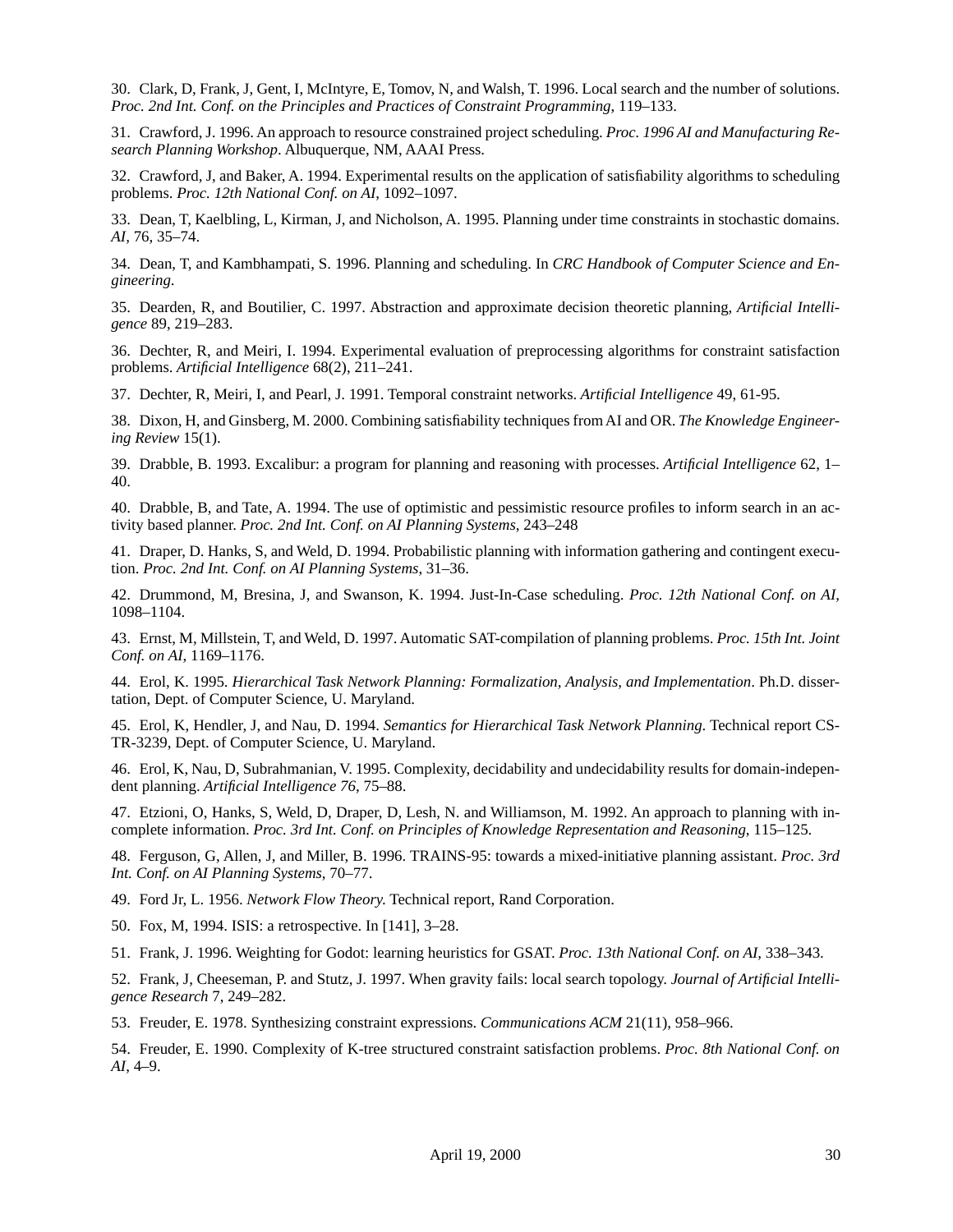30. Clark, D, Frank, J, Gent, I, McIntyre, E, Tomov, N, and Walsh, T. 1996. Local search and the number of solutions. *Proc. 2nd Int. Conf. on the Principles and Practices of Constraint Programming*, 119–133.

31. Crawford, J. 1996. An approach to resource constrained project scheduling. *Proc. 1996 AI and Manufacturing Research Planning Workshop*. Albuquerque, NM, AAAI Press.

32. Crawford, J, and Baker, A. 1994. Experimental results on the application of satisfiability algorithms to scheduling problems. *Proc. 12th National Conf. on AI*, 1092–1097.

33. Dean, T, Kaelbling, L, Kirman, J, and Nicholson, A. 1995. Planning under time constraints in stochastic domains. *AI,* 76, 35–74.

34. Dean, T, and Kambhampati, S. 1996. Planning and scheduling. In *CRC Handbook of Computer Science and Engineering*.

35. Dearden, R, and Boutilier, C. 1997. Abstraction and approximate decision theoretic planning, *Artificial Intelligence* 89, 219–283.

36. Dechter, R, and Meiri, I. 1994. Experimental evaluation of preprocessing algorithms for constraint satisfaction problems. *Artificial Intelligence* 68(2), 211–241.

37. Dechter, R, Meiri, I, and Pearl, J. 1991. Temporal constraint networks. *Artificial Intelligence* 49, 61-95.

38. Dixon, H, and Ginsberg, M. 2000. Combining satisfiability techniques from AI and OR. *The Knowledge Engineering Review* 15(1).

39. Drabble, B. 1993. Excalibur: a program for planning and reasoning with processes. *Artificial Intelligence* 62, 1– 40.

40. Drabble, B, and Tate, A. 1994. The use of optimistic and pessimistic resource profiles to inform search in an activity based planner. *Proc. 2nd Int. Conf. on AI Planning Systems*, 243–248

41. Draper, D. Hanks, S, and Weld, D. 1994. Probabilistic planning with information gathering and contingent execution. *Proc. 2nd Int. Conf. on AI Planning Systems*, 31–36.

42. Drummond, M, Bresina, J, and Swanson, K. 1994. Just-In-Case scheduling. *Proc. 12th National Conf. on AI*, 1098–1104.

43. Ernst, M, Millstein, T, and Weld, D. 1997. Automatic SAT-compilation of planning problems. *Proc. 15th Int. Joint Conf. on AI*, 1169–1176.

44. Erol, K. 1995. *Hierarchical Task Network Planning: Formalization, Analysis, and Implementation*. Ph.D. dissertation, Dept. of Computer Science, U. Maryland.

45. Erol, K, Hendler, J, and Nau, D. 1994. *Semantics for Hierarchical Task Network Planning*. Technical report CS-TR-3239, Dept. of Computer Science, U. Maryland.

46. Erol, K, Nau, D, Subrahmanian, V. 1995. Complexity, decidability and undecidability results for domain-independent planning. *Artificial Intelligence 76*, 75–88.

47. Etzioni, O, Hanks, S, Weld, D, Draper, D, Lesh, N. and Williamson, M. 1992. An approach to planning with incomplete information. *Proc. 3rd Int. Conf. on Principles of Knowledge Representation and Reasoning*, 115–125.

48. Ferguson, G, Allen, J, and Miller, B. 1996. TRAINS-95: towards a mixed-initiative planning assistant. *Proc. 3rd Int. Conf. on AI Planning Systems*, 70–77.

49. Ford Jr, L. 1956. *Network Flow Theory*. Technical report, Rand Corporation.

50. Fox, M, 1994. ISIS: a retrospective. In [141], 3–28.

51. Frank, J. 1996. Weighting for Godot: learning heuristics for GSAT. *Proc. 13th National Conf. on AI*, 338–343.

52. Frank, J, Cheeseman, P. and Stutz, J. 1997. When gravity fails: local search topology. *Journal of Artificial Intelligence Research* 7, 249–282.

53. Freuder, E. 1978. Synthesizing constraint expressions. *Communications ACM* 21(11), 958–966.

54. Freuder, E. 1990. Complexity of K-tree structured constraint satisfaction problems. *Proc. 8th National Conf. on AI*, 4–9.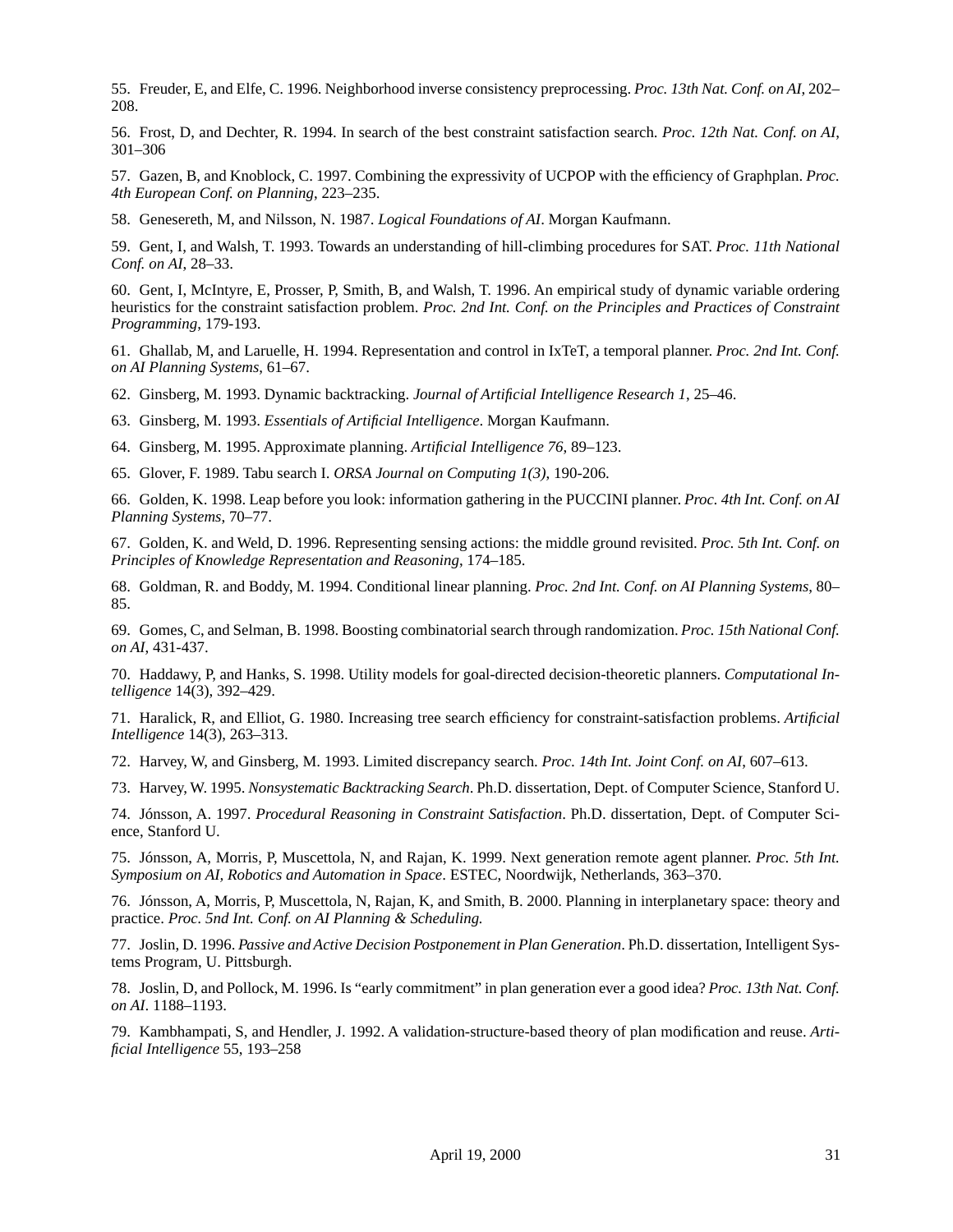55. Freuder, E, and Elfe, C. 1996. Neighborhood inverse consistency preprocessing. *Proc. 13th Nat. Conf. on AI*, 202– 208.

56. Frost, D, and Dechter, R. 1994. In search of the best constraint satisfaction search. *Proc. 12th Nat. Conf. on AI*, 301–306

57. Gazen, B, and Knoblock, C. 1997. Combining the expressivity of UCPOP with the efficiency of Graphplan. *Proc. 4th European Conf. on Planning*, 223–235.

58. Genesereth, M, and Nilsson, N. 1987. *Logical Foundations of AI*. Morgan Kaufmann.

59. Gent, I, and Walsh, T. 1993. Towards an understanding of hill-climbing procedures for SAT. *Proc. 11th National Conf. on AI*, 28–33.

60. Gent, I, McIntyre, E, Prosser, P, Smith, B, and Walsh, T. 1996. An empirical study of dynamic variable ordering heuristics for the constraint satisfaction problem. *Proc. 2nd Int. Conf. on the Principles and Practices of Constraint Programming*, 179-193.

61. Ghallab, M, and Laruelle, H. 1994. Representation and control in IxTeT, a temporal planner. *Proc. 2nd Int. Conf. on AI Planning Systems*, 61–67.

62. Ginsberg, M. 1993. Dynamic backtracking. *Journal of Artificial Intelligence Research 1*, 25–46.

63. Ginsberg, M. 1993. *Essentials of Artificial Intelligence*. Morgan Kaufmann.

64. Ginsberg, M. 1995. Approximate planning. *Artificial Intelligence 76*, 89–123.

65. Glover, F. 1989. Tabu search I. *ORSA Journal on Computing 1(3)*, 190-206.

66. Golden, K. 1998. Leap before you look: information gathering in the PUCCINI planner. *Proc. 4th Int. Conf. on AI Planning Systems*, 70–77.

67. Golden, K. and Weld, D. 1996. Representing sensing actions: the middle ground revisited. *Proc. 5th Int. Conf. on Principles of Knowledge Representation and Reasoning*, 174–185.

68. Goldman, R. and Boddy, M. 1994. Conditional linear planning. *Proc. 2nd Int. Conf. on AI Planning Systems*, 80– 85.

69. Gomes, C, and Selman, B. 1998. Boosting combinatorial search through randomization. *Proc. 15th National Conf. on AI*, 431-437.

70. Haddawy, P, and Hanks, S. 1998. Utility models for goal-directed decision-theoretic planners. *Computational Intelligence* 14(3), 392–429.

71. Haralick, R, and Elliot, G. 1980. Increasing tree search efficiency for constraint-satisfaction problems. *Artificial Intelligence* 14(3), 263–313.

72. Harvey, W, and Ginsberg, M. 1993. Limited discrepancy search. *Proc. 14th Int. Joint Conf. on AI*, 607–613.

73. Harvey, W. 1995. *Nonsystematic Backtracking Search*. Ph.D. dissertation, Dept. of Computer Science, Stanford U.

74. Jónsson, A. 1997. *Procedural Reasoning in Constraint Satisfaction*. Ph.D. dissertation, Dept. of Computer Science, Stanford U.

75. Jónsson, A, Morris, P, Muscettola, N, and Rajan, K. 1999. Next generation remote agent planner. *Proc. 5th Int. Symposium on AI, Robotics and Automation in Space*. ESTEC, Noordwijk, Netherlands, 363–370.

76. Jónsson, A, Morris, P, Muscettola, N, Rajan, K, and Smith, B. 2000. Planning in interplanetary space: theory and practice. *Proc. 5nd Int. Conf. on AI Planning & Scheduling.*

77. Joslin, D. 1996. *Passive and Active Decision Postponement in Plan Generation*. Ph.D. dissertation, Intelligent Systems Program, U. Pittsburgh.

78. Joslin, D, and Pollock, M. 1996. Is "early commitment" in plan generation ever a good idea? *Proc. 13th Nat. Conf. on AI*. 1188–1193.

79. Kambhampati, S, and Hendler, J. 1992. A validation-structure-based theory of plan modification and reuse. *Artificial Intelligence* 55, 193–258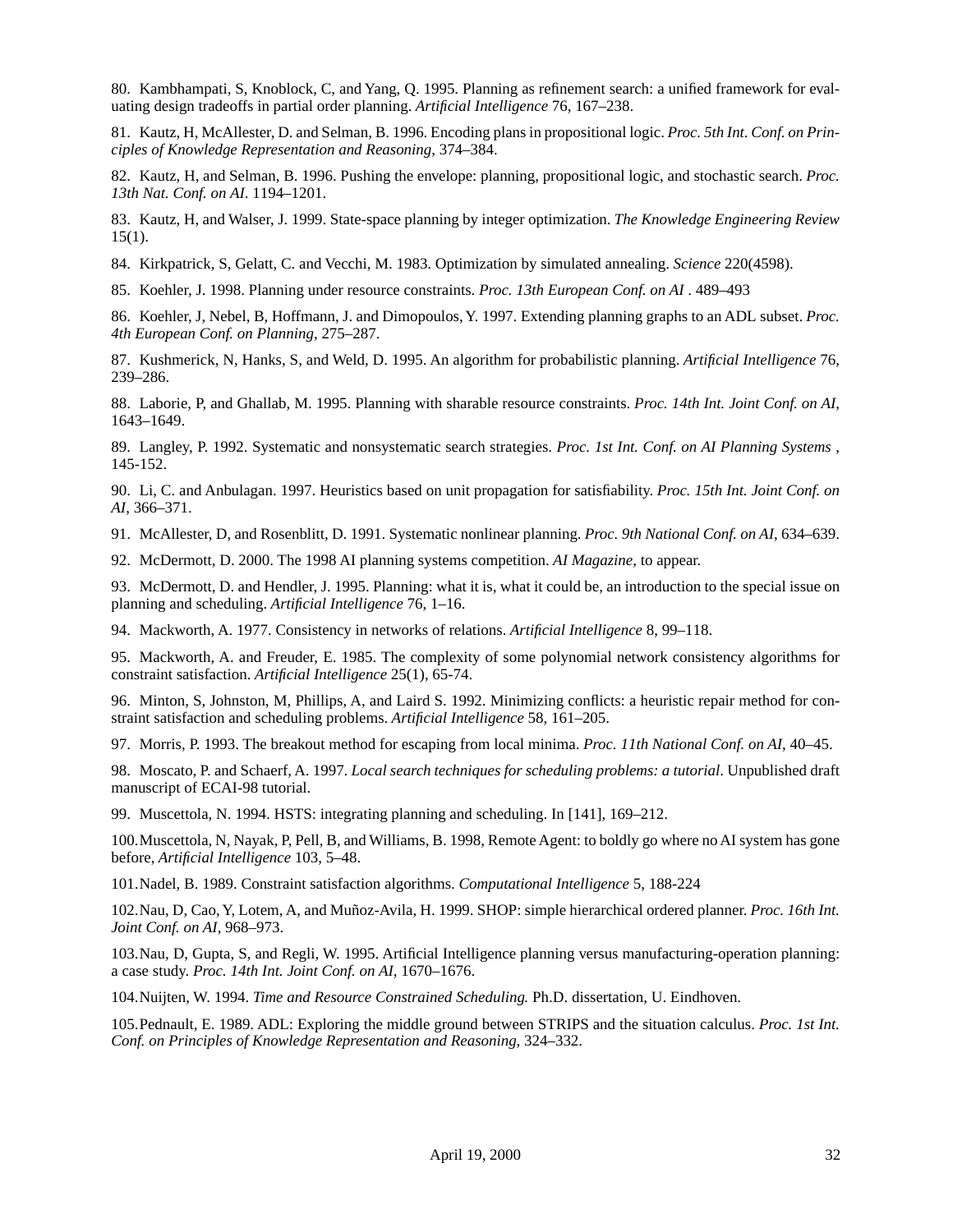80. Kambhampati, S, Knoblock, C, and Yang, Q. 1995. Planning as refinement search: a unified framework for evaluating design tradeoffs in partial order planning. *Artificial Intelligence* 76, 167–238.

81. Kautz, H, McAllester, D. and Selman, B. 1996. Encoding plans in propositional logic. *Proc. 5th Int. Conf. on Principles of Knowledge Representation and Reasoning*, 374–384.

82. Kautz, H, and Selman, B. 1996. Pushing the envelope: planning, propositional logic, and stochastic search. *Proc. 13th Nat. Conf. on AI*. 1194–1201.

83. Kautz, H, and Walser, J. 1999. State-space planning by integer optimization. *The Knowledge Engineering Review*  $15(1)$ .

84. Kirkpatrick, S, Gelatt, C. and Vecchi, M. 1983. Optimization by simulated annealing. *Science* 220(4598).

85. Koehler, J. 1998. Planning under resource constraints. *Proc. 13th European Conf. on AI* . 489–493

86. Koehler, J, Nebel, B, Hoffmann, J. and Dimopoulos, Y. 1997. Extending planning graphs to an ADL subset. *Proc. 4th European Conf. on Planning*, 275–287.

87. Kushmerick, N, Hanks, S, and Weld, D. 1995. An algorithm for probabilistic planning. *Artificial Intelligence* 76, 239–286.

88. Laborie, P, and Ghallab, M. 1995. Planning with sharable resource constraints. *Proc. 14th Int. Joint Conf. on AI*, 1643–1649.

89. Langley, P. 1992. Systematic and nonsystematic search strategies. *Proc. 1st Int. Conf. on AI Planning Systems* , 145-152.

90. Li, C. and Anbulagan. 1997. Heuristics based on unit propagation for satisfiability. *Proc. 15th Int. Joint Conf. on AI*, 366–371.

91. McAllester, D, and Rosenblitt, D. 1991. Systematic nonlinear planning. *Proc. 9th National Conf. on AI*, 634–639.

92. McDermott, D. 2000. The 1998 AI planning systems competition. *AI Magazine*, to appear.

93. McDermott, D. and Hendler, J. 1995. Planning: what it is, what it could be, an introduction to the special issue on planning and scheduling. *Artificial Intelligence* 76, 1–16.

94. Mackworth, A. 1977. Consistency in networks of relations. *Artificial Intelligence* 8, 99–118.

95. Mackworth, A. and Freuder, E. 1985. The complexity of some polynomial network consistency algorithms for constraint satisfaction. *Artificial Intelligence* 25(1), 65-74.

96. Minton, S, Johnston, M, Phillips, A, and Laird S. 1992. Minimizing conflicts: a heuristic repair method for constraint satisfaction and scheduling problems. *Artificial Intelligence* 58, 161–205.

97. Morris, P. 1993. The breakout method for escaping from local minima. *Proc. 11th National Conf. on AI*, 40–45.

98. Moscato, P. and Schaerf, A. 1997. *Local search techniques for scheduling problems: a tutorial*. Unpublished draft manuscript of ECAI-98 tutorial.

99. Muscettola, N. 1994. HSTS: integrating planning and scheduling. In [141], 169–212.

100.Muscettola, N, Nayak, P, Pell, B, and Williams, B. 1998, Remote Agent: to boldly go where no AI system has gone before, *Artificial Intelligence* 103, 5–48.

101.Nadel, B. 1989. Constraint satisfaction algorithms. *Computational Intelligence* 5, 188-224

102.Nau, D, Cao, Y, Lotem, A, and Muñoz-Avila, H. 1999. SHOP: simple hierarchical ordered planner. *Proc. 16th Int. Joint Conf. on AI*, 968–973.

103.Nau, D, Gupta, S, and Regli, W. 1995. Artificial Intelligence planning versus manufacturing-operation planning: a case study. *Proc. 14th Int. Joint Conf. on AI*, 1670–1676.

104.Nuijten, W. 1994. *Time and Resource Constrained Scheduling.* Ph.D. dissertation, U. Eindhoven.

105.Pednault, E. 1989. ADL: Exploring the middle ground between STRIPS and the situation calculus. *Proc. 1st Int. Conf. on Principles of Knowledge Representation and Reasoning*, 324–332.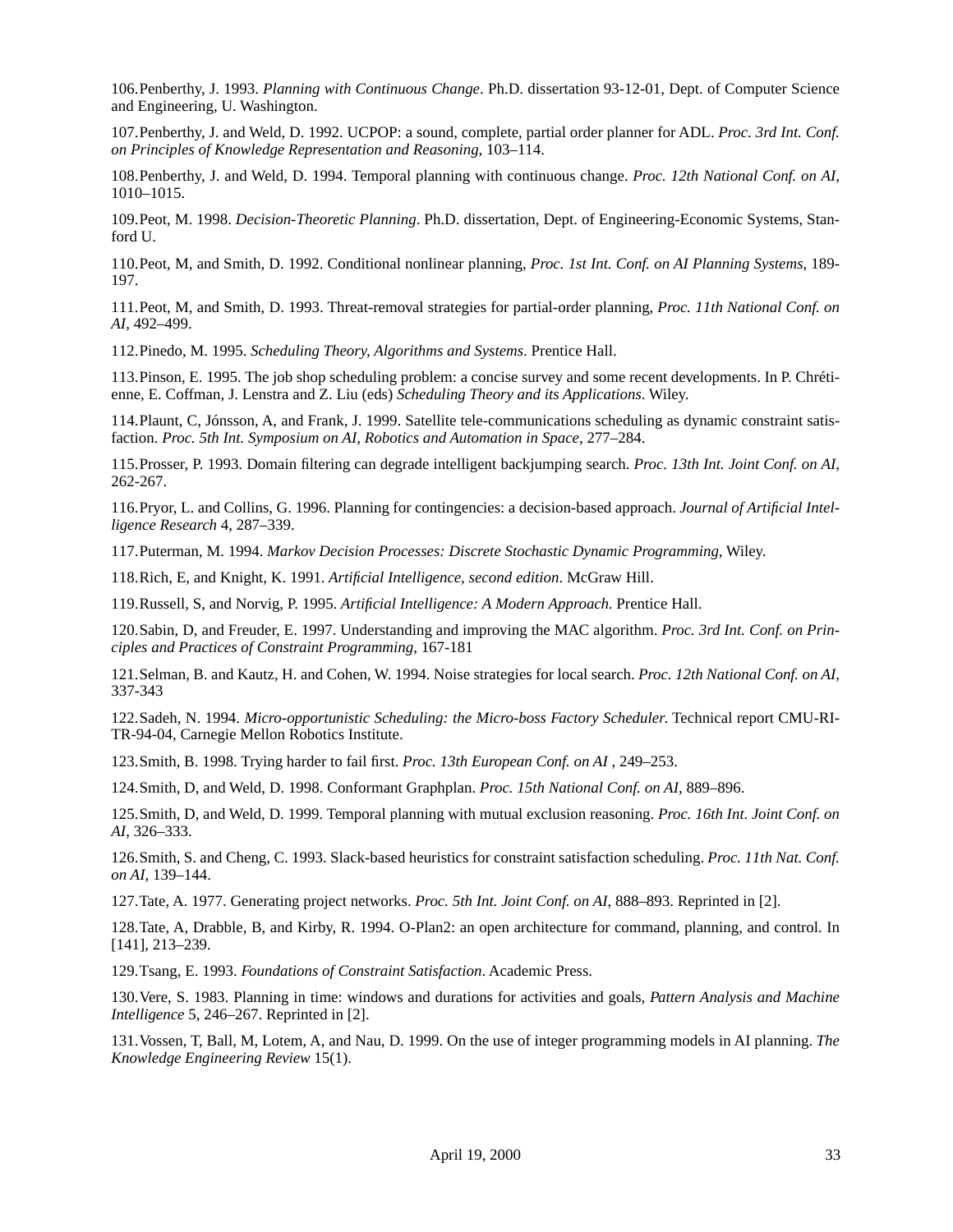106.Penberthy, J. 1993. *Planning with Continuous Change*. Ph.D. dissertation 93-12-01, Dept. of Computer Science and Engineering, U. Washington.

107.Penberthy, J. and Weld, D. 1992. UCPOP: a sound, complete, partial order planner for ADL. *Proc. 3rd Int. Conf. on Principles of Knowledge Representation and Reasoning*, 103–114.

108.Penberthy, J. and Weld, D. 1994. Temporal planning with continuous change. *Proc. 12th National Conf. on AI,* 1010–1015.

109.Peot, M. 1998. *Decision-Theoretic Planning*. Ph.D. dissertation, Dept. of Engineering-Economic Systems, Stanford U.

110.Peot, M, and Smith, D. 1992. Conditional nonlinear planning, *Proc. 1st Int. Conf. on AI Planning Systems*, 189- 197.

111.Peot, M, and Smith, D. 1993. Threat-removal strategies for partial-order planning, *Proc. 11th National Conf. on AI*, 492–499.

112.Pinedo, M. 1995. *Scheduling Theory, Algorithms and Systems*. Prentice Hall.

113.Pinson, E. 1995. The job shop scheduling problem: a concise survey and some recent developments. In P. Chrétienne, E. Coffman, J. Lenstra and Z. Liu (eds) *Scheduling Theory and its Applications*. Wiley.

114.Plaunt, C, Jónsson, A, and Frank, J. 1999. Satellite tele-communications scheduling as dynamic constraint satisfaction. *Proc. 5th Int. Symposium on AI, Robotics and Automation in Space*, 277–284.

115.Prosser, P. 1993. Domain filtering can degrade intelligent backjumping search. *Proc. 13th Int. Joint Conf. on AI*, 262-267.

116.Pryor, L. and Collins, G. 1996. Planning for contingencies: a decision-based approach. *Journal of Artificial Intelligence Research* 4, 287–339.

117.Puterman, M. 1994. *Markov Decision Processes: Discrete Stochastic Dynamic Programming*, Wiley.

118.Rich, E, and Knight, K. 1991. *Artificial Intelligence, second edition*. McGraw Hill.

119.Russell, S, and Norvig, P. 1995. *Artificial Intelligence: A Modern Approach*. Prentice Hall.

120.Sabin, D, and Freuder, E. 1997. Understanding and improving the MAC algorithm. *Proc. 3rd Int. Conf. on Principles and Practices of Constraint Programming*, 167-181

121.Selman, B. and Kautz, H. and Cohen, W. 1994. Noise strategies for local search. *Proc. 12th National Conf. on AI*, 337-343

122.Sadeh, N. 1994. *Micro-opportunistic Scheduling: the Micro-boss Factory Scheduler*. Technical report CMU-RI-TR-94-04, Carnegie Mellon Robotics Institute.

123.Smith, B. 1998. Trying harder to fail first. *Proc. 13th European Conf. on AI* , 249–253.

124.Smith, D, and Weld, D. 1998. Conformant Graphplan. *Proc. 15th National Conf. on AI*, 889–896.

125.Smith, D, and Weld, D. 1999. Temporal planning with mutual exclusion reasoning. *Proc. 16th Int. Joint Conf. on AI*, 326–333.

126.Smith, S. and Cheng, C. 1993. Slack-based heuristics for constraint satisfaction scheduling. *Proc. 11th Nat. Conf. on AI*, 139–144.

127.Tate, A. 1977. Generating project networks. *Proc. 5th Int. Joint Conf. on AI*, 888–893. Reprinted in [2].

128.Tate, A, Drabble, B, and Kirby, R. 1994. O-Plan2: an open architecture for command, planning, and control. In [141], 213–239.

129.Tsang, E. 1993. *Foundations of Constraint Satisfaction*. Academic Press.

130.Vere, S. 1983. Planning in time: windows and durations for activities and goals, *Pattern Analysis and Machine Intelligence* 5, 246–267. Reprinted in [2].

131.Vossen, T, Ball, M, Lotem, A, and Nau, D. 1999. On the use of integer programming models in AI planning. *The Knowledge Engineering Review* 15(1).